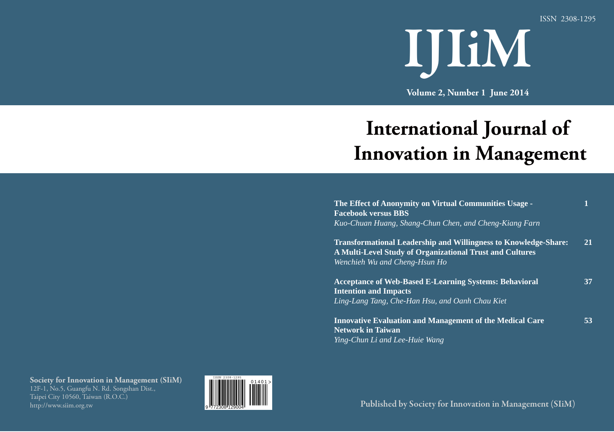ISSN 2308-1295



**Volume 2, Number 1 June 2014**

# **International Journal of Innovation in Management**

| The Effect of Anonymity on Virtual Communities Usage -<br><b>Facebook versus BBS</b>                                                                                |    |
|---------------------------------------------------------------------------------------------------------------------------------------------------------------------|----|
| Kuo-Chuan Huang, Shang-Chun Chen, and Cheng-Kiang Farn                                                                                                              |    |
| <b>Transformational Leadership and Willingness to Knowledge-Share:</b><br>A Multi-Level Study of Organizational Trust and Cultures<br>Wenchieh Wu and Cheng-Hsun Ho | 21 |
| <b>Acceptance of Web-Based E-Learning Systems: Behavioral</b><br><b>Intention and Impacts</b><br>Ling-Lang Tang, Che-Han Hsu, and Oanh Chau Kiet                    | 37 |
| <b>Innovative Evaluation and Management of the Medical Care</b><br><b>Network in Taiwan</b><br>Ying-Chun Li and Lee-Huie Wang                                       | 53 |

**Society for Innovation in Management (SIiM)** 12F-1, No.5, Guangfu N. Rd. Songshan Dist., Taipei City 10560, Taiwan (R.O.C.) http://www.siim.org.tw



**Published by Society for Innovation in Management (SIiM)**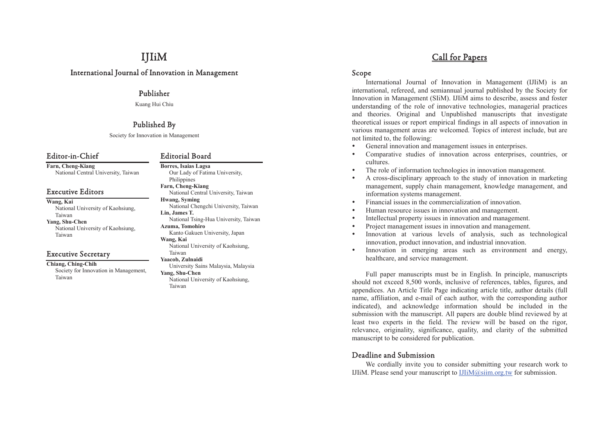# IJIiM

# International Journal of Innovation in Management

## Publisher

Kuang Hui Chiu

# Published By

Society for Innovation in Management

# Editor-in-Chief

**Farn, Cheng-Kiang** National Central University, Taiwan

# Executive Editors

**Wang, Kai**  National University of Kaohsiung, Taiwan **Yang, Shu-Chen**  National University of Kaohsiung, Taiwan

# Executive Secretary

**Chiang, Ching-Chih**  Society for Innovation in Management, Taiwan

### Editorial Board

Taiwan

**Borres, Isaias Lagsa**  Our Lady of Fatima University, Philippines **Farn, Cheng-Kiang**  National Central University, Taiwan **Hwang, Syming**  National Chengchi University, Taiwan **Lin, James T.**  National Tsing-Hua University, Taiwan **Azuma, Tomohiro**  Kanto Gakuen University, Japan **Wang, Kai**  National University of Kaohsiung, Taiwan **Yaacob, Zulnaidi**  University Sains Malaysia, Malaysia **Yang, Shu-Chen**  National University of Kaohsiung,

# Call for Papers

# Scope

International Journal of Innovation in Management (IJIiM) is an international, refereed, and semiannual journal published by the Society for Innovation in Management (SIiM). IJIiM aims to describe, assess and foster understanding of the role of innovative technologies, managerial practices and theories. Original and Unpublished manuscripts that investigate theoretical issues or report empirical findings in all aspects of innovation in various management areas are welcomed. Topics of interest include, but are not limited to, the following:

- General innovation and management issues in enterprises.
- Comparative studies of innovation across enterprises, countries, or cultures.
- The role of information technologies in innovation management.
- A cross-disciplinary approach to the study of innovation in marketing management, supply chain management, knowledge management, and information systems management.
- Financial issues in the commercialization of innovation.
- Human resource issues in innovation and management.
- Intellectual property issues in innovation and management.
- Project management issues in innovation and management.
- Innovation at various levels of analysis, such as technological innovation, product innovation, and industrial innovation.
- Innovation in emerging areas such as environment and energy, healthcare, and service management.

Full paper manuscripts must be in English. In principle, manuscripts should not exceed 8,500 words, inclusive of references, tables, figures, and appendices. An Article Title Page indicating article title, author details (full name, affiliation, and e-mail of each author, with the corresponding author indicated), and acknowledge information should be included in the submission with the manuscript. All papers are double blind reviewed by at least two experts in the field. The review will be based on the rigor, relevance, originality, significance, quality, and clarity of the submitted manuscript to be considered for publication.

# Deadline and Submission

We cordially invite you to consider submitting your research work to IJIiM. Please send your manuscript to  $IJIiM@siim.org.tw$  for submission.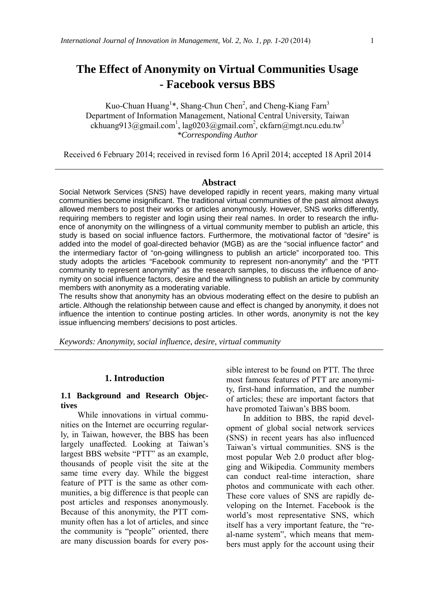# **The Effect of Anonymity on Virtual Communities Usage - Facebook versus BBS**

Kuo-Chuan Huang<sup>1\*</sup>, Shang-Chun Chen<sup>2</sup>, and Cheng-Kiang Farn<sup>3</sup> Department of Information Management, National Central University, Taiwan  $\alpha$ ckhuang913@gmail.com<sup>1</sup>, lag0203@gmail.com<sup>2</sup>, ckfarn@mgt.ncu.edu.tw<sup>3</sup> *\*Corresponding Author* 

Received 6 February 2014; received in revised form 16 April 2014; accepted 18 April 2014

#### **Abstract**

Social Network Services (SNS) have developed rapidly in recent years, making many virtual communities become insignificant. The traditional virtual communities of the past almost always allowed members to post their works or articles anonymously. However, SNS works differently, requiring members to register and login using their real names. In order to research the influence of anonymity on the willingness of a virtual community member to publish an article, this study is based on social influence factors. Furthermore, the motivational factor of "desire" is added into the model of goal-directed behavior (MGB) as are the "social influence factor" and the intermediary factor of "on-going willingness to publish an article" incorporated too. This study adopts the articles "Facebook community to represent non-anonymity" and the "PTT community to represent anonymity" as the research samples, to discuss the influence of anonymity on social influence factors, desire and the willingness to publish an article by community members with anonymity as a moderating variable.

The results show that anonymity has an obvious moderating effect on the desire to publish an article. Although the relationship between cause and effect is changed by anonymity, it does not influence the intention to continue posting articles. In other words, anonymity is not the key issue influencing members' decisions to post articles.

*Keywords: Anonymity, social influence, desire, virtual community* 

#### **1. Introduction**

#### **1.1 Background and Research Objectives**

While innovations in virtual communities on the Internet are occurring regularly, in Taiwan, however, the BBS has been largely unaffected. Looking at Taiwan's largest BBS website "PTT" as an example, thousands of people visit the site at the same time every day. While the biggest feature of PTT is the same as other communities, a big difference is that people can post articles and responses anonymously. Because of this anonymity, the PTT community often has a lot of articles, and since the community is "people" oriented, there are many discussion boards for every possible interest to be found on PTT. The three most famous features of PTT are anonymity, first-hand information, and the number of articles; these are important factors that have promoted Taiwan's BBS boom.

In addition to BBS, the rapid development of global social network services (SNS) in recent years has also influenced Taiwan's virtual communities. SNS is the most popular Web 2.0 product after blogging and Wikipedia. Community members can conduct real-time interaction, share photos and communicate with each other. These core values of SNS are rapidly developing on the Internet. Facebook is the world's most representative SNS, which itself has a very important feature, the "real-name system", which means that members must apply for the account using their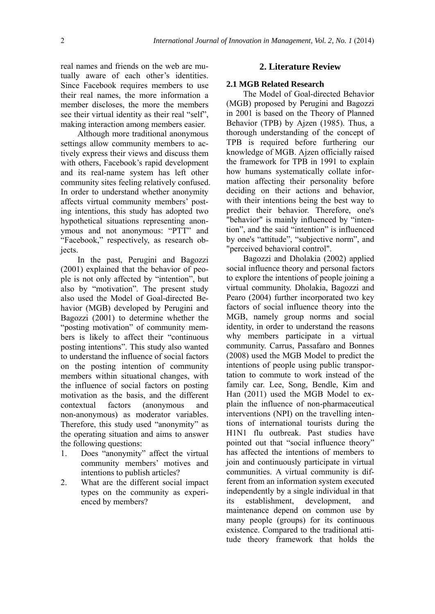real names and friends on the web are mutually aware of each other's identities. Since Facebook requires members to use their real names, the more information a member discloses, the more the members see their virtual identity as their real "self", making interaction among members easier.

Although more traditional anonymous settings allow community members to actively express their views and discuss them with others, Facebook's rapid development and its real-name system has left other community sites feeling relatively confused. In order to understand whether anonymity affects virtual community members' posting intentions, this study has adopted two hypothetical situations representing anonymous and not anonymous: "PTT" and "Facebook," respectively, as research objects.

In the past, Perugini and Bagozzi (2001) explained that the behavior of people is not only affected by "intention", but also by "motivation". The present study also used the Model of Goal-directed Behavior (MGB) developed by Perugini and Bagozzi (2001) to determine whether the "posting motivation" of community members is likely to affect their "continuous posting intentions". This study also wanted to understand the influence of social factors on the posting intention of community members within situational changes, with the influence of social factors on posting motivation as the basis, and the different contextual factors (anonymous and non-anonymous) as moderator variables. Therefore, this study used "anonymity" as the operating situation and aims to answer the following questions:

- 1. Does "anonymity" affect the virtual community members' motives and intentions to publish articles?
- 2. What are the different social impact types on the community as experienced by members?

#### **2. Literature Review**

#### **2.1 MGB Related Research**

The Model of Goal-directed Behavior (MGB) proposed by Perugini and Bagozzi in 2001 is based on the Theory of Planned Behavior (TPB) by Ajzen (1985). Thus, a thorough understanding of the concept of TPB is required before furthering our knowledge of MGB. Ajzen officially raised the framework for TPB in 1991 to explain how humans systematically collate information affecting their personality before deciding on their actions and behavior, with their intentions being the best way to predict their behavior. Therefore, one's "behavior" is mainly influenced by "intention", and the said "intention" is influenced by one's "attitude", "subjective norm", and "perceived behavioral control".

Bagozzi and Dholakia (2002) applied social influence theory and personal factors to explore the intentions of people joining a virtual community. Dholakia, Bagozzi and Pearo (2004) further incorporated two key factors of social influence theory into the MGB, namely group norms and social identity, in order to understand the reasons why members participate in a virtual community. Carrus, Passafaro and Bonnes (2008) used the MGB Model to predict the intentions of people using public transportation to commute to work instead of the family car. Lee, Song, Bendle, Kim and Han (2011) used the MGB Model to explain the influence of non-pharmaceutical interventions (NPI) on the travelling intentions of international tourists during the H1N1 flu outbreak. Past studies have pointed out that "social influence theory" has affected the intentions of members to join and continuously participate in virtual communities. A virtual community is different from an information system executed independently by a single individual in that its establishment, development, and maintenance depend on common use by many people (groups) for its continuous existence. Compared to the traditional attitude theory framework that holds the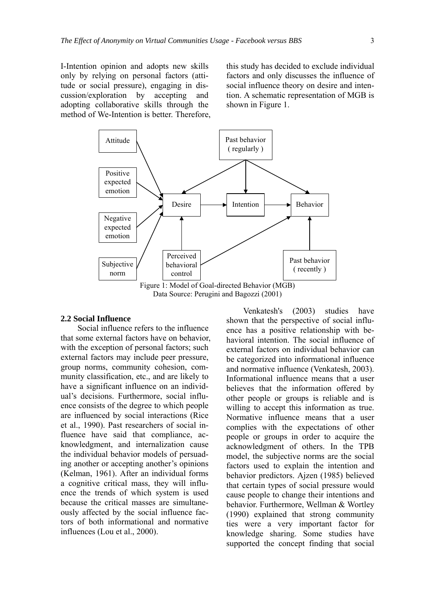I-Intention opinion and adopts new skills only by relying on personal factors (attitude or social pressure), engaging in discussion/exploration by accepting and adopting collaborative skills through the method of We-Intention is better. Therefore, this study has decided to exclude individual factors and only discusses the influence of social influence theory on desire and intention. A schematic representation of MGB is shown in Figure 1.



#### **2.2 Social Influence**

Social influence refers to the influence that some external factors have on behavior, with the exception of personal factors; such external factors may include peer pressure, group norms, community cohesion, community classification, etc., and are likely to have a significant influence on an individual's decisions. Furthermore, social influence consists of the degree to which people are influenced by social interactions (Rice et al., 1990). Past researchers of social influence have said that compliance, acknowledgment, and internalization cause the individual behavior models of persuading another or accepting another's opinions (Kelman, 1961). After an individual forms a cognitive critical mass, they will influence the trends of which system is used because the critical masses are simultaneously affected by the social influence factors of both informational and normative influences (Lou et al., 2000).

Venkatesh's (2003) studies have shown that the perspective of social influence has a positive relationship with behavioral intention. The social influence of external factors on individual behavior can be categorized into informational influence and normative influence (Venkatesh, 2003). Informational influence means that a user believes that the information offered by other people or groups is reliable and is willing to accept this information as true. Normative influence means that a user complies with the expectations of other people or groups in order to acquire the acknowledgment of others. In the TPB model, the subjective norms are the social factors used to explain the intention and behavior predictors. Ajzen (1985) believed that certain types of social pressure would cause people to change their intentions and behavior. Furthermore, Wellman & Wortley (1990) explained that strong community ties were a very important factor for knowledge sharing. Some studies have supported the concept finding that social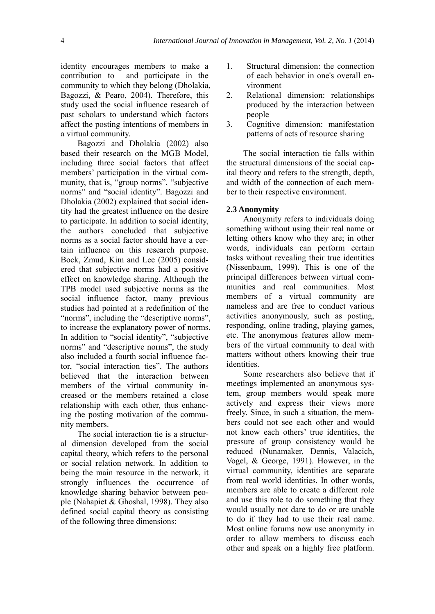identity encourages members to make a contribution to and participate in the community to which they belong (Dholakia, Bagozzi, & Pearo, 2004). Therefore, this study used the social influence research of past scholars to understand which factors affect the posting intentions of members in a virtual community.

Bagozzi and Dholakia (2002) also based their research on the MGB Model, including three social factors that affect members' participation in the virtual community, that is, "group norms", "subjective norms" and "social identity". Bagozzi and Dholakia (2002) explained that social identity had the greatest influence on the desire to participate. In addition to social identity, the authors concluded that subjective norms as a social factor should have a certain influence on this research purpose. Bock, Zmud, Kim and Lee (2005) considered that subjective norms had a positive effect on knowledge sharing. Although the TPB model used subjective norms as the social influence factor, many previous studies had pointed at a redefinition of the "norms", including the "descriptive norms", to increase the explanatory power of norms. In addition to "social identity", "subjective norms" and "descriptive norms", the study also included a fourth social influence factor, "social interaction ties". The authors believed that the interaction between members of the virtual community increased or the members retained a close relationship with each other, thus enhancing the posting motivation of the community members.

The social interaction tie is a structural dimension developed from the social capital theory, which refers to the personal or social relation network. In addition to being the main resource in the network, it strongly influences the occurrence of knowledge sharing behavior between people (Nahapiet & Ghoshal, 1998). They also defined social capital theory as consisting of the following three dimensions:

- 1. Structural dimension: the connection of each behavior in one's overall environment
- 2. Relational dimension: relationships produced by the interaction between people
- 3. Cognitive dimension: manifestation patterns of acts of resource sharing

The social interaction tie falls within the structural dimensions of the social capital theory and refers to the strength, depth, and width of the connection of each member to their respective environment.

#### **2.3 Anonymity**

Anonymity refers to individuals doing something without using their real name or letting others know who they are; in other words, individuals can perform certain tasks without revealing their true identities (Nissenbaum, 1999). This is one of the principal differences between virtual communities and real communities. Most members of a virtual community are nameless and are free to conduct various activities anonymously, such as posting, responding, online trading, playing games, etc. The anonymous features allow members of the virtual community to deal with matters without others knowing their true identities.

Some researchers also believe that if meetings implemented an anonymous system, group members would speak more actively and express their views more freely. Since, in such a situation, the members could not see each other and would not know each others' true identities, the pressure of group consistency would be reduced (Nunamaker, Dennis, Valacich, Vogel, & George, 1991). However, in the virtual community, identities are separate from real world identities. In other words, members are able to create a different role and use this role to do something that they would usually not dare to do or are unable to do if they had to use their real name. Most online forums now use anonymity in order to allow members to discuss each other and speak on a highly free platform.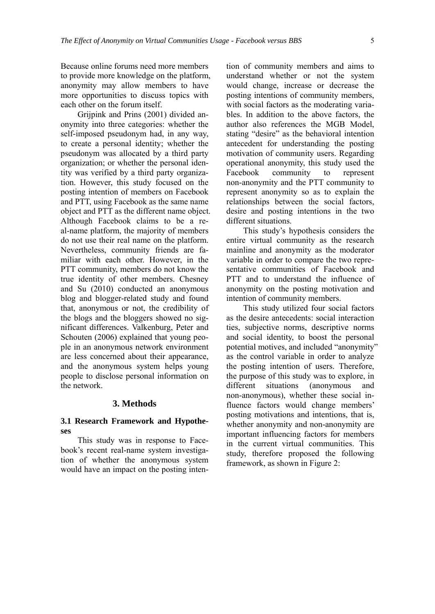Because online forums need more members to provide more knowledge on the platform, anonymity may allow members to have more opportunities to discuss topics with each other on the forum itself.

Grijpink and Prins (2001) divided anonymity into three categories: whether the self-imposed pseudonym had, in any way, to create a personal identity; whether the pseudonym was allocated by a third party organization; or whether the personal identity was verified by a third party organization. However, this study focused on the posting intention of members on Facebook and PTT, using Facebook as the same name object and PTT as the different name object. Although Facebook claims to be a real-name platform, the majority of members do not use their real name on the platform. Nevertheless, community friends are familiar with each other. However, in the PTT community, members do not know the true identity of other members. Chesney and Su (2010) conducted an anonymous blog and blogger-related study and found that, anonymous or not, the credibility of the blogs and the bloggers showed no significant differences. Valkenburg, Peter and Schouten (2006) explained that young people in an anonymous network environment are less concerned about their appearance, and the anonymous system helps young people to disclose personal information on the network.

#### **3. Methods**

#### **3.1 Research Framework and Hypotheses**

This study was in response to Facebook's recent real-name system investigation of whether the anonymous system would have an impact on the posting intention of community members and aims to understand whether or not the system would change, increase or decrease the posting intentions of community members, with social factors as the moderating variables. In addition to the above factors, the author also references the MGB Model, stating "desire" as the behavioral intention antecedent for understanding the posting motivation of community users. Regarding operational anonymity, this study used the Facebook community to represent non-anonymity and the PTT community to represent anonymity so as to explain the relationships between the social factors, desire and posting intentions in the two different situations.

This study's hypothesis considers the entire virtual community as the research mainline and anonymity as the moderator variable in order to compare the two representative communities of Facebook and PTT and to understand the influence of anonymity on the posting motivation and intention of community members.

This study utilized four social factors as the desire antecedents: social interaction ties, subjective norms, descriptive norms and social identity, to boost the personal potential motives, and included "anonymity" as the control variable in order to analyze the posting intention of users. Therefore, the purpose of this study was to explore, in different situations (anonymous and non-anonymous), whether these social influence factors would change members' posting motivations and intentions, that is, whether anonymity and non-anonymity are important influencing factors for members in the current virtual communities. This study, therefore proposed the following framework, as shown in Figure 2: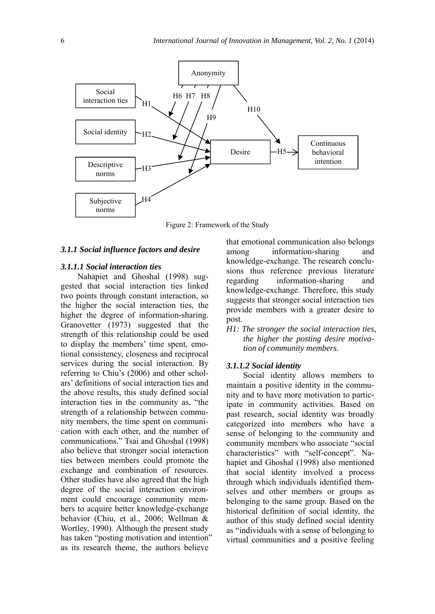

Figure 2: Framework of the Study

#### *3.1.1 Social influence factors and desire*

#### *3.1.1.1 Social interaction ties*

Nahapiet and Ghoshal (1998) suggested that social interaction ties linked two points through constant interaction, so the higher the social interaction ties, the higher the degree of information-sharing. Granovetter (1973) suggested that the strength of this relationship could be used to display the members' time spent, emotional consistency, closeness and reciprocal services during the social interaction. By referring to Chiu's (2006) and other scholars' definitions of social interaction ties and the above results, this study defined social interaction ties in the community as, "the strength of a relationship between community members, the time spent on communication with each other, and the number of communications." Tsai and Ghoshal (1998) also believe that stronger social interaction ties between members could promote the exchange and combination of resources. Other studies have also agreed that the high degree of the social interaction environment could encourage community members to acquire better knowledge-exchange behavior (Chiu, et al., 2006; Wellman & Wortley, 1990). Although the present study has taken "posting motivation and intention" as its research theme, the authors believe

that emotional communication also belongs among information-sharing and knowledge-exchange. The research conclusions thus reference previous literature regarding information-sharing and knowledge-exchange. Therefore, this study suggests that stronger social interaction ties provide members with a greater desire to post.

*H1: The stronger the social interaction ties, the higher the posting desire motivation of community members.* 

#### *3.1.1.2 Social identity*

Social identity allows members to maintain a positive identity in the community and to have more motivation to participate in community activities. Based on past research, social identity was broadly categorized into members who have a sense of belonging to the community and community members who associate "social characteristics" with "self-concept". Nahapiet and Ghoshal (1998) also mentioned that social identity involved a process through which individuals identified themselves and other members or groups as belonging to the same group. Based on the historical definition of social identity, the author of this study defined social identity as "individuals with a sense of belonging to virtual communities and a positive feeling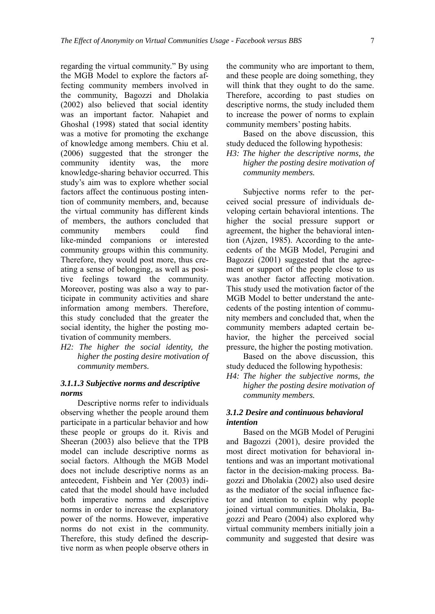regarding the virtual community." By using the MGB Model to explore the factors affecting community members involved in the community, Bagozzi and Dholakia (2002) also believed that social identity was an important factor. Nahapiet and Ghoshal (1998) stated that social identity was a motive for promoting the exchange of knowledge among members. Chiu et al. (2006) suggested that the stronger the community identity was, the more knowledge-sharing behavior occurred. This study's aim was to explore whether social factors affect the continuous posting intention of community members, and, because the virtual community has different kinds of members, the authors concluded that community members could find like-minded companions or interested community groups within this community. Therefore, they would post more, thus creating a sense of belonging, as well as positive feelings toward the community. Moreover, posting was also a way to participate in community activities and share information among members. Therefore, this study concluded that the greater the social identity, the higher the posting motivation of community members.

*H2: The higher the social identity, the higher the posting desire motivation of community members.* 

#### *3.1.1.3 Subjective norms and descriptive norms*

Descriptive norms refer to individuals observing whether the people around them participate in a particular behavior and how these people or groups do it. Rivis and Sheeran (2003) also believe that the TPB model can include descriptive norms as social factors. Although the MGB Model does not include descriptive norms as an antecedent, Fishbein and Yer (2003) indicated that the model should have included both imperative norms and descriptive norms in order to increase the explanatory power of the norms. However, imperative norms do not exist in the community. Therefore, this study defined the descriptive norm as when people observe others in

the community who are important to them, and these people are doing something, they will think that they ought to do the same. Therefore, according to past studies on descriptive norms, the study included them to increase the power of norms to explain community members' posting habits.

Based on the above discussion, this study deduced the following hypothesis:

*H3: The higher the descriptive norms, the higher the posting desire motivation of community members.* 

Subjective norms refer to the perceived social pressure of individuals developing certain behavioral intentions. The higher the social pressure support or agreement, the higher the behavioral intention (Ajzen, 1985). According to the antecedents of the MGB Model, Perugini and Bagozzi (2001) suggested that the agreement or support of the people close to us was another factor affecting motivation. This study used the motivation factor of the MGB Model to better understand the antecedents of the posting intention of community members and concluded that, when the community members adapted certain behavior, the higher the perceived social pressure, the higher the posting motivation.

Based on the above discussion, this study deduced the following hypothesis:

*H4: The higher the subjective norms, the higher the posting desire motivation of community members.* 

#### *3.1.2 Desire and continuous behavioral intention*

Based on the MGB Model of Perugini and Bagozzi (2001), desire provided the most direct motivation for behavioral intentions and was an important motivational factor in the decision-making process. Bagozzi and Dholakia (2002) also used desire as the mediator of the social influence factor and intention to explain why people joined virtual communities. Dholakia, Bagozzi and Pearo (2004) also explored why virtual community members initially join a community and suggested that desire was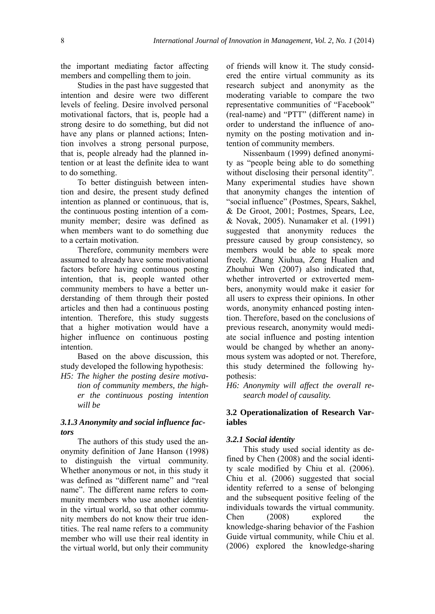the important mediating factor affecting members and compelling them to join.

Studies in the past have suggested that intention and desire were two different levels of feeling. Desire involved personal motivational factors, that is, people had a strong desire to do something, but did not have any plans or planned actions; Intention involves a strong personal purpose, that is, people already had the planned intention or at least the definite idea to want to do something.

To better distinguish between intention and desire, the present study defined intention as planned or continuous, that is, the continuous posting intention of a community member; desire was defined as when members want to do something due to a certain motivation.

Therefore, community members were assumed to already have some motivational factors before having continuous posting intention, that is, people wanted other community members to have a better understanding of them through their posted articles and then had a continuous posting intention. Therefore, this study suggests that a higher motivation would have a higher influence on continuous posting intention.

Based on the above discussion, this study developed the following hypothesis:

*H5: The higher the posting desire motivation of community members, the higher the continuous posting intention will be* 

#### *3.1.3 Anonymity and social influence factors*

The authors of this study used the anonymity definition of Jane Hanson (1998) to distinguish the virtual community. Whether anonymous or not, in this study it was defined as "different name" and "real name". The different name refers to community members who use another identity in the virtual world, so that other community members do not know their true identities. The real name refers to a community member who will use their real identity in the virtual world, but only their community of friends will know it. The study considered the entire virtual community as its research subject and anonymity as the moderating variable to compare the two representative communities of "Facebook" (real-name) and "PTT" (different name) in order to understand the influence of anonymity on the posting motivation and intention of community members.

Nissenbaum (1999) defined anonymity as "people being able to do something without disclosing their personal identity". Many experimental studies have shown that anonymity changes the intention of "social influence" (Postmes, Spears, Sakhel, & De Groot, 2001; Postmes, Spears, Lee, & Novak, 2005). Nunamaker et al. (1991) suggested that anonymity reduces the pressure caused by group consistency, so members would be able to speak more freely. Zhang Xiuhua, Zeng Hualien and Zhouhui Wen (2007) also indicated that, whether introverted or extroverted members, anonymity would make it easier for all users to express their opinions. In other words, anonymity enhanced posting intention. Therefore, based on the conclusions of previous research, anonymity would mediate social influence and posting intention would be changed by whether an anonymous system was adopted or not. Therefore, this study determined the following hypothesis:

*H6: Anonymity will affect the overall research model of causality.* 

#### **3.2 Operationalization of Research Variables**

#### *3.2.1 Social identity*

This study used social identity as defined by Chen (2008) and the social identity scale modified by Chiu et al. (2006). Chiu et al. (2006) suggested that social identity referred to a sense of belonging and the subsequent positive feeling of the individuals towards the virtual community. Chen (2008) explored the knowledge-sharing behavior of the Fashion Guide virtual community, while Chiu et al. (2006) explored the knowledge-sharing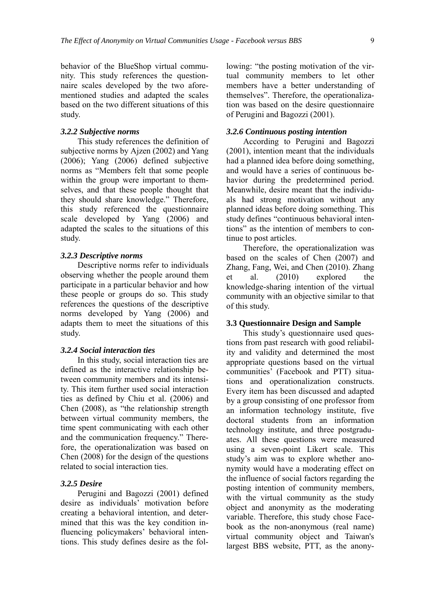behavior of the BlueShop virtual community. This study references the questionnaire scales developed by the two aforementioned studies and adapted the scales based on the two different situations of this study.

#### *3.2.2 Subjective norms*

This study references the definition of subjective norms by Ajzen (2002) and Yang (2006); Yang (2006) defined subjective norms as "Members felt that some people within the group were important to themselves, and that these people thought that they should share knowledge." Therefore, this study referenced the questionnaire scale developed by Yang (2006) and adapted the scales to the situations of this study.

#### *3.2.3 Descriptive norms*

Descriptive norms refer to individuals observing whether the people around them participate in a particular behavior and how these people or groups do so. This study references the questions of the descriptive norms developed by Yang (2006) and adapts them to meet the situations of this study.

#### *3.2.4 Social interaction ties*

In this study, social interaction ties are defined as the interactive relationship between community members and its intensity. This item further used social interaction ties as defined by Chiu et al. (2006) and Chen (2008), as "the relationship strength between virtual community members, the time spent communicating with each other and the communication frequency." Therefore, the operationalization was based on Chen (2008) for the design of the questions related to social interaction ties.

#### *3.2.5 Desire*

Perugini and Bagozzi (2001) defined desire as individuals' motivation before creating a behavioral intention, and determined that this was the key condition influencing policymakers' behavioral intentions. This study defines desire as the following: "the posting motivation of the virtual community members to let other members have a better understanding of themselves". Therefore, the operationalization was based on the desire questionnaire of Perugini and Bagozzi (2001).

#### *3.2.6 Continuous posting intention*

According to Perugini and Bagozzi (2001), intention meant that the individuals had a planned idea before doing something, and would have a series of continuous behavior during the predetermined period. Meanwhile, desire meant that the individuals had strong motivation without any planned ideas before doing something. This study defines "continuous behavioral intentions" as the intention of members to continue to post articles.

Therefore, the operationalization was based on the scales of Chen (2007) and Zhang, Fang, Wei, and Chen (2010). Zhang et al. (2010) explored the knowledge-sharing intention of the virtual community with an objective similar to that of this study.

#### **3.3 Questionnaire Design and Sample**

This study's questionnaire used questions from past research with good reliability and validity and determined the most appropriate questions based on the virtual communities' (Facebook and PTT) situations and operationalization constructs. Every item has been discussed and adapted by a group consisting of one professor from an information technology institute, five doctoral students from an information technology institute, and three postgraduates. All these questions were measured using a seven-point Likert scale. This study's aim was to explore whether anonymity would have a moderating effect on the influence of social factors regarding the posting intention of community members, with the virtual community as the study object and anonymity as the moderating variable. Therefore, this study chose Facebook as the non-anonymous (real name) virtual community object and Taiwan's largest BBS website, PTT, as the anony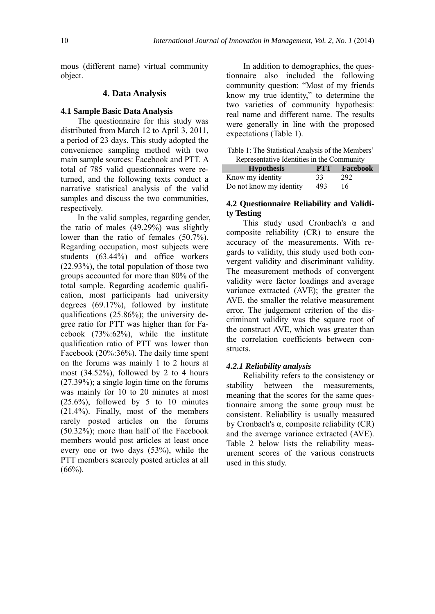mous (different name) virtual community object.

#### **4. Data Analysis**

#### **4.1 Sample Basic Data Analysis**

The questionnaire for this study was distributed from March 12 to April 3, 2011, a period of 23 days. This study adopted the convenience sampling method with two main sample sources: Facebook and PTT. A total of 785 valid questionnaires were returned, and the following texts conduct a narrative statistical analysis of the valid samples and discuss the two communities, respectively.

In the valid samples, regarding gender, the ratio of males (49.29%) was slightly lower than the ratio of females (50.7%). Regarding occupation, most subjects were students (63.44%) and office workers (22.93%), the total population of those two groups accounted for more than 80% of the total sample. Regarding academic qualification, most participants had university degrees (69.17%), followed by institute qualifications (25.86%); the university degree ratio for PTT was higher than for Facebook (73%:62%), while the institute qualification ratio of PTT was lower than Facebook (20%:36%). The daily time spent on the forums was mainly 1 to 2 hours at most (34.52%), followed by 2 to 4 hours (27.39%); a single login time on the forums was mainly for 10 to 20 minutes at most  $(25.6\%)$ , followed by 5 to 10 minutes (21.4%). Finally, most of the members rarely posted articles on the forums (50.32%); more than half of the Facebook members would post articles at least once every one or two days (53%), while the PTT members scarcely posted articles at all  $(66\%)$ .

In addition to demographics, the questionnaire also included the following community question: "Most of my friends know my true identity," to determine the two varieties of community hypothesis: real name and different name. The results were generally in line with the proposed expectations (Table 1).

| Table 1: The Statistical Analysis of the Members' |
|---------------------------------------------------|
| Representative Identities in the Community        |

| <b>Hypothesis</b>       | <b>PTT</b> | Facebook |
|-------------------------|------------|----------|
| Know my identity        | 33         | 292      |
| Do not know my identity | 493        | 16       |

#### **4.2 Questionnaire Reliability and Validity Testing**

This study used Cronbach's  $\alpha$  and composite reliability (CR) to ensure the accuracy of the measurements. With regards to validity, this study used both convergent validity and discriminant validity. The measurement methods of convergent validity were factor loadings and average variance extracted (AVE); the greater the AVE, the smaller the relative measurement error. The judgement criterion of the discriminant validity was the square root of the construct AVE, which was greater than the correlation coefficients between constructs.

#### *4.2.1 Reliability analysis*

Reliability refers to the consistency or stability between the measurements, meaning that the scores for the same questionnaire among the same group must be consistent. Reliability is usually measured by Cronbach's α, composite reliability (CR) and the average variance extracted (AVE). Table 2 below lists the reliability measurement scores of the various constructs used in this study.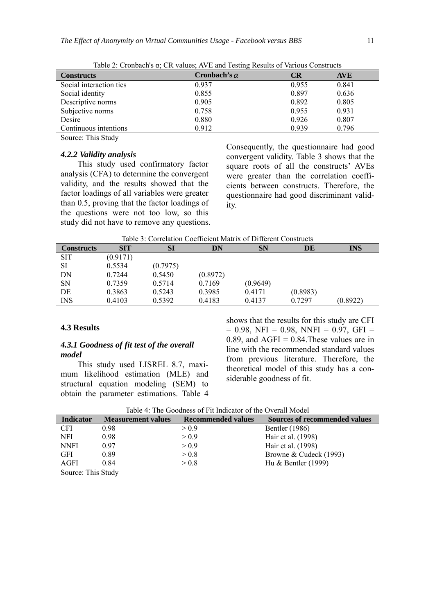| Tuble 2. Cronouviro a, Civilados, Aviz and Testing Results of Various Constructs |                     |       |            |
|----------------------------------------------------------------------------------|---------------------|-------|------------|
| <b>Constructs</b>                                                                | Cronbach's $\alpha$ | CR    | <b>AVE</b> |
| Social interaction ties                                                          | 0.937               | 0.955 | 0.841      |
| Social identity                                                                  | 0.855               | 0.897 | 0.636      |
| Descriptive norms                                                                | 0.905               | 0.892 | 0.805      |
| Subjective norms                                                                 | 0.758               | 0.955 | 0.931      |
| Desire                                                                           | 0.880               | 0.926 | 0.807      |
| Continuous intentions                                                            | 0.912               | 0.939 | 0.796      |

Table 2: Cronbach's α; CR values; AVE and Testing Results of Various Constructs

Source: This Study

#### *4.2.2 Validity analysis*

This study used confirmatory factor analysis (CFA) to determine the convergent validity, and the results showed that the factor loadings of all variables were greater than 0.5, proving that the factor loadings of the questions were not too low, so this study did not have to remove any questions. Consequently, the questionnaire had good convergent validity. Table 3 shows that the square roots of all the constructs' AVEs were greater than the correlation coefficients between constructs. Therefore, the questionnaire had good discriminant validity.

| Table 3: Correlation Coefficient Matrix of Different Constructs |  |  |  |  |  |  |
|-----------------------------------------------------------------|--|--|--|--|--|--|
|-----------------------------------------------------------------|--|--|--|--|--|--|

| <b>Constructs</b> | <b>SIT</b> | SI       | DN       | <b>SN</b> | DE       | <b>INS</b> |
|-------------------|------------|----------|----------|-----------|----------|------------|
| <b>SIT</b>        | (0.9171)   |          |          |           |          |            |
| SI                | 0.5534     | (0.7975) |          |           |          |            |
| DN                | 0.7244     | 0.5450   | (0.8972) |           |          |            |
| <b>SN</b>         | 0.7359     | 0.5714   | 0.7169   | (0.9649)  |          |            |
| DE                | 0.3863     | 0.5243   | 0.3985   | 0.4171    | (0.8983) |            |
| <b>INS</b>        | 0.4103     | 0.5392   | 0.4183   | 0.4137    | 0.7297   | (0.8922)   |

#### **4.3 Results**

#### *4.3.1 Goodness of fit test of the overall model*

This study used LISREL 8.7, maximum likelihood estimation (MLE) and structural equation modeling (SEM) to obtain the parameter estimations. Table 4 shows that the results for this study are CFI  $= 0.98$ , NFI  $= 0.98$ , NNFI  $= 0.97$ , GFI  $=$ 0.89, and  $AGFI = 0.84$ . These values are in line with the recommended standard values from previous literature. Therefore, the theoretical model of this study has a considerable goodness of fit.

| Table 4: The Goodness of Fit Indicator of the Overall Model |                           |                           |                               |
|-------------------------------------------------------------|---------------------------|---------------------------|-------------------------------|
| <b>Indicator</b>                                            | <b>Measurement values</b> | <b>Recommended values</b> | Sources of recommended values |
| <b>CFI</b>                                                  | 0.98                      | > 0.9                     | <b>Bentler</b> (1986)         |
| <b>NFI</b>                                                  | 0.98                      | > 0.9                     | Hair et al. (1998)            |
| <b>NNFI</b>                                                 | 0.97                      | > 0.9                     | Hair et al. (1998)            |
| <b>GFI</b>                                                  | 0.89                      | > 0.8                     | Browne & Cudeck (1993)        |
| AGFI                                                        | 0.84                      | > 0.8                     | Hu $&$ Bentler (1999)         |
|                                                             |                           |                           |                               |

|  |  | Table 4: The Goodness of Fit Indicator of the Overall Model |
|--|--|-------------------------------------------------------------|
|--|--|-------------------------------------------------------------|

Source: This Study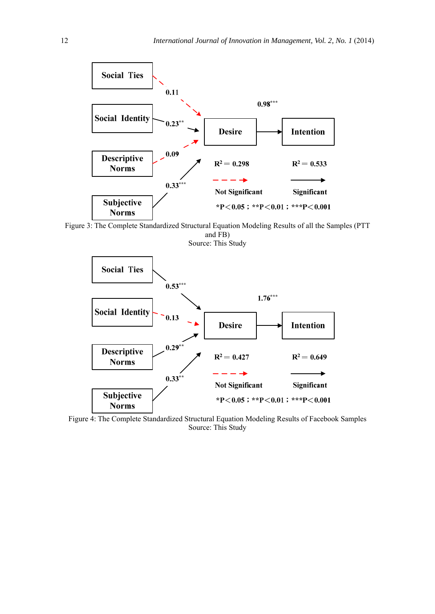

Figure 3: The Complete Standardized Structural Equation Modeling Results of all the Samples (PTT and FB) Source: This Study



Figure 4: The Complete Standardized Structural Equation Modeling Results of Facebook Samples Source: This Study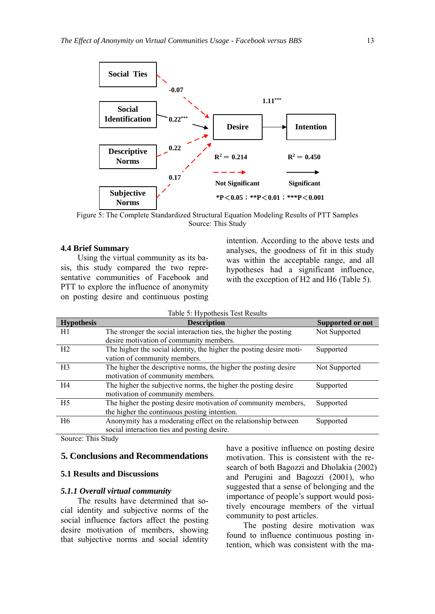

Figure 5: The Complete Standardized Structural Equation Modeling Results of PTT Samples Source: This Study

#### **4.4 Brief Summary**

Using the virtual community as its basis, this study compared the two representative communities of Facebook and PTT to explore the influence of anonymity on posting desire and continuous posting intention. According to the above tests and analyses, the goodness of fit in this study was within the acceptable range, and all hypotheses had a significant influence, with the exception of H<sub>2</sub> and H<sub>6</sub> (Table 5).

| Table 5: Hypothesis Test Results |                                                                     |                  |  |
|----------------------------------|---------------------------------------------------------------------|------------------|--|
| <b>Hypothesis</b>                | <b>Description</b>                                                  | Supported or not |  |
| H1                               | The stronger the social interaction ties, the higher the posting    | Not Supported    |  |
|                                  | desire motivation of community members.                             |                  |  |
| H <sub>2</sub>                   | The higher the social identity, the higher the posting desire moti- | Supported        |  |
|                                  | vation of community members.                                        |                  |  |
| H <sub>3</sub>                   | The higher the descriptive norms, the higher the posting desire     | Not Supported    |  |
|                                  | motivation of community members.                                    |                  |  |
| H4                               | The higher the subjective norms, the higher the posting desire      | Supported        |  |
|                                  | motivation of community members.                                    |                  |  |
| H <sub>5</sub>                   | The higher the posting desire motivation of community members,      | Supported        |  |
|                                  | the higher the continuous posting intention.                        |                  |  |
| H <sub>6</sub>                   | Anonymity has a moderating effect on the relationship between       | Supported        |  |
|                                  | social interaction ties and posting desire.                         |                  |  |

Source: This Study

#### **5. Conclusions and Recommendations**

#### **5.1 Results and Discussions**

#### *5.1.1 Overall virtual community*

The results have determined that social identity and subjective norms of the social influence factors affect the posting desire motivation of members, showing that subjective norms and social identity have a positive influence on posting desire motivation. This is consistent with the research of both Bagozzi and Dholakia (2002) and Perugini and Bagozzi (2001), who suggested that a sense of belonging and the importance of people's support would positively encourage members of the virtual community to post articles.

The posting desire motivation was found to influence continuous posting intention, which was consistent with the ma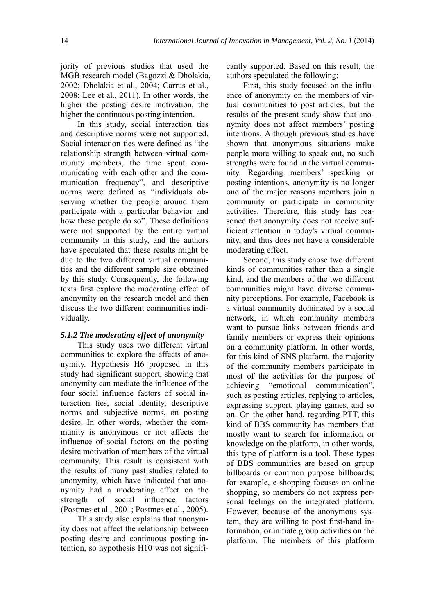jority of previous studies that used the MGB research model (Bagozzi & Dholakia, 2002; Dholakia et al., 2004; Carrus et al., 2008; Lee et al., 2011). In other words, the higher the posting desire motivation, the higher the continuous posting intention.

In this study, social interaction ties and descriptive norms were not supported. Social interaction ties were defined as "the relationship strength between virtual community members, the time spent communicating with each other and the communication frequency", and descriptive norms were defined as "individuals observing whether the people around them participate with a particular behavior and how these people do so". These definitions were not supported by the entire virtual community in this study, and the authors have speculated that these results might be due to the two different virtual communities and the different sample size obtained by this study. Consequently, the following texts first explore the moderating effect of anonymity on the research model and then discuss the two different communities individually.

#### *5.1.2 The moderating effect of anonymity*

This study uses two different virtual communities to explore the effects of anonymity. Hypothesis H6 proposed in this study had significant support, showing that anonymity can mediate the influence of the four social influence factors of social interaction ties, social identity, descriptive norms and subjective norms, on posting desire. In other words, whether the community is anonymous or not affects the influence of social factors on the posting desire motivation of members of the virtual community. This result is consistent with the results of many past studies related to anonymity, which have indicated that anonymity had a moderating effect on the strength of social influence factors (Postmes et al., 2001; Postmes et al., 2005).

This study also explains that anonymity does not affect the relationship between posting desire and continuous posting intention, so hypothesis H10 was not significantly supported. Based on this result, the authors speculated the following:

First, this study focused on the influence of anonymity on the members of virtual communities to post articles, but the results of the present study show that anonymity does not affect members' posting intentions. Although previous studies have shown that anonymous situations make people more willing to speak out, no such strengths were found in the virtual community. Regarding members' speaking or posting intentions, anonymity is no longer one of the major reasons members join a community or participate in community activities. Therefore, this study has reasoned that anonymity does not receive sufficient attention in today's virtual community, and thus does not have a considerable moderating effect.

Second, this study chose two different kinds of communities rather than a single kind, and the members of the two different communities might have diverse community perceptions. For example, Facebook is a virtual community dominated by a social network, in which community members want to pursue links between friends and family members or express their opinions on a community platform. In other words, for this kind of SNS platform, the majority of the community members participate in most of the activities for the purpose of achieving "emotional communication", such as posting articles, replying to articles, expressing support, playing games, and so on. On the other hand, regarding PTT, this kind of BBS community has members that mostly want to search for information or knowledge on the platform, in other words, this type of platform is a tool. These types of BBS communities are based on group billboards or common purpose billboards; for example, e-shopping focuses on online shopping, so members do not express personal feelings on the integrated platform. However, because of the anonymous system, they are willing to post first-hand information, or initiate group activities on the platform. The members of this platform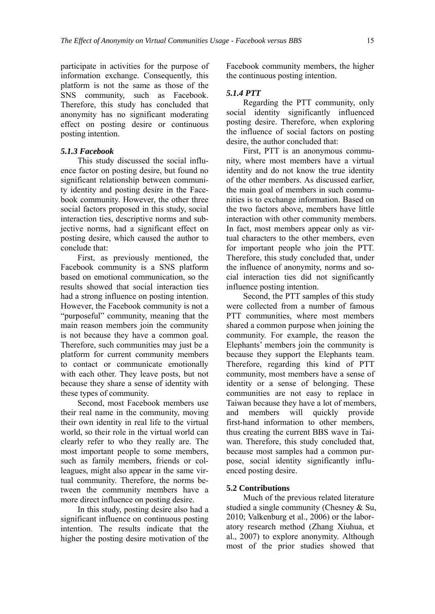participate in activities for the purpose of information exchange. Consequently, this platform is not the same as those of the SNS community, such as Facebook. Therefore, this study has concluded that anonymity has no significant moderating effect on posting desire or continuous posting intention.

#### *5.1.3 Facebook*

This study discussed the social influence factor on posting desire, but found no significant relationship between community identity and posting desire in the Facebook community. However, the other three social factors proposed in this study, social interaction ties, descriptive norms and subjective norms, had a significant effect on posting desire, which caused the author to conclude that:

First, as previously mentioned, the Facebook community is a SNS platform based on emotional communication, so the results showed that social interaction ties had a strong influence on posting intention. However, the Facebook community is not a "purposeful" community, meaning that the main reason members join the community is not because they have a common goal. Therefore, such communities may just be a platform for current community members to contact or communicate emotionally with each other. They leave posts, but not because they share a sense of identity with these types of community.

Second, most Facebook members use their real name in the community, moving their own identity in real life to the virtual world, so their role in the virtual world can clearly refer to who they really are. The most important people to some members, such as family members, friends or colleagues, might also appear in the same virtual community. Therefore, the norms between the community members have a more direct influence on posting desire.

In this study, posting desire also had a significant influence on continuous posting intention. The results indicate that the higher the posting desire motivation of the

Facebook community members, the higher the continuous posting intention.

#### *5.1.4 PTT*

Regarding the PTT community, only social identity significantly influenced posting desire. Therefore, when exploring the influence of social factors on posting desire, the author concluded that:

First, PTT is an anonymous community, where most members have a virtual identity and do not know the true identity of the other members. As discussed earlier, the main goal of members in such communities is to exchange information. Based on the two factors above, members have little interaction with other community members. In fact, most members appear only as virtual characters to the other members, even for important people who join the PTT. Therefore, this study concluded that, under the influence of anonymity, norms and social interaction ties did not significantly influence posting intention.

Second, the PTT samples of this study were collected from a number of famous PTT communities, where most members shared a common purpose when joining the community. For example, the reason the Elephants' members join the community is because they support the Elephants team. Therefore, regarding this kind of PTT community, most members have a sense of identity or a sense of belonging. These communities are not easy to replace in Taiwan because they have a lot of members, and members will quickly provide first-hand information to other members, thus creating the current BBS wave in Taiwan. Therefore, this study concluded that, because most samples had a common purpose, social identity significantly influenced posting desire.

#### **5.2 Contributions**

Much of the previous related literature studied a single community (Chesney & Su, 2010; Valkenburg et al., 2006) or the laboratory research method (Zhang Xiuhua, et al., 2007) to explore anonymity. Although most of the prior studies showed that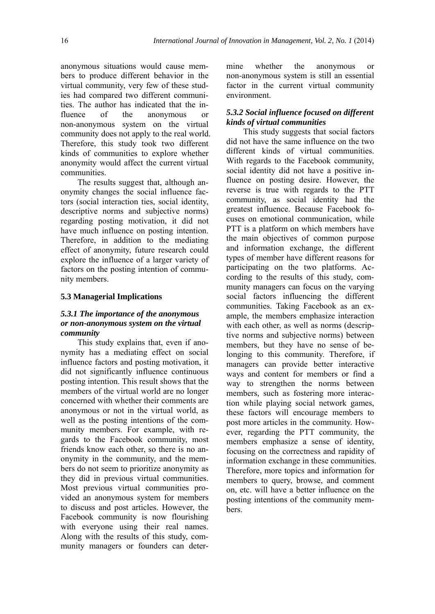anonymous situations would cause members to produce different behavior in the virtual community, very few of these studies had compared two different communities. The author has indicated that the influence of the anonymous or non-anonymous system on the virtual community does not apply to the real world. Therefore, this study took two different kinds of communities to explore whether anonymity would affect the current virtual communities.

The results suggest that, although anonymity changes the social influence factors (social interaction ties, social identity, descriptive norms and subjective norms) regarding posting motivation, it did not have much influence on posting intention. Therefore, in addition to the mediating effect of anonymity, future research could explore the influence of a larger variety of factors on the posting intention of community members.

#### **5.3 Managerial Implications**

#### *5.3.1 The importance of the anonymous or non-anonymous system on the virtual community*

This study explains that, even if anonymity has a mediating effect on social influence factors and posting motivation, it did not significantly influence continuous posting intention. This result shows that the members of the virtual world are no longer concerned with whether their comments are anonymous or not in the virtual world, as well as the posting intentions of the community members. For example, with regards to the Facebook community, most friends know each other, so there is no anonymity in the community, and the members do not seem to prioritize anonymity as they did in previous virtual communities. Most previous virtual communities provided an anonymous system for members to discuss and post articles. However, the Facebook community is now flourishing with everyone using their real names. Along with the results of this study, community managers or founders can determine whether the anonymous or non-anonymous system is still an essential factor in the current virtual community environment.

#### *5.3.2 Social influence focused on different kinds of virtual communities*

This study suggests that social factors did not have the same influence on the two different kinds of virtual communities. With regards to the Facebook community, social identity did not have a positive influence on posting desire. However, the reverse is true with regards to the PTT community, as social identity had the greatest influence. Because Facebook focuses on emotional communication, while PTT is a platform on which members have the main objectives of common purpose and information exchange, the different types of member have different reasons for participating on the two platforms. According to the results of this study, community managers can focus on the varying social factors influencing the different communities. Taking Facebook as an example, the members emphasize interaction with each other, as well as norms (descriptive norms and subjective norms) between members, but they have no sense of belonging to this community. Therefore, if managers can provide better interactive ways and content for members or find a way to strengthen the norms between members, such as fostering more interaction while playing social network games, these factors will encourage members to post more articles in the community. However, regarding the PTT community, the members emphasize a sense of identity, focusing on the correctness and rapidity of information exchange in these communities. Therefore, more topics and information for members to query, browse, and comment on, etc. will have a better influence on the posting intentions of the community members.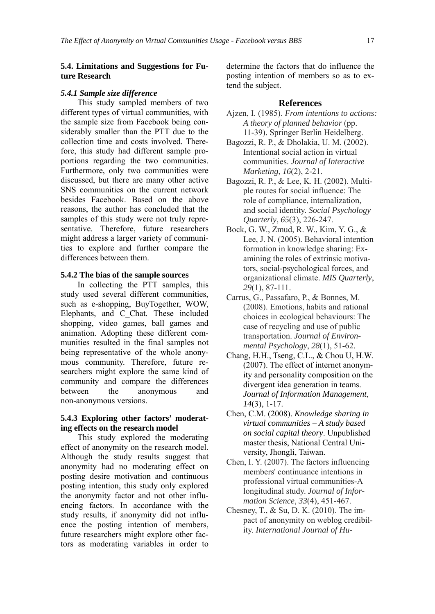#### **5.4. Limitations and Suggestions for Future Research**

#### *5.4.1 Sample size difference*

This study sampled members of two different types of virtual communities, with the sample size from Facebook being considerably smaller than the PTT due to the collection time and costs involved. Therefore, this study had different sample proportions regarding the two communities. Furthermore, only two communities were discussed, but there are many other active SNS communities on the current network besides Facebook. Based on the above reasons, the author has concluded that the samples of this study were not truly representative. Therefore, future researchers might address a larger variety of communities to explore and further compare the differences between them.

#### **5.4.2 The bias of the sample sources**

In collecting the PTT samples, this study used several different communities, such as e-shopping, BuyTogether, WOW, Elephants, and C\_Chat. These included shopping, video games, ball games and animation. Adopting these different communities resulted in the final samples not being representative of the whole anonymous community. Therefore, future researchers might explore the same kind of community and compare the differences between the anonymous and non-anonymous versions.

#### **5.4.3 Exploring other factors' moderating effects on the research model**

This study explored the moderating effect of anonymity on the research model. Although the study results suggest that anonymity had no moderating effect on posting desire motivation and continuous posting intention, this study only explored the anonymity factor and not other influencing factors. In accordance with the study results, if anonymity did not influence the posting intention of members, future researchers might explore other factors as moderating variables in order to

determine the factors that do influence the posting intention of members so as to extend the subject.

#### **References**

- Ajzen, I. (1985). *From intentions to actions: A theory of planned behavior* (pp. 11-39). Springer Berlin Heidelberg.
- Bagozzi, R. P., & Dholakia, U. M. (2002). Intentional social action in virtual communities. *Journal of Interactive Marketing*, *16*(2), 2-21.
- Bagozzi, R. P., & Lee, K. H. (2002). Multiple routes for social influence: The role of compliance, internalization, and social identity. *Social Psychology Quarterly*, *65*(3), 226-247.
- Bock, G. W., Zmud, R. W., Kim, Y. G., & Lee, J. N. (2005). Behavioral intention formation in knowledge sharing: Examining the roles of extrinsic motivators, social-psychological forces, and organizational climate. *MIS Quarterly*, *29*(1), 87-111.
- Carrus, G., Passafaro, P., & Bonnes, M. (2008). Emotions, habits and rational choices in ecological behaviours: The case of recycling and use of public transportation. *Journal of Environmental Psychology*, *28*(1), 51-62.
- Chang, H.H., Tseng, C.L., & Chou U, H.W. (2007). The effect of internet anonymity and personality composition on the divergent idea generation in teams. *Journal of Information Management*, *14*(3), 1-17.
- Chen, C.M. (2008). *Knowledge sharing in virtual communities – A study based on social capital theory*. Unpublished master thesis, National Central University, Jhongli, Taiwan.
- Chen, I. Y. (2007). The factors influencing members' continuance intentions in professional virtual communities-A longitudinal study. *Journal of Information Science*, *33*(4), 451-467.
- Chesney, T., & Su, D. K. (2010). The impact of anonymity on weblog credibility. *International Journal of Hu-*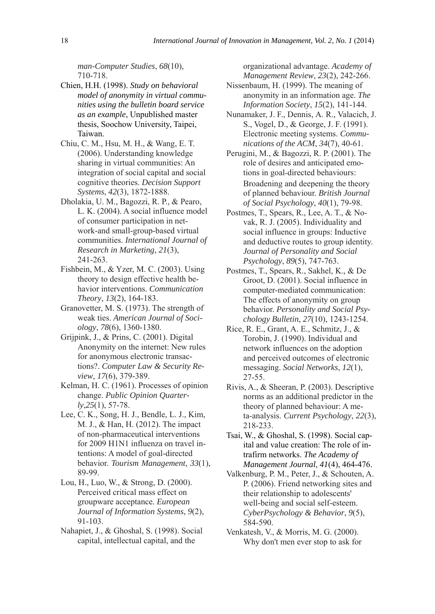*man-Computer Studies*, *68*(10), 710-718.

- Chien, H.H. (1998). *Study on behavioral model of anonymity in virtual communities using the bulletin board service as an example*, Unpublished master thesis, Soochow University, Taipei, Taiwan.
- Chiu, C. M., Hsu, M. H., & Wang, E. T. (2006). Understanding knowledge sharing in virtual communities: An integration of social capital and social cognitive theories. *Decision Support Systems*, *42*(3), 1872-1888.
- Dholakia, U. M., Bagozzi, R. P., & Pearo, L. K. (2004). A social influence model of consumer participation in network-and small-group-based virtual communities. *International Journal of Research in Marketing*, *21*(3), 241-263.
- Fishbein, M., & Yzer, M. C. (2003). Using theory to design effective health behavior interventions. *Communication Theory*, *13*(2), 164-183.
- Granovetter, M. S. (1973). The strength of weak ties. *American Journal of Sociology*, *78*(6), 1360-1380.
- Grijpink, J., & Prins, C. (2001). Digital Anonymity on the internet: New rules for anonymous electronic transactions?. *Computer Law & Security Review*, *17*(6), 379-389.
- Kelman, H. C. (1961). Processes of opinion change. *Public Opinion Quarterly*,*25*(1), 57-78.
- Lee, C. K., Song, H. J., Bendle, L. J., Kim, M. J., & Han, H. (2012). The impact of non-pharmaceutical interventions for 2009 H1N1 influenza on travel intentions: A model of goal-directed behavior. *Tourism Management*, *33*(1), 89-99.
- Lou, H., Luo, W., & Strong, D. (2000). Perceived critical mass effect on groupware acceptance. *European Journal of Information Systems*, *9*(2), 91-103.
- Nahapiet, J., & Ghoshal, S. (1998). Social capital, intellectual capital, and the

organizational advantage. *Academy of Management Review*, *23*(2), 242-266.

- Nissenbaum, H. (1999). The meaning of anonymity in an information age. *The Information Society*, *15*(2), 141-144.
- Nunamaker, J. F., Dennis, A. R., Valacich, J. S., Vogel, D., & George, J. F. (1991). Electronic meeting systems. *Communications of the ACM*, *34*(7), 40-61.
- Perugini, M., & Bagozzi, R. P. (2001). The role of desires and anticipated emotions in goal-directed behaviours: Broadening and deepening the theory of planned behaviour. *British Journal of Social Psychology*, *40*(1), 79-98.
- Postmes, T., Spears, R., Lee, A. T., & Novak, R. J. (2005). Individuality and social influence in groups: Inductive and deductive routes to group identity. *Journal of Personality and Social Psychology*, *89*(5), 747-763.
- Postmes, T., Spears, R., Sakhel, K., & De Groot, D. (2001). Social influence in computer-mediated communication: The effects of anonymity on group behavior. *Personality and Social Psychology Bulletin*, *27*(10), 1243-1254.
- Rice, R. E., Grant, A. E., Schmitz, J., & Torobin, J. (1990). Individual and network influences on the adoption and perceived outcomes of electronic messaging. *Social Networks*, *12*(1), 27-55.
- Rivis, A., & Sheeran, P. (2003). Descriptive norms as an additional predictor in the theory of planned behaviour: A meta-analysis. *Current Psychology*, *22*(3), 218-233.
- Tsai, W., & Ghoshal, S. (1998). Social capital and value creation: The role of intrafirm networks. *The Academy of Management Journal*, *41*(4), 464-476.
- Valkenburg, P. M., Peter, J., & Schouten, A. P. (2006). Friend networking sites and their relationship to adolescents' well-being and social self-esteem. *CyberPsychology & Behavior*, *9*(5), 584-590.
- Venkatesh, V., & Morris, M. G. (2000). Why don't men ever stop to ask for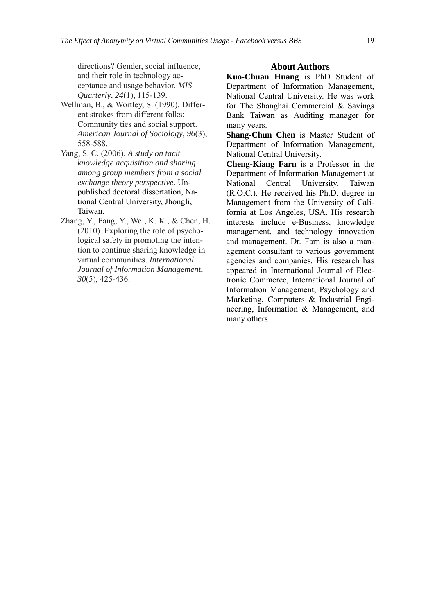directions? Gender, social influence, and their role in technology acceptance and usage behavior. *MIS Quarterly*, *24*(1), 115-139.

- Wellman, B., & Wortley, S. (1990). Different strokes from different folks: Community ties and social support. *American Journal of Sociology*, *96*(3), 558-588.
- Yang, S. C. (2006). *A study on tacit knowledge acquisition and sharing among group members from a social exchange theory perspective*. Unpublished doctoral dissertation, National Central University, Jhongli, Taiwan.
- Zhang, Y., Fang, Y., Wei, K. K., & Chen, H. (2010). Exploring the role of psychological safety in promoting the intention to continue sharing knowledge in virtual communities. *International Journal of Information Management*, *30*(5), 425-436.

#### **About Authors**

**Kuo-Chuan Huang** is PhD Student of Department of Information Management, National Central University. He was work for The Shanghai Commercial & Savings Bank Taiwan as Auditing manager for many years.

**Shang-Chun Chen** is Master Student of Department of Information Management, National Central University.

**Cheng-Kiang Farn** is a Professor in the Department of Information Management at National Central University, Taiwan (R.O.C.). He received his Ph.D. degree in Management from the University of California at Los Angeles, USA. His research interests include e-Business, knowledge management, and technology innovation and management. Dr. Farn is also a management consultant to various government agencies and companies. His research has appeared in International Journal of Electronic Commerce, International Journal of Information Management, Psychology and Marketing, Computers & Industrial Engineering, Information & Management, and many others.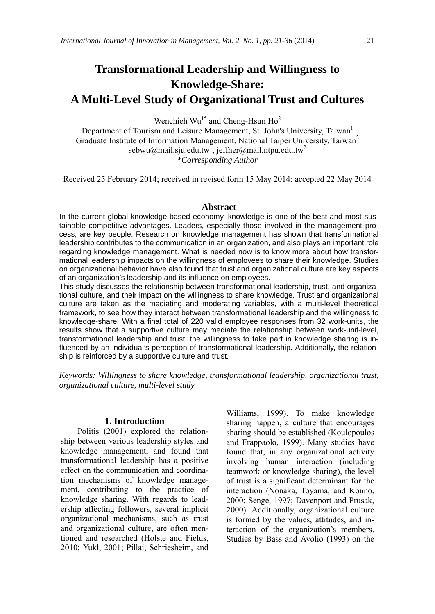# **Transformational Leadership and Willingness to Knowledge-Share: A Multi-Level Study of Organizational Trust and Cultures**

Wenchieh  $Wu^{1*}$  and Cheng-Hsun Ho<sup>2</sup>

Department of Tourism and Leisure Management, St. John's University, Taiwan<sup>1</sup> Graduate Institute of Information Management, National Taipei University, Taiwan<sup>2</sup> sebwu@mail.sju.edu.tw<sup>1</sup>, jeffher@mail.ntpu.edu.tw<sup>2</sup> *\*Corresponding Author* 

Received 25 February 2014; received in revised form 15 May 2014; accepted 22 May 2014

#### **Abstract**

In the current global knowledge-based economy, knowledge is one of the best and most sustainable competitive advantages. Leaders, especially those involved in the management process, are key people. Research on knowledge management has shown that transformational leadership contributes to the communication in an organization, and also plays an important role regarding knowledge management. What is needed now is to know more about how transformational leadership impacts on the willingness of employees to share their knowledge. Studies on organizational behavior have also found that trust and organizational culture are key aspects of an organization's leadership and its influence on employees.

This study discusses the relationship between transformational leadership, trust, and organizational culture, and their impact on the willingness to share knowledge. Trust and organizational culture are taken as the mediating and moderating variables, with a multi-level theoretical framework, to see how they interact between transformational leadership and the willingness to knowledge-share. With a final total of 220 valid employee responses from 32 work-units, the results show that a supportive culture may mediate the relationship between work-unit-level, transformational leadership and trust; the willingness to take part in knowledge sharing is influenced by an individual's perception of transformational leadership. Additionally, the relationship is reinforced by a supportive culture and trust.

*Keywords: Willingness to share knowledge, transformational leadership, organizational trust, organizational culture, multi-level study* 

#### **1. Introduction**

Politis (2001) explored the relationship between various leadership styles and knowledge management, and found that transformational leadership has a positive effect on the communication and coordination mechanisms of knowledge management, contributing to the practice of knowledge sharing. With regards to leadership affecting followers, several implicit organizational mechanisms, such as trust and organizational culture, are often mentioned and researched (Holste and Fields, 2010; Yukl, 2001; Pillai, Schriesheim, and

Williams, 1999). To make knowledge sharing happen, a culture that encourages sharing should be established (Koulopoulos and Frappaolo, 1999). Many studies have found that, in any organizational activity involving human interaction (including teamwork or knowledge sharing), the level of trust is a significant determinant for the interaction (Nonaka, Toyama, and Konno, 2000; Senge, 1997; Davenport and Prusak, 2000). Additionally, organizational culture is formed by the values, attitudes, and interaction of the organization's members. Studies by Bass and Avolio (1993) on the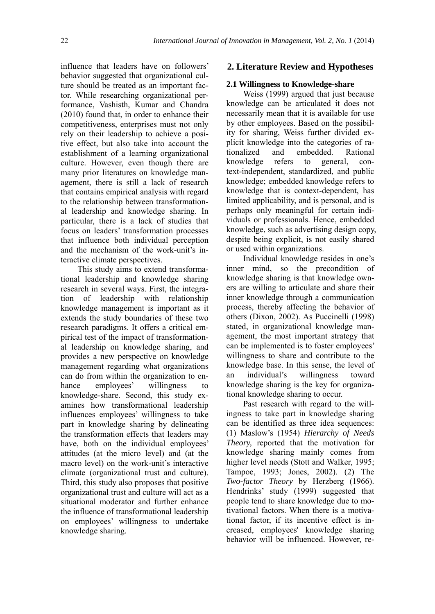influence that leaders have on followers' behavior suggested that organizational culture should be treated as an important factor. While researching organizational performance, Vashisth, Kumar and Chandra (2010) found that, in order to enhance their competitiveness, enterprises must not only rely on their leadership to achieve a positive effect, but also take into account the establishment of a learning organizational culture. However, even though there are many prior literatures on knowledge management, there is still a lack of research that contains empirical analysis with regard to the relationship between transformational leadership and knowledge sharing. In particular, there is a lack of studies that focus on leaders' transformation processes that influence both individual perception and the mechanism of the work-unit's interactive climate perspectives.

This study aims to extend transformational leadership and knowledge sharing research in several ways. First, the integration of leadership with relationship knowledge management is important as it extends the study boundaries of these two research paradigms. It offers a critical empirical test of the impact of transformational leadership on knowledge sharing, and provides a new perspective on knowledge management regarding what organizations can do from within the organization to enhance employees' willingness to knowledge-share. Second, this study examines how transformational leadership influences employees' willingness to take part in knowledge sharing by delineating the transformation effects that leaders may have, both on the individual employees' attitudes (at the micro level) and (at the macro level) on the work-unit's interactive climate (organizational trust and culture). Third, this study also proposes that positive organizational trust and culture will act as a situational moderator and further enhance the influence of transformational leadership on employees' willingness to undertake knowledge sharing.

#### **2. Literature Review and Hypotheses**

#### **2.1 Willingness to Knowledge-share**

Weiss (1999) argued that just because knowledge can be articulated it does not necessarily mean that it is available for use by other employees. Based on the possibility for sharing, Weiss further divided explicit knowledge into the categories of rationalized and embedded. Rational knowledge refers to general, context-independent, standardized, and public knowledge; embedded knowledge refers to knowledge that is context-dependent, has limited applicability, and is personal, and is perhaps only meaningful for certain individuals or professionals. Hence, embedded knowledge, such as advertising design copy, despite being explicit, is not easily shared or used within organizations.

Individual knowledge resides in one's inner mind, so the precondition of knowledge sharing is that knowledge owners are willing to articulate and share their inner knowledge through a communication process, thereby affecting the behavior of others (Dixon, 2002). As Puccinelli (1998) stated, in organizational knowledge management, the most important strategy that can be implemented is to foster employees' willingness to share and contribute to the knowledge base. In this sense, the level of an individual's willingness toward knowledge sharing is the key for organizational knowledge sharing to occur.

Past research with regard to the willingness to take part in knowledge sharing can be identified as three idea sequences: (1) Maslow's (1954) *Hierarchy of Needs Theory,* reported that the motivation for knowledge sharing mainly comes from higher level needs (Stott and Walker, 1995; Tampoe, 1993; Jones, 2002). (2) The *Two-factor Theory* by Herzberg (1966). Hendrinks' study (1999) suggested that people tend to share knowledge due to motivational factors. When there is a motivational factor, if its incentive effect is increased, employees' knowledge sharing behavior will be influenced. However, re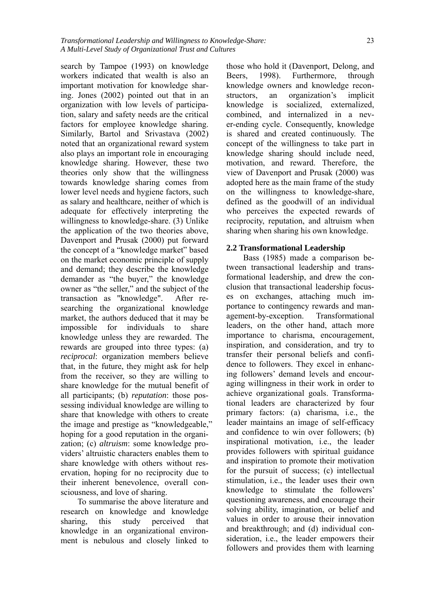search by Tampoe (1993) on knowledge workers indicated that wealth is also an important motivation for knowledge sharing. Jones (2002) pointed out that in an organization with low levels of participation, salary and safety needs are the critical factors for employee knowledge sharing. Similarly, Bartol and Srivastava (2002) noted that an organizational reward system also plays an important role in encouraging knowledge sharing. However, these two theories only show that the willingness towards knowledge sharing comes from lower level needs and hygiene factors, such as salary and healthcare, neither of which is adequate for effectively interpreting the willingness to knowledge-share. (3) Unlike the application of the two theories above, Davenport and Prusak (2000) put forward the concept of a "knowledge market" based on the market economic principle of supply and demand; they describe the knowledge demander as "the buyer," the knowledge owner as "the seller," and the subject of the transaction as "knowledge". After researching the organizational knowledge market, the authors deduced that it may be impossible for individuals to share knowledge unless they are rewarded. The rewards are grouped into three types: (a) *reciprocal*: organization members believe that, in the future, they might ask for help from the receiver, so they are willing to share knowledge for the mutual benefit of all participants; (b) *reputation*: those possessing individual knowledge are willing to share that knowledge with others to create the image and prestige as "knowledgeable," hoping for a good reputation in the organization; (c) *altruism*: some knowledge providers' altruistic characters enables them to share knowledge with others without reservation, hoping for no reciprocity due to their inherent benevolence, overall consciousness, and love of sharing.

To summarise the above literature and research on knowledge and knowledge sharing, this study perceived that knowledge in an organizational environment is nebulous and closely linked to

those who hold it (Davenport, Delong, and Beers, 1998). Furthermore, through knowledge owners and knowledge reconstructors, an organization's implicit knowledge is socialized, externalized, combined, and internalized in a never-ending cycle. Consequently, knowledge is shared and created continuously. The concept of the willingness to take part in knowledge sharing should include need, motivation, and reward. Therefore, the view of Davenport and Prusak (2000) was adopted here as the main frame of the study on the willingness to knowledge-share, defined as the goodwill of an individual who perceives the expected rewards of reciprocity, reputation, and altruism when sharing when sharing his own knowledge.

#### **2.2 Transformational Leadership**

Bass (1985) made a comparison between transactional leadership and transformational leadership, and drew the conclusion that transactional leadership focuses on exchanges, attaching much importance to contingency rewards and management-by-exception. Transformational leaders, on the other hand, attach more importance to charisma, encouragement, inspiration, and consideration, and try to transfer their personal beliefs and confidence to followers. They excel in enhancing followers' demand levels and encouraging willingness in their work in order to achieve organizational goals. Transformational leaders are characterized by four primary factors: (a) charisma, i.e., the leader maintains an image of self-efficacy and confidence to win over followers; (b) inspirational motivation, i.e., the leader provides followers with spiritual guidance and inspiration to promote their motivation for the pursuit of success; (c) intellectual stimulation, i.e., the leader uses their own knowledge to stimulate the followers' questioning awareness, and encourage their solving ability, imagination, or belief and values in order to arouse their innovation and breakthrough; and (d) individual consideration, i.e., the leader empowers their followers and provides them with learning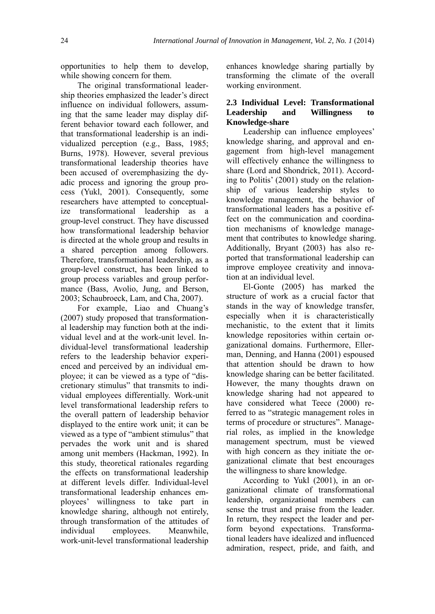opportunities to help them to develop, while showing concern for them.

The original transformational leadership theories emphasized the leader's direct influence on individual followers, assuming that the same leader may display different behavior toward each follower, and that transformational leadership is an individualized perception (e.g., Bass, 1985; Burns, 1978). However, several previous transformational leadership theories have been accused of overemphasizing the dyadic process and ignoring the group process (Yukl, 2001). Consequently, some researchers have attempted to conceptualize transformational leadership as a group-level construct. They have discussed how transformational leadership behavior is directed at the whole group and results in a shared perception among followers. Therefore, transformational leadership, as a group-level construct, has been linked to group process variables and group performance (Bass, Avolio, Jung, and Berson, 2003; Schaubroeck, Lam, and Cha, 2007).

For example, Liao and Chuang's (2007) study proposed that transformational leadership may function both at the individual level and at the work-unit level. Individual-level transformational leadership refers to the leadership behavior experienced and perceived by an individual employee; it can be viewed as a type of "discretionary stimulus" that transmits to individual employees differentially. Work-unit level transformational leadership refers to the overall pattern of leadership behavior displayed to the entire work unit; it can be viewed as a type of "ambient stimulus" that pervades the work unit and is shared among unit members (Hackman, 1992). In this study, theoretical rationales regarding the effects on transformational leadership at different levels differ. Individual-level transformational leadership enhances employees' willingness to take part in knowledge sharing, although not entirely, through transformation of the attitudes of individual employees. Meanwhile, work-unit-level transformational leadership

enhances knowledge sharing partially by transforming the climate of the overall working environment.

#### **2.3 Individual Level: Transformational Leadership and Willingness to Knowledge-share**

Leadership can influence employees' knowledge sharing, and approval and engagement from high-level management will effectively enhance the willingness to share (Lord and Shondrick, 2011). According to Politis' (2001) study on the relationship of various leadership styles to knowledge management, the behavior of transformational leaders has a positive effect on the communication and coordination mechanisms of knowledge management that contributes to knowledge sharing. Additionally, Bryant (2003) has also reported that transformational leadership can improve employee creativity and innovation at an individual level.

El-Gonte (2005) has marked the structure of work as a crucial factor that stands in the way of knowledge transfer, especially when it is characteristically mechanistic, to the extent that it limits knowledge repositories within certain organizational domains. Furthermore, Ellerman, Denning, and Hanna (2001) espoused that attention should be drawn to how knowledge sharing can be better facilitated. However, the many thoughts drawn on knowledge sharing had not appeared to have considered what Teece (2000) referred to as "strategic management roles in terms of procedure or structures". Managerial roles, as implied in the knowledge management spectrum, must be viewed with high concern as they initiate the organizational climate that best encourages the willingness to share knowledge.

According to Yukl (2001), in an organizational climate of transformational leadership, organizational members can sense the trust and praise from the leader. In return, they respect the leader and perform beyond expectations. Transformational leaders have idealized and influenced admiration, respect, pride, and faith, and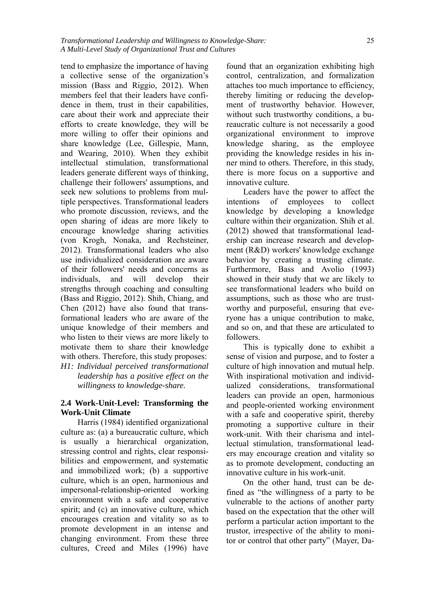tend to emphasize the importance of having a collective sense of the organization's mission (Bass and Riggio, 2012). When members feel that their leaders have confidence in them, trust in their capabilities, care about their work and appreciate their efforts to create knowledge, they will be more willing to offer their opinions and share knowledge (Lee, Gillespie, Mann, and Wearing, 2010). When they exhibit intellectual stimulation, transformational leaders generate different ways of thinking, challenge their followers' assumptions, and seek new solutions to problems from multiple perspectives. Transformational leaders who promote discussion, reviews, and the open sharing of ideas are more likely to encourage knowledge sharing activities (von Krogh, Nonaka, and Rechsteiner, 2012). Transformational leaders who also use individualized consideration are aware of their followers' needs and concerns as individuals, and will develop their strengths through coaching and consulting (Bass and Riggio, 2012). Shih, Chiang, and Chen (2012) have also found that transformational leaders who are aware of the unique knowledge of their members and who listen to their views are more likely to motivate them to share their knowledge with others. Therefore, this study proposes: *H1: Individual perceived transformational leadership has a positive effect on the* 

*willingness to knowledge-share.* 

#### **2.4 Work-Unit-Level: Transforming the Work-Unit Climate**

Harris (1984) identified organizational culture as: (a) a bureaucratic culture, which is usually a hierarchical organization, stressing control and rights, clear responsibilities and empowerment, and systematic and immobilized work; (b) a supportive culture, which is an open, harmonious and impersonal-relationship-oriented working environment with a safe and cooperative spirit; and (c) an innovative culture, which encourages creation and vitality so as to promote development in an intense and changing environment. From these three cultures, Creed and Miles (1996) have

found that an organization exhibiting high control, centralization, and formalization attaches too much importance to efficiency, thereby limiting or reducing the development of trustworthy behavior. However, without such trustworthy conditions, a bureaucratic culture is not necessarily a good organizational environment to improve knowledge sharing, as the employee providing the knowledge resides in his inner mind to others. Therefore, in this study, there is more focus on a supportive and innovative culture.

Leaders have the power to affect the intentions of employees to collect knowledge by developing a knowledge culture within their organization. Shih et al. (2012) showed that transformational leadership can increase research and development (R&D) workers' knowledge exchange behavior by creating a trusting climate. Furthermore, Bass and Avolio (1993) showed in their study that we are likely to see transformational leaders who build on assumptions, such as those who are trustworthy and purposeful, ensuring that everyone has a unique contribution to make, and so on, and that these are articulated to followers.

This is typically done to exhibit a sense of vision and purpose, and to foster a culture of high innovation and mutual help. With inspirational motivation and individualized considerations, transformational leaders can provide an open, harmonious and people-oriented working environment with a safe and cooperative spirit, thereby promoting a supportive culture in their work-unit. With their charisma and intellectual stimulation, transformational leaders may encourage creation and vitality so as to promote development, conducting an innovative culture in his work-unit.

On the other hand, trust can be defined as "the willingness of a party to be vulnerable to the actions of another party based on the expectation that the other will perform a particular action important to the trustor, irrespective of the ability to monitor or control that other party" (Mayer, Da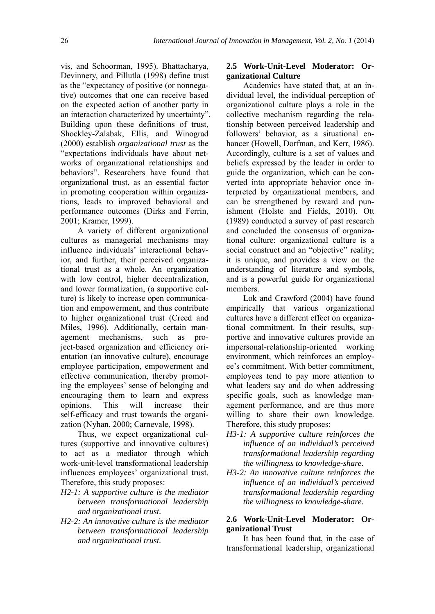vis, and Schoorman, 1995). Bhattacharya, Devinnery, and Pillutla (1998) define trust as the "expectancy of positive (or nonnegative) outcomes that one can receive based on the expected action of another party in an interaction characterized by uncertainty". Building upon these definitions of trust, Shockley-Zalabak, Ellis, and Winograd (2000) establish *organizational trust* as the "expectations individuals have about networks of organizational relationships and behaviors". Researchers have found that organizational trust, as an essential factor in promoting cooperation within organizations, leads to improved behavioral and performance outcomes (Dirks and Ferrin, 2001; Kramer, 1999).

A variety of different organizational cultures as managerial mechanisms may influence individuals' interactional behavior, and further, their perceived organizational trust as a whole. An organization with low control, higher decentralization, and lower formalization, (a supportive culture) is likely to increase open communication and empowerment, and thus contribute to higher organizational trust (Creed and Miles, 1996). Additionally, certain management mechanisms, such as project-based organization and efficiency orientation (an innovative culture), encourage employee participation, empowerment and effective communication, thereby promoting the employees' sense of belonging and encouraging them to learn and express opinions. This will increase their self-efficacy and trust towards the organization (Nyhan, 2000; Carnevale, 1998).

Thus, we expect organizational cultures (supportive and innovative cultures) to act as a mediator through which work-unit-level transformational leadership influences employees' organizational trust. Therefore, this study proposes:

- *H2-1: A supportive culture is the mediator between transformational leadership and organizational trust.*
- *H2-2: An innovative culture is the mediator between transformational leadership and organizational trust.*

#### **2.5 Work-Unit-Level Moderator: Organizational Culture**

Academics have stated that, at an individual level, the individual perception of organizational culture plays a role in the collective mechanism regarding the relationship between perceived leadership and followers' behavior, as a situational enhancer (Howell, Dorfman, and Kerr, 1986). Accordingly, culture is a set of values and beliefs expressed by the leader in order to guide the organization, which can be converted into appropriate behavior once interpreted by organizational members, and can be strengthened by reward and punishment (Holste and Fields, 2010). Ott (1989) conducted a survey of past research and concluded the consensus of organizational culture: organizational culture is a social construct and an "objective" reality; it is unique, and provides a view on the understanding of literature and symbols, and is a powerful guide for organizational members.

Lok and Crawford (2004) have found empirically that various organizational cultures have a different effect on organizational commitment. In their results, supportive and innovative cultures provide an impersonal-relationship-oriented working environment, which reinforces an employee's commitment. With better commitment, employees tend to pay more attention to what leaders say and do when addressing specific goals, such as knowledge management performance, and are thus more willing to share their own knowledge. Therefore, this study proposes:

- *H3-1: A supportive culture reinforces the influence of an individual's perceived transformational leadership regarding the willingness to knowledge-share.*
- *H3-2: An innovative culture reinforces the influence of an individual's perceived transformational leadership regarding the willingness to knowledge-share.*

#### **2.6 Work-Unit-Level Moderator: Organizational Trust**

It has been found that, in the case of transformational leadership, organizational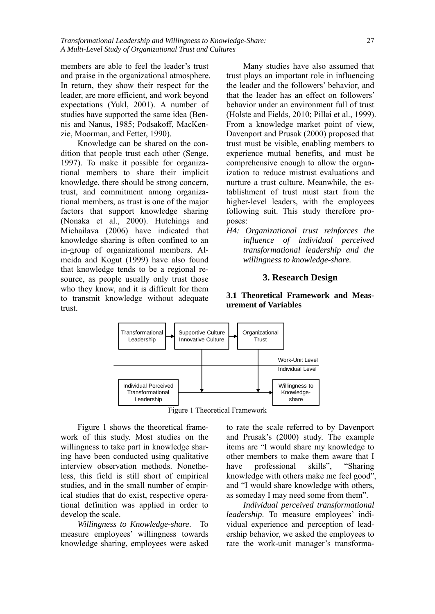*Transformational Leadership and Willingness to Knowledge-Share:* 27 *A Multi-Level Study of Organizational Trust and Cultures*

members are able to feel the leader's trust and praise in the organizational atmosphere. In return, they show their respect for the leader, are more efficient, and work beyond expectations (Yukl, 2001). A number of studies have supported the same idea (Bennis and Nanus, 1985; Podsakoff, MacKenzie, Moorman, and Fetter, 1990).

Knowledge can be shared on the condition that people trust each other (Senge, 1997). To make it possible for organizational members to share their implicit knowledge, there should be strong concern, trust, and commitment among organizational members, as trust is one of the major factors that support knowledge sharing (Nonaka et al., 2000). Hutchings and Michailava (2006) have indicated that knowledge sharing is often confined to an in-group of organizational members. Almeida and Kogut (1999) have also found that knowledge tends to be a regional resource, as people usually only trust those who they know, and it is difficult for them to transmit knowledge without adequate trust.

Many studies have also assumed that trust plays an important role in influencing the leader and the followers' behavior, and that the leader has an effect on followers' behavior under an environment full of trust (Holste and Fields, 2010; Pillai et al., 1999). From a knowledge market point of view, Davenport and Prusak (2000) proposed that trust must be visible, enabling members to experience mutual benefits, and must be comprehensive enough to allow the organization to reduce mistrust evaluations and nurture a trust culture. Meanwhile, the establishment of trust must start from the higher-level leaders, with the employees following suit. This study therefore proposes:

*H4: Organizational trust reinforces the influence of individual perceived transformational leadership and the willingness to knowledge-share.* 

#### **3. Research Design**

#### **3.1 Theoretical Framework and Measurement of Variables**



Figure 1 shows the theoretical framework of this study. Most studies on the willingness to take part in knowledge sharing have been conducted using qualitative interview observation methods. Nonetheless, this field is still short of empirical studies, and in the small number of empirical studies that do exist, respective operational definition was applied in order to develop the scale.

*Willingness to Knowledge-share*. To measure employees' willingness towards knowledge sharing, employees were asked

to rate the scale referred to by Davenport and Prusak's (2000) study. The example items are "I would share my knowledge to other members to make them aware that I have professional skills", "Sharing knowledge with others make me feel good", and "I would share knowledge with others, as someday I may need some from them".

*Individual perceived transformational leadership*. To measure employees' individual experience and perception of leadership behavior, we asked the employees to rate the work-unit manager's transforma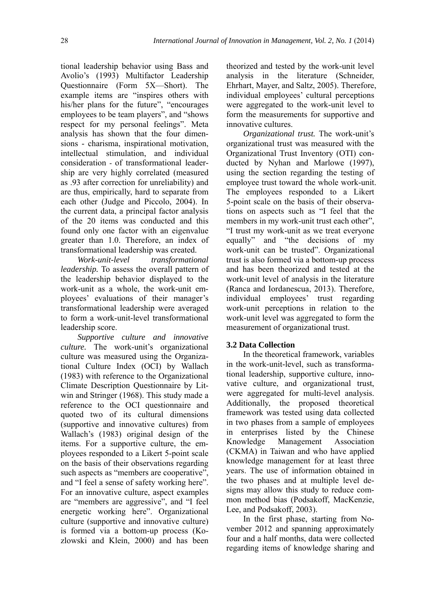tional leadership behavior using Bass and Avolio's (1993) Multifactor Leadership Questionnaire (Form 5X—Short). The example items are "inspires others with his/her plans for the future", "encourages employees to be team players", and "shows" respect for my personal feelings". Meta analysis has shown that the four dimensions - charisma, inspirational motivation, intellectual stimulation, and individual consideration - of transformational leadership are very highly correlated (measured as .93 after correction for unreliability) and are thus, empirically, hard to separate from each other (Judge and Piccolo, 2004). In the current data, a principal factor analysis of the 20 items was conducted and this found only one factor with an eigenvalue greater than 1.0. Therefore, an index of transformational leadership was created.

*Work-unit-level transformational leadership.* To assess the overall pattern of the leadership behavior displayed to the work-unit as a whole, the work-unit employees' evaluations of their manager's transformational leadership were averaged to form a work-unit-level transformational leadership score.

*Supportive culture and innovative culture.* The work-unit's organizational culture was measured using the Organizational Culture Index (OCI) by Wallach (1983) with reference to the Organizational Climate Description Questionnaire by Litwin and Stringer (1968). This study made a reference to the OCI questionnaire and quoted two of its cultural dimensions (supportive and innovative cultures) from Wallach's (1983) original design of the items. For a supportive culture, the employees responded to a Likert 5-point scale on the basis of their observations regarding such aspects as "members are cooperative", and "I feel a sense of safety working here". For an innovative culture, aspect examples are "members are aggressive", and "I feel energetic working here". Organizational culture (supportive and innovative culture) is formed via a bottom-up process (Kozlowski and Klein, 2000) and has been theorized and tested by the work-unit level analysis in the literature (Schneider, Ehrhart, Mayer, and Saltz, 2005). Therefore, individual employees' cultural perceptions were aggregated to the work-unit level to form the measurements for supportive and innovative cultures.

*Organizational trust.* The work-unit's organizational trust was measured with the Organizational Trust Inventory (OTI) conducted by Nyhan and Marlowe (1997), using the section regarding the testing of employee trust toward the whole work-unit. The employees responded to a Likert 5-point scale on the basis of their observations on aspects such as "I feel that the members in my work-unit trust each other", "I trust my work-unit as we treat everyone equally" and "the decisions of my work-unit can be trusted". Organizational trust is also formed via a bottom-up process and has been theorized and tested at the work-unit level of analysis in the literature (Ranca and Iordanescua, 2013). Therefore, individual employees' trust regarding work-unit perceptions in relation to the work-unit level was aggregated to form the measurement of organizational trust.

#### **3.2 Data Collection**

In the theoretical framework, variables in the work-unit-level, such as transformational leadership, supportive culture, innovative culture, and organizational trust, were aggregated for multi-level analysis. Additionally, the proposed theoretical framework was tested using data collected in two phases from a sample of employees in enterprises listed by the Chinese Knowledge Management Association (CKMA) in Taiwan and who have applied knowledge management for at least three years. The use of information obtained in the two phases and at multiple level designs may allow this study to reduce common method bias (Podsakoff, MacKenzie, Lee, and Podsakoff, 2003).

In the first phase, starting from November 2012 and spanning approximately four and a half months, data were collected regarding items of knowledge sharing and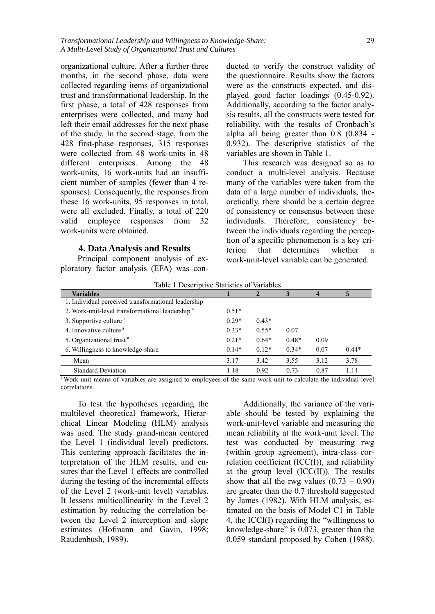organizational culture. After a further three months, in the second phase, data were collected regarding items of organizational trust and transformational leadership. In the first phase, a total of 428 responses from enterprises were collected, and many had left their email addresses for the next phase of the study. In the second stage, from the 428 first-phase responses, 315 responses were collected from 48 work-units in 48 different enterprises. Among the 48 work-units, 16 work-units had an insufficient number of samples (fewer than 4 responses). Consequently, the responses from these 16 work-units, 95 responses in total, were all excluded. Finally, a total of 220 valid employee responses from 32 work-units were obtained.

#### **4. Data Analysis and Results**

Principal component analysis of exploratory factor analysis (EFA) was conducted to verify the construct validity of the questionnaire. Results show the factors were as the constructs expected, and displayed good factor loadings (0.45-0.92). Additionally, according to the factor analysis results, all the constructs were tested for reliability, with the results of Cronbach's alpha all being greater than 0.8 (0.834 - 0.932). The descriptive statistics of the variables are shown in Table 1.

This research was designed so as to conduct a multi-level analysis. Because many of the variables were taken from the data of a large number of individuals, theoretically, there should be a certain degree of consistency or consensus between these individuals. Therefore, consistency between the individuals regarding the perception of a specific phenomenon is a key criterion that determines whether a work-unit-level variable can be generated.

| Table 1 Descriptive Statistics of Variables                 |         |         |         |      |         |
|-------------------------------------------------------------|---------|---------|---------|------|---------|
| <b>Variables</b>                                            |         |         |         | 4    |         |
| 1. Individual perceived transformational leadership         |         |         |         |      |         |
| 2. Work-unit-level transformational leadership <sup>a</sup> | $0.51*$ |         |         |      |         |
| 3. Supportive culture <sup>a</sup>                          | $0.29*$ | $0.43*$ |         |      |         |
| 4. Innovative culture <sup>a</sup>                          | $0.33*$ | $0.55*$ | 0.07    |      |         |
| 5. Organizational trust <sup>a</sup>                        | $0.21*$ | $0.64*$ | $0.48*$ | 0.09 |         |
| 6. Willingness to knowledge-share                           | $0.14*$ | $0.12*$ | $0.34*$ | 0.07 | $0.44*$ |
| Mean                                                        | 3.17    | 3.42    | 3.55    | 3.12 | 3.78    |
| <b>Standard Deviation</b>                                   | 1.18    | 0.92    | 0.73    | 0.87 | 1.14    |

Table 1 Descriptive Statistics of Variables

 $\frac{1}{2}$  Work-unit means of variables are assigned to employees of the same work-unit to calculate the individual-level correlations.

To test the hypotheses regarding the multilevel theoretical framework, Hierarchical Linear Modeling (HLM) analysis was used. The study grand-mean centered the Level 1 (individual level) predictors. This centering approach facilitates the interpretation of the HLM results, and ensures that the Level 1 effects are controlled during the testing of the incremental effects of the Level 2 (work-unit level) variables. It lessens multicollinearity in the Level 2 estimation by reducing the correlation between the Level 2 interception and slope estimates (Hofmann and Gavin, 1998; Raudenbush, 1989).

Additionally, the variance of the variable should be tested by explaining the work-unit-level variable and measuring the mean reliability at the work-unit level. The test was conducted by measuring rwg (within group agreement), intra-class correlation coefficient (ICC(I)), and reliability at the group level  $(ICC(II))$ . The results show that all the rwg values  $(0.73 - 0.90)$ are greater than the 0.7 threshold suggested by James (1982). With HLM analysis, estimated on the basis of Model C1 in Table 4, the ICCI(I) regarding the "willingness to knowledge-share" is 0.073, greater than the 0.059 standard proposed by Cohen (1988).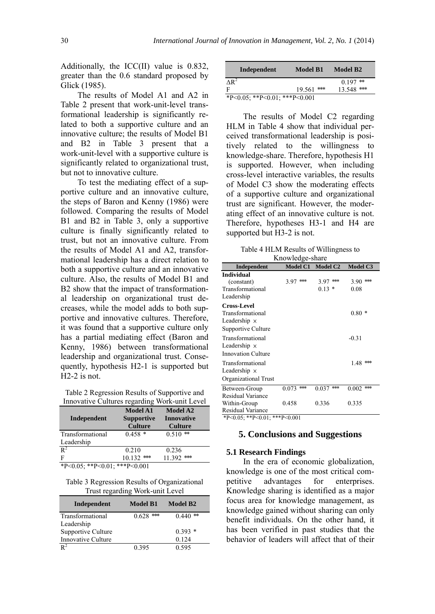Additionally, the ICC(II) value is 0.832, greater than the 0.6 standard proposed by Glick (1985).

The results of Model A1 and A2 in Table 2 present that work-unit-level transformational leadership is significantly related to both a supportive culture and an innovative culture; the results of Model B1 and B2 in Table 3 present that a work-unit-level with a supportive culture is significantly related to organizational trust, but not to innovative culture.

To test the mediating effect of a supportive culture and an innovative culture, the steps of Baron and Kenny (1986) were followed. Comparing the results of Model B1 and B2 in Table 3, only a supportive culture is finally significantly related to trust, but not an innovative culture. From the results of Model A1 and A2, transformational leadership has a direct relation to both a supportive culture and an innovative culture. Also, the results of Model B1 and B2 show that the impact of transformational leadership on organizational trust decreases, while the model adds to both supportive and innovative cultures. Therefore, it was found that a supportive culture only has a partial mediating effect (Baron and Kenny, 1986) between transformational leadership and organizational trust. Consequently, hypothesis H2-1 is supported but H2-2 is not.

Table 2 Regression Results of Supportive and Innovative Cultures regarding Work-unit Level

| Independent                                   | <b>Model A1</b><br><b>Supportive</b><br><b>Culture</b> | <b>Model A2</b><br><b>Innovative</b><br><b>Culture</b> |
|-----------------------------------------------|--------------------------------------------------------|--------------------------------------------------------|
| Transformational<br>Leadership                | $0.458*$                                               | $0.510$ **                                             |
| $R^2$                                         | 0.210                                                  | 0.236                                                  |
| F<br>$*D > 0$ 05, $*D > 0$ 01, $* *D > 0$ 001 | 10.132<br>***                                          | $***$<br>11.392                                        |

\*P<0.05; \*\*P<0.01; \*\*\*P<0.001

Table 3 Regression Results of Organizational Trust regarding Work-unit Level

| Independent        | Model B1       | Model B2      |
|--------------------|----------------|---------------|
| Transformational   | $***$<br>0.628 | 0.440<br>$**$ |
| Leadership         |                |               |
| Supportive Culture |                | $0.393*$      |
| Innovative Culture |                | 0.124         |
| $R^2$              | 0.395          | 0.595         |

| Independent                   | Model B1     | Model B <sub>2</sub> |
|-------------------------------|--------------|----------------------|
| $\triangle R^2$               |              | $0.197$ **           |
| F                             | $19.561$ *** | $13.548$ ***         |
| *P<0.05; **P<0.01; ***P<0.001 |              |                      |

The results of Model C2 regarding HLM in Table 4 show that individual perceived transformational leadership is positively related to the willingness to knowledge-share. Therefore, hypothesis H1 is supported. However, when including cross-level interactive variables, the results of Model C3 show the moderating effects of a supportive culture and organizational trust are significant. However, the moderating effect of an innovative culture is not. Therefore, hypotheses H3-1 and H4 are supported but H3-2 is not.

Table 4 HLM Results of Willingness to Knowledge-share

|                                                                                     | $\cdots$    |                       |                  |  |
|-------------------------------------------------------------------------------------|-------------|-----------------------|------------------|--|
| Independent                                                                         |             | Model C1 Model C2     | Model C3         |  |
| Individual<br>(constant)<br>Transformational<br>Leadership                          | $3.97$ ***  | $3.97***$<br>$0.13 *$ | 3.90 ***<br>0.08 |  |
| <b>Cross-Level</b><br>Transformational<br>Leadership ×<br><b>Supportive Culture</b> |             |                       | $0.80*$          |  |
| Transformational<br>Leadership ×<br><b>Innovation Culture</b>                       |             |                       | $-0.31$          |  |
| Transformational<br>Leadership ×<br>Organizational Trust                            |             |                       | $1.48***$        |  |
| Between-Group<br>Residual Variance                                                  | $0.073$ *** | 0.037<br>$*$          | $0.002$ ***      |  |
| Within-Group<br>Residual Variance                                                   | 0.458       | 0.336                 | 0.335            |  |
| *P<0.05; **P<0.01; ***P<0.001                                                       |             |                       |                  |  |

#### **5. Conclusions and Suggestions**

#### **5.1 Research Findings**

In the era of economic globalization, knowledge is one of the most critical competitive advantages for enterprises. Knowledge sharing is identified as a major focus area for knowledge management, as knowledge gained without sharing can only benefit individuals. On the other hand, it has been verified in past studies that the behavior of leaders will affect that of their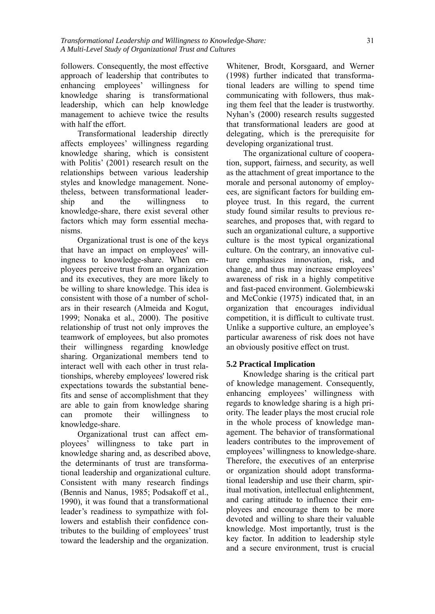followers. Consequently, the most effective approach of leadership that contributes to enhancing employees' willingness for knowledge sharing is transformational leadership, which can help knowledge management to achieve twice the results with half the effort.

Transformational leadership directly affects employees' willingness regarding knowledge sharing, which is consistent with Politis' (2001) research result on the relationships between various leadership styles and knowledge management. Nonetheless, between transformational leadership and the willingness to knowledge-share, there exist several other factors which may form essential mechanisms.

Organizational trust is one of the keys that have an impact on employees' willingness to knowledge-share. When employees perceive trust from an organization and its executives, they are more likely to be willing to share knowledge. This idea is consistent with those of a number of scholars in their research (Almeida and Kogut, 1999; Nonaka et al., 2000). The positive relationship of trust not only improves the teamwork of employees, but also promotes their willingness regarding knowledge sharing. Organizational members tend to interact well with each other in trust relationships, whereby employees' lowered risk expectations towards the substantial benefits and sense of accomplishment that they are able to gain from knowledge sharing can promote their willingness to knowledge-share.

Organizational trust can affect employees' willingness to take part in knowledge sharing and, as described above, the determinants of trust are transformational leadership and organizational culture. Consistent with many research findings (Bennis and Nanus, 1985; Podsakoff et al., 1990), it was found that a transformational leader's readiness to sympathize with followers and establish their confidence contributes to the building of employees' trust toward the leadership and the organization.

Whitener, Brodt, Korsgaard, and Werner (1998) further indicated that transformational leaders are willing to spend time communicating with followers, thus making them feel that the leader is trustworthy. Nyhan's (2000) research results suggested that transformational leaders are good at delegating, which is the prerequisite for developing organizational trust.

The organizational culture of cooperation, support, fairness, and security, as well as the attachment of great importance to the morale and personal autonomy of employees, are significant factors for building employee trust. In this regard, the current study found similar results to previous researches, and proposes that, with regard to such an organizational culture, a supportive culture is the most typical organizational culture. On the contrary, an innovative culture emphasizes innovation, risk, and change, and thus may increase employees' awareness of risk in a highly competitive and fast-paced environment. Golembiewski and McConkie (1975) indicated that, in an organization that encourages individual competition, it is difficult to cultivate trust. Unlike a supportive culture, an employee's particular awareness of risk does not have an obviously positive effect on trust.

#### **5.2 Practical Implication**

Knowledge sharing is the critical part of knowledge management. Consequently, enhancing employees' willingness with regards to knowledge sharing is a high priority. The leader plays the most crucial role in the whole process of knowledge management. The behavior of transformational leaders contributes to the improvement of employees' willingness to knowledge-share. Therefore, the executives of an enterprise or organization should adopt transformational leadership and use their charm, spiritual motivation, intellectual enlightenment, and caring attitude to influence their employees and encourage them to be more devoted and willing to share their valuable knowledge. Most importantly, trust is the key factor. In addition to leadership style and a secure environment, trust is crucial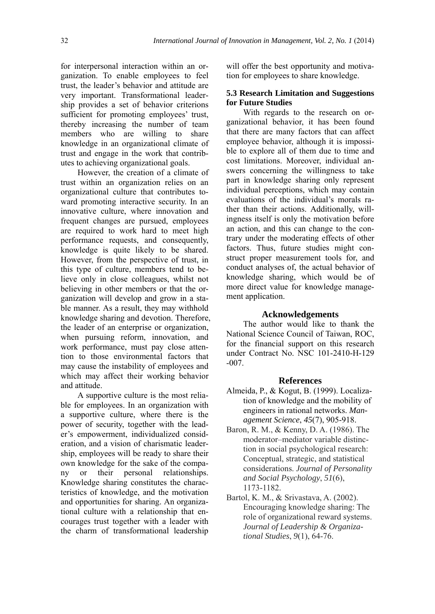for interpersonal interaction within an organization. To enable employees to feel trust, the leader's behavior and attitude are very important. Transformational leadership provides a set of behavior criterions sufficient for promoting employees' trust, thereby increasing the number of team members who are willing to share knowledge in an organizational climate of trust and engage in the work that contributes to achieving organizational goals.

However, the creation of a climate of trust within an organization relies on an organizational culture that contributes toward promoting interactive security. In an innovative culture, where innovation and frequent changes are pursued, employees are required to work hard to meet high performance requests, and consequently, knowledge is quite likely to be shared. However, from the perspective of trust, in this type of culture, members tend to believe only in close colleagues, whilst not believing in other members or that the organization will develop and grow in a stable manner. As a result, they may withhold knowledge sharing and devotion. Therefore, the leader of an enterprise or organization, when pursuing reform, innovation, and work performance, must pay close attention to those environmental factors that may cause the instability of employees and which may affect their working behavior and attitude.

A supportive culture is the most reliable for employees. In an organization with a supportive culture, where there is the power of security, together with the leader's empowerment, individualized consideration, and a vision of charismatic leadership, employees will be ready to share their own knowledge for the sake of the company or their personal relationships. Knowledge sharing constitutes the characteristics of knowledge, and the motivation and opportunities for sharing. An organizational culture with a relationship that encourages trust together with a leader with the charm of transformational leadership

will offer the best opportunity and motivation for employees to share knowledge.

#### **5.3 Research Limitation and Suggestions for Future Studies**

With regards to the research on organizational behavior, it has been found that there are many factors that can affect employee behavior, although it is impossible to explore all of them due to time and cost limitations. Moreover, individual answers concerning the willingness to take part in knowledge sharing only represent individual perceptions, which may contain evaluations of the individual's morals rather than their actions. Additionally, willingness itself is only the motivation before an action, and this can change to the contrary under the moderating effects of other factors. Thus, future studies might construct proper measurement tools for, and conduct analyses of, the actual behavior of knowledge sharing, which would be of more direct value for knowledge management application.

#### **Acknowledgements**

The author would like to thank the National Science Council of Taiwan, ROC, for the financial support on this research under Contract No. NSC 101-2410-H-129 -007.

#### **References**

- Almeida, P., & Kogut, B. (1999). Localization of knowledge and the mobility of engineers in rational networks. *Management Science*, *45*(7), 905-918.
- Baron, R. M., & Kenny, D. A. (1986). The moderator–mediator variable distinction in social psychological research: Conceptual, strategic, and statistical considerations. *Journal of Personality and Social Psychology*, *51*(6), 1173-1182.
- Bartol, K. M., & Srivastava, A. (2002). Encouraging knowledge sharing: The role of organizational reward systems. *Journal of Leadership & Organizational Studies*, *9*(1), 64-76.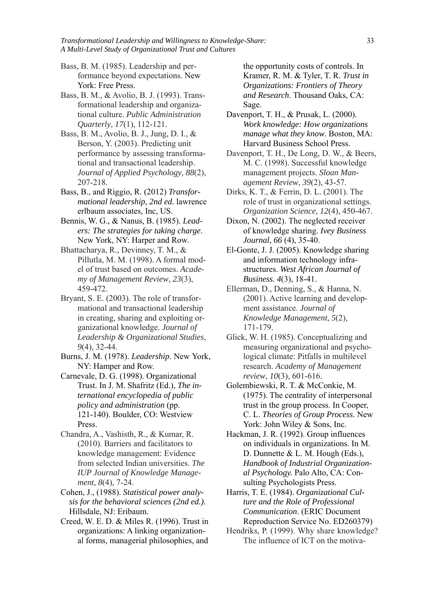*Transformational Leadership and Willingness to Knowledge-Share:* 33 *A Multi-Level Study of Organizational Trust and Cultures*

Bass, B. M. (1985). Leadership and performance beyond expectations. New York: Free Press.

Bass, B. M., & Avolio, B. J. (1993). Transformational leadership and organizational culture. *Public Administration Quarterly*, *17*(1), 112-121.

Bass, B. M., Avolio, B. J., Jung, D. I., & Berson, Y. (2003). Predicting unit performance by assessing transformational and transactional leadership. *Journal of Applied Psychology*, *88*(2), 207-218.

Bass, B., and Riggio, R. (2012) *Transformational leadership, 2nd ed.* lawrence erlbaum associates, Inc, US.

Bennis, W. G., & Nanus, B. (1985). *Leaders: The strategies for taking charge*. New York, NY: Harper and Row.

Bhattacharya, R., Devinney, T. M., & Pillutla, M. M. (1998). A formal model of trust based on outcomes. *Academy of Management Review*, *23*(3), 459-472.

Bryant, S. E. (2003). The role of transformational and transactional leadership in creating, sharing and exploiting organizational knowledge. *Journal of Leadership & Organizational Studies*, *9*(4), 32-44.

Burns, J. M. (1978). *Leadership*. New York, NY: Hamper and Row.

Carnevale, D. G. (1998). Organizational Trust. In J. M. Shafritz (Ed.), *The international encyclopedia of public policy and administration* (pp. 121-140). Boulder, CO: Westview Press.

Chandra, A., Vashisth, R., & Kumar, R. (2010). Barriers and facilitators to knowledge management: Evidence from selected Indian universities. *The IUP Journal of Knowledge Management*, *8*(4), 7-24.

Cohen, J., (1988). *Statistical power analysis for the behavioral sciences (2nd ed.).* Hillsdale, NJ: Eribaum.

Creed, W. E. D. & Miles R. (1996). Trust in organizations: A linking organizational forms, managerial philosophies, and the opportunity costs of controls. In Kramer, R. M. & Tyler, T. R. *Trust in Organizations: Frontiers of Theory and Research*. Thousand Oaks, CA: Sage.

Davenport, T. H., & Prusak, L. (2000). *Work knowledge: How organizations manage what they know*. Boston, MA: Harvard Business School Press.

Davenport, T. H., De Long, D. W., & Beers, M. C. (1998). Successful knowledge management projects. *Sloan Management Review*, *39*(2), 43-57.

Dirks, K. T., & Ferrin, D. L. (2001). The role of trust in organizational settings. *Organization Science*, *12*(4), 450-467.

Dixon, N. (2002). The neglected receiver of knowledge sharing. *Ivey Business Journal*, *66* (4), 35-40.

El-Gonte, J. J. (2005). Knowledge sharing and information technology infrastructures. *West African Journal of Business. 4*(3), 18-41.

Ellerman, D., Denning, S., & Hanna, N. (2001). Active learning and development assistance. *Journal of Knowledge Management*, *5*(2), 171-179.

Glick, W. H. (1985). Conceptualizing and measuring organizational and psychological climate: Pitfalls in multilevel research. *Academy of Management review*, *10*(3), 601-616.

Golembiewski, R. T. & McConkie, M. (1975). The centrality of interpersonal trust in the group process. In Cooper, C. L. *Theories of Group Process*. New York: John Wiley & Sons, Inc.

Hackman, J. R. (1992). Group influences on individuals in organizations. In M. D. Dunnette & L. M. Hough (Eds.), *Handbook of Industrial Organizational Psychology.* Palo Alto, CA: Consulting Psychologists Press.

Harris, T. E. (1984). *Organizational Culture and the Role of Professional Communication*. (ERIC Document Reproduction Service No. ED260379)

Hendriks, P. (1999). Why share knowledge? The influence of ICT on the motiva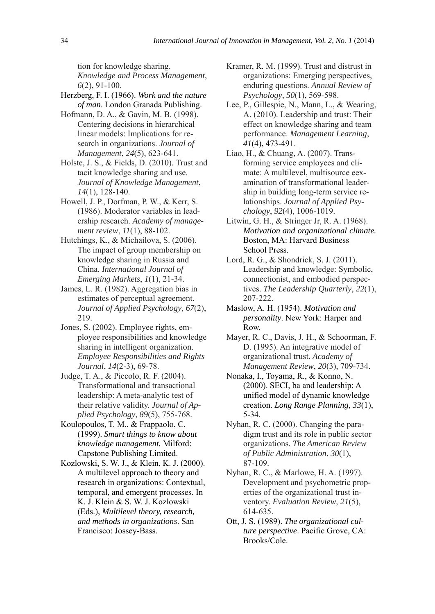tion for knowledge sharing. *Knowledge and Process Management*, *6*(2), 91-100.

- Herzberg, F. I. (1966). *Work and the nature of man*. London Granada Publishing.
- Hofmann, D. A., & Gavin, M. B. (1998). Centering decisions in hierarchical linear models: Implications for research in organizations. *Journal of Management*, *24*(5), 623-641.
- Holste, J. S., & Fields, D. (2010). Trust and tacit knowledge sharing and use. *Journal of Knowledge Management*, *14*(1), 128-140.
- Howell, J. P., Dorfman, P. W., & Kerr, S. (1986). Moderator variables in leadership research. *Academy of management review*, *11*(1), 88-102.
- Hutchings, K., & Michailova, S. (2006). The impact of group membership on knowledge sharing in Russia and China. *International Journal of Emerging Markets*, *1*(1), 21-34.
- James, L. R. (1982). Aggregation bias in estimates of perceptual agreement. *Journal of Applied Psychology*, *67*(2), 219.
- Jones, S. (2002). Employee rights, employee responsibilities and knowledge sharing in intelligent organization. *Employee Responsibilities and Rights Journal*, *14*(2-3), 69-78.
- Judge, T. A., & Piccolo, R. F. (2004). Transformational and transactional leadership: A meta-analytic test of their relative validity. *Journal of Applied Psychology*, *89*(5), 755-768.
- Koulopoulos, T. M., & Frappaolo, C. (1999). *Smart things to know about knowledge management.* Milford: Capstone Publishing Limited.
- Kozlowski, S. W. J., & Klein, K. J. (2000). A multilevel approach to theory and research in organizations: Contextual, temporal, and emergent processes. In K. J. Klein & S. W. J. Kozlowski (Eds.), *Multilevel theory, research, and methods in organizations*. San Francisco: Jossey-Bass.
- Kramer, R. M. (1999). Trust and distrust in organizations: Emerging perspectives, enduring questions. *Annual Review of Psychology*, *50*(1), 569-598.
- Lee, P., Gillespie, N., Mann, L., & Wearing, A. (2010). Leadership and trust: Their effect on knowledge sharing and team performance. *Management Learning*, *41*(4), 473-491.
- Liao, H., & Chuang, A. (2007). Transforming service employees and climate: A multilevel, multisource eexamination of transformational leadership in building long-term service relationships. *Journal of Applied Psychology*, *92*(4), 1006-1019.
- Litwin, G. H., & Stringer Jr, R. A. (1968). *Motivation and organizational climate.*  Boston, MA: Harvard Business School Press.
- Lord, R. G., & Shondrick, S. J. (2011). Leadership and knowledge: Symbolic, connectionist, and embodied perspectives. *The Leadership Quarterly*, *22*(1), 207-222.
- Maslow, A. H. (1954). *Motivation and personality*. New York: Harper and Row.
- Mayer, R. C., Davis, J. H., & Schoorman, F. D. (1995). An integrative model of organizational trust. *Academy of Management Review*, *20*(3), 709-734.
- Nonaka, I., Toyama, R., & Konno, N. (2000). SECI, ba and leadership: A unified model of dynamic knowledge creation. *Long Range Planning*, *33*(1), 5-34.
- Nyhan, R. C. (2000). Changing the paradigm trust and its role in public sector organizations. *The American Review of Public Administration*, *30*(1), 87-109.
- Nyhan, R. C., & Marlowe, H. A. (1997). Development and psychometric properties of the organizational trust inventory. *Evaluation Review*, *21*(5), 614-635.
- Ott, J. S. (1989). *The organizational culture perspective*. Pacific Grove, CA: Brooks/Cole.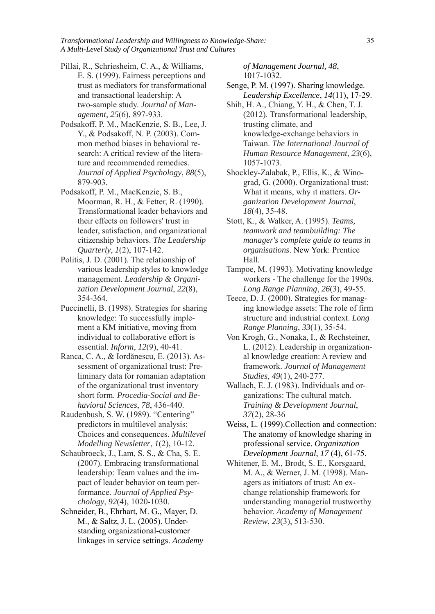*Transformational Leadership and Willingness to Knowledge-Share:* 35 *A Multi-Level Study of Organizational Trust and Cultures*

- Pillai, R., Schriesheim, C. A., & Williams, E. S. (1999). Fairness perceptions and trust as mediators for transformational and transactional leadership: A two-sample study. *Journal of Management*, *25*(6), 897-933.
- Podsakoff, P. M., MacKenzie, S. B., Lee, J. Y., & Podsakoff, N. P. (2003). Common method biases in behavioral research: A critical review of the literature and recommended remedies. *Journal of Applied Psychology*, *88*(5), 879-903.
- Podsakoff, P. M., MacKenzie, S. B., Moorman, R. H., & Fetter, R. (1990). Transformational leader behaviors and their effects on followers' trust in leader, satisfaction, and organizational citizenship behaviors. *The Leadership Quarterly*, *1*(2), 107-142.
- Politis, J. D. (2001). The relationship of various leadership styles to knowledge management. *Leadership & Organization Development Journal*, *22*(8), 354-364.
- Puccinelli, B. (1998). Strategies for sharing knowledge: To successfully implement a KM initiative, moving from individual to collaborative effort is essential. *Inform*, *12*(9), 40-41.
- Ranca, C. A., & Iordănescu, E. (2013). Assessment of organizational trust: Preliminary data for romanian adaptation of the organizational trust inventory short form. *Procedia-Social and Behavioral Sciences*, *78*, 436-440.
- Raudenbush, S. W. (1989). "Centering" predictors in multilevel analysis: Choices and consequences. *Multilevel Modelling Newsletter*, *1*(2), 10-12.
- Schaubroeck, J., Lam, S. S., & Cha, S. E. (2007). Embracing transformational leadership: Team values and the impact of leader behavior on team performance. *Journal of Applied Psychology*, *92*(4), 1020-1030.
- Schneider, B., Ehrhart, M. G., Mayer, D. M., & Saltz, J. L. (2005). Understanding organizational-customer linkages in service settings. *Academy*

*of Management Journal, 48*, 1017-1032.

- Senge, P. M. (1997). Sharing knowledge. *Leadership Excellence*, *14*(11), 17-29.
- Shih, H. A., Chiang, Y. H., & Chen, T. J. (2012). Transformational leadership, trusting climate, and knowledge-exchange behaviors in Taiwan. *The International Journal of Human Resource Management*, *23*(6), 1057-1073.
- Shockley-Zalabak, P., Ellis, K., & Winograd, G. (2000). Organizational trust: What it means, why it matters. *Organization Development Journal*, *18*(4), 35-48.
- Stott, K., & Walker, A. (1995). *Teams, teamwork and teambuilding: The manager's complete guide to teams in organisations*. New York: Prentice Hall.
- Tampoe, M. (1993). Motivating knowledge workers - The challenge for the 1990s. *Long Range Planning*, *26*(3), 49-55.
- Teece, D. J. (2000). Strategies for managing knowledge assets: The role of firm structure and industrial context. *Long Range Planning*, *33*(1), 35-54.
- Von Krogh, G., Nonaka, I., & Rechsteiner, L. (2012). Leadership in organizational knowledge creation: A review and framework. *Journal of Management Studies*, *49*(1), 240-277.
- Wallach, E. J. (1983). Individuals and organizations: The cultural match. *Training & Development Journal*, *37*(2), 28-36
- Weiss, L. (1999).Collection and connection: The anatomy of knowledge sharing in professional service. *Organization Development Journal*, *17* (4), 61-75.
- Whitener, E. M., Brodt, S. E., Korsgaard, M. A., & Werner, J. M. (1998). Managers as initiators of trust: An exchange relationship framework for understanding managerial trustworthy behavior. *Academy of Management Review*, *23*(3), 513-530.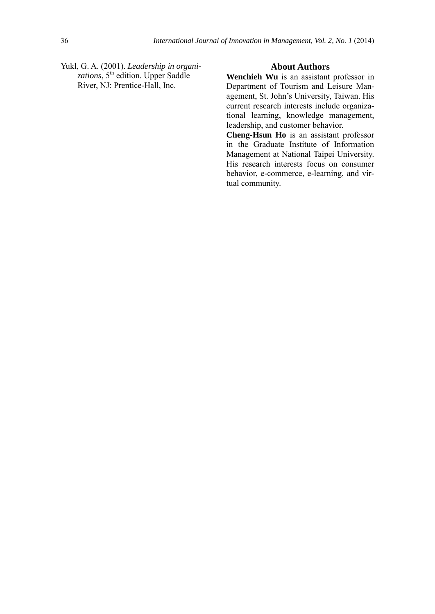Yukl, G. A. (2001). *Leadership in organi*zations, 5<sup>th</sup> edition. Upper Saddle River, NJ: Prentice-Hall, Inc.

#### **About Authors**

**Wenchieh Wu** is an assistant professor in Department of Tourism and Leisure Management, St. John's University, Taiwan. His current research interests include organizational learning, knowledge management, leadership, and customer behavior.

**Cheng-Hsun Ho** is an assistant professor in the Graduate Institute of Information Management at National Taipei University. His research interests focus on consumer behavior, e-commerce, e-learning, and virtual community.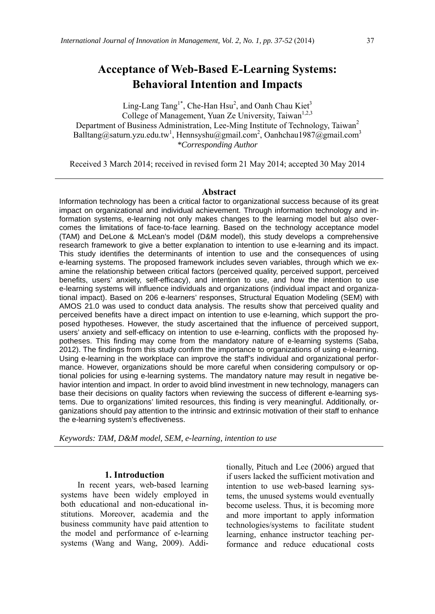# **Acceptance of Web-Based E-Learning Systems: Behavioral Intention and Impacts**

Ling-Lang Tang<sup>1\*</sup>, Che-Han Hsu<sup>2</sup>, and Oanh Chau Kiet<sup>3</sup> College of Management, Yuan Ze University, Taiwan<sup>1,2,3</sup> Department of Business Administration, Lee-Ming Institute of Technology, Taiwan<sup>2</sup> Balltang@saturn.yzu.edu.tw<sup>1</sup>, Hennsyshu@gmail.com<sup>2</sup>, Oanhchau1987@gmail.com<sup>3</sup> *\*Corresponding Author* 

Received 3 March 2014; received in revised form 21 May 2014; accepted 30 May 2014

#### **Abstract**

Information technology has been a critical factor to organizational success because of its great impact on organizational and individual achievement. Through information technology and information systems, e-learning not only makes changes to the learning model but also overcomes the limitations of face-to-face learning. Based on the technology acceptance model (TAM) and DeLone & McLean's model (D&M model), this study develops a comprehensive research framework to give a better explanation to intention to use e-learning and its impact. This study identifies the determinants of intention to use and the consequences of using e-learning systems. The proposed framework includes seven variables, through which we examine the relationship between critical factors (perceived quality, perceived support, perceived benefits, users' anxiety, self-efficacy), and intention to use, and how the intention to use e-learning systems will influence individuals and organizations (individual impact and organizational impact). Based on 206 e-learners' responses, Structural Equation Modeling (SEM) with AMOS 21.0 was used to conduct data analysis. The results show that perceived quality and perceived benefits have a direct impact on intention to use e-learning, which support the proposed hypotheses. However, the study ascertained that the influence of perceived support, users' anxiety and self-efficacy on intention to use e-learning, conflicts with the proposed hypotheses. This finding may come from the mandatory nature of e-learning systems (Saba, 2012). The findings from this study confirm the importance to organizations of using e-learning. Using e-learning in the workplace can improve the staff's individual and organizational performance. However, organizations should be more careful when considering compulsory or optional policies for using e-learning systems. The mandatory nature may result in negative behavior intention and impact. In order to avoid blind investment in new technology, managers can base their decisions on quality factors when reviewing the success of different e-learning systems. Due to organizations' limited resources, this finding is very meaningful. Additionally, organizations should pay attention to the intrinsic and extrinsic motivation of their staff to enhance the e-learning system's effectiveness.

*Keywords: TAM, D&M model, SEM, e-learning, intention to use* 

#### **1. Introduction**

In recent years, web-based learning systems have been widely employed in both educational and non-educational institutions. Moreover, academia and the business community have paid attention to the model and performance of e-learning systems (Wang and Wang, 2009). Additionally, Pituch and Lee (2006) argued that if users lacked the sufficient motivation and intention to use web-based learning systems, the unused systems would eventually become useless. Thus, it is becoming more and more important to apply information technologies/systems to facilitate student learning, enhance instructor teaching performance and reduce educational costs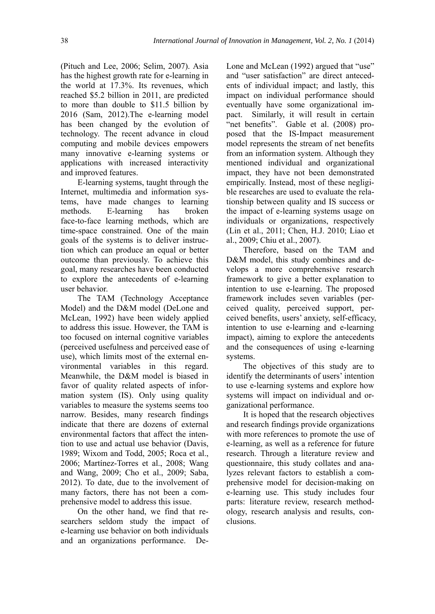(Pituch and Lee, 2006; Selim, 2007). Asia has the highest growth rate for e-learning in the world at 17.3%. Its revenues, which reached \$5.2 billion in 2011, are predicted to more than double to \$11.5 billion by 2016 (Sam, 2012).The e-learning model has been changed by the evolution of technology. The recent advance in cloud computing and mobile devices empowers many innovative e-learning systems or applications with increased interactivity and improved features.

E-learning systems, taught through the Internet, multimedia and information systems, have made changes to learning methods. E-learning has broken face-to-face learning methods, which are time-space constrained. One of the main goals of the systems is to deliver instruction which can produce an equal or better outcome than previously. To achieve this goal, many researches have been conducted to explore the antecedents of e-learning user behavior.

The TAM (Technology Acceptance Model) and the D&M model (DeLone and McLean, 1992) have been widely applied to address this issue. However, the TAM is too focused on internal cognitive variables (perceived usefulness and perceived ease of use), which limits most of the external environmental variables in this regard. Meanwhile, the D&M model is biased in favor of quality related aspects of information system (IS). Only using quality variables to measure the systems seems too narrow. Besides, many research findings indicate that there are dozens of external environmental factors that affect the intention to use and actual use behavior (Davis, 1989; Wixom and Todd, 2005; Roca et al., 2006; Martínez-Torres et al., 2008; Wang and Wang, 2009; Cho et al., 2009; Saba, 2012). To date, due to the involvement of many factors, there has not been a comprehensive model to address this issue.

On the other hand, we find that researchers seldom study the impact of e-learning use behavior on both individuals and an organizations performance. DeLone and McLean (1992) argued that "use" and "user satisfaction" are direct antecedents of individual impact; and lastly, this impact on individual performance should eventually have some organizational impact. Similarly, it will result in certain "net benefits". Gable et al. (2008) proposed that the IS-Impact measurement model represents the stream of net benefits from an information system. Although they mentioned individual and organizational impact, they have not been demonstrated empirically. Instead, most of these negligible researches are used to evaluate the relationship between quality and IS success or the impact of e-learning systems usage on individuals or organizations, respectively (Lin et al., 2011; Chen, H.J. 2010; Liao et al., 2009; Chiu et al., 2007).

Therefore, based on the TAM and D&M model, this study combines and develops a more comprehensive research framework to give a better explanation to intention to use e-learning. The proposed framework includes seven variables (perceived quality, perceived support, perceived benefits, users' anxiety, self-efficacy, intention to use e-learning and e-learning impact), aiming to explore the antecedents and the consequences of using e-learning systems.

The objectives of this study are to identify the determinants of users' intention to use e-learning systems and explore how systems will impact on individual and organizational performance.

It is hoped that the research objectives and research findings provide organizations with more references to promote the use of e-learning, as well as a reference for future research. Through a literature review and questionnaire, this study collates and analyzes relevant factors to establish a comprehensive model for decision-making on e-learning use. This study includes four parts: literature review, research methodology, research analysis and results, conclusions.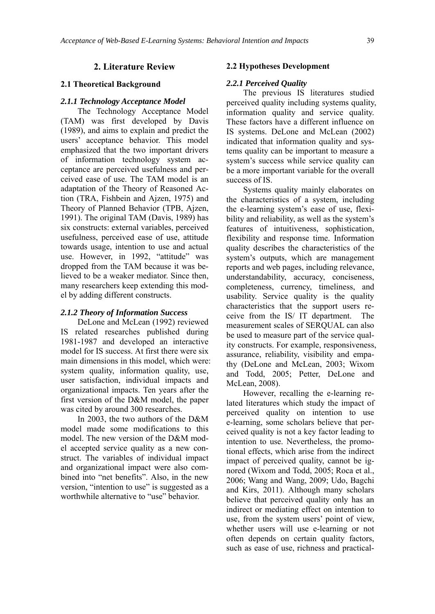#### **2. Literature Review**

#### **2.1 Theoretical Background**

#### *2.1.1 Technology Acceptance Model*

The Technology Acceptance Model (TAM) was first developed by Davis (1989), and aims to explain and predict the users' acceptance behavior. This model emphasized that the two important drivers of information technology system acceptance are perceived usefulness and perceived ease of use. The TAM model is an adaptation of the Theory of Reasoned Action (TRA, Fishbein and Ajzen, 1975) and Theory of Planned Behavior (TPB, Ajzen, 1991). The original TAM (Davis, 1989) has six constructs: external variables, perceived usefulness, perceived ease of use, attitude towards usage, intention to use and actual use. However, in 1992, "attitude" was dropped from the TAM because it was believed to be a weaker mediator. Since then, many researchers keep extending this model by adding different constructs.

#### *2.1.2 Theory of Information Success*

DeLone and McLean (1992) reviewed IS related researches published during 1981-1987 and developed an interactive model for IS success. At first there were six main dimensions in this model, which were: system quality, information quality, use, user satisfaction, individual impacts and organizational impacts. Ten years after the first version of the D&M model, the paper was cited by around 300 researches.

In 2003, the two authors of the D&M model made some modifications to this model. The new version of the D&M model accepted service quality as a new construct. The variables of individual impact and organizational impact were also combined into "net benefits". Also, in the new version, "intention to use" is suggested as a worthwhile alternative to "use" behavior.

#### **2.2 Hypotheses Development**

#### *2.2.1 Perceived Quality*

The previous IS literatures studied perceived quality including systems quality, information quality and service quality. These factors have a different influence on IS systems. DeLone and McLean (2002) indicated that information quality and systems quality can be important to measure a system's success while service quality can be a more important variable for the overall success of IS.

Systems quality mainly elaborates on the characteristics of a system, including the e-learning system's ease of use, flexibility and reliability, as well as the system's features of intuitiveness, sophistication, flexibility and response time. Information quality describes the characteristics of the system's outputs, which are management reports and web pages, including relevance, understandability, accuracy, conciseness, completeness, currency, timeliness, and usability. Service quality is the quality characteristics that the support users receive from the IS/ IT department. The measurement scales of SERQUAL can also be used to measure part of the service quality constructs. For example, responsiveness, assurance, reliability, visibility and empathy (DeLone and McLean, 2003; Wixom and Todd, 2005; Petter, DeLone and McLean, 2008).

However, recalling the e-learning related literatures which study the impact of perceived quality on intention to use e-learning, some scholars believe that perceived quality is not a key factor leading to intention to use. Nevertheless, the promotional effects, which arise from the indirect impact of perceived quality, cannot be ignored (Wixom and Todd, 2005; Roca et al., 2006; Wang and Wang, 2009; Udo, Bagchi and Kirs, 2011). Although many scholars believe that perceived quality only has an indirect or mediating effect on intention to use, from the system users' point of view, whether users will use e-learning or not often depends on certain quality factors, such as ease of use, richness and practical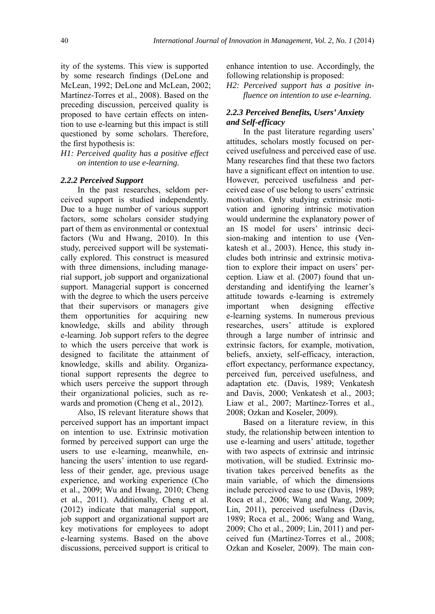ity of the systems. This view is supported by some research findings (DeLone and McLean, 1992; DeLone and McLean, 2002; Martínez-Torres et al., 2008). Based on the preceding discussion, perceived quality is proposed to have certain effects on intention to use e-learning but this impact is still questioned by some scholars. Therefore, the first hypothesis is:

*H1: Perceived quality has a positive effect on intention to use e-learning.* 

#### *2.2.2 Perceived Support*

In the past researches, seldom perceived support is studied independently. Due to a huge number of various support factors, some scholars consider studying part of them as environmental or contextual factors (Wu and Hwang, 2010). In this study, perceived support will be systematically explored. This construct is measured with three dimensions, including managerial support, job support and organizational support. Managerial support is concerned with the degree to which the users perceive that their supervisors or managers give them opportunities for acquiring new knowledge, skills and ability through e-learning. Job support refers to the degree to which the users perceive that work is designed to facilitate the attainment of knowledge, skills and ability. Organizational support represents the degree to which users perceive the support through their organizational policies, such as rewards and promotion (Cheng et al., 2012).

Also, IS relevant literature shows that perceived support has an important impact on intention to use. Extrinsic motivation formed by perceived support can urge the users to use e-learning, meanwhile, enhancing the users' intention to use regardless of their gender, age, previous usage experience, and working experience (Cho et al., 2009; Wu and Hwang, 2010; Cheng et al., 2011). Additionally, Cheng et al. (2012) indicate that managerial support, job support and organizational support are key motivations for employees to adopt e-learning systems. Based on the above discussions, perceived support is critical to

enhance intention to use. Accordingly, the following relationship is proposed:

*H2: Perceived support has a positive influence on intention to use e-learning.* 

#### *2.2.3 Perceived Benefits, Users' Anxiety and Self-efficacy*

In the past literature regarding users' attitudes, scholars mostly focused on perceived usefulness and perceived ease of use. Many researches find that these two factors have a significant effect on intention to use. However, perceived usefulness and perceived ease of use belong to users' extrinsic motivation. Only studying extrinsic motivation and ignoring intrinsic motivation would undermine the explanatory power of an IS model for users' intrinsic decision-making and intention to use (Venkatesh et al., 2003). Hence, this study includes both intrinsic and extrinsic motivation to explore their impact on users' perception. Liaw et al. (2007) found that understanding and identifying the learner's attitude towards e-learning is extremely important when designing effective e-learning systems. In numerous previous researches, users' attitude is explored through a large number of intrinsic and extrinsic factors, for example, motivation, beliefs, anxiety, self-efficacy, interaction, effort expectancy, performance expectancy, perceived fun, perceived usefulness, and adaptation etc. (Davis, 1989; Venkatesh and Davis, 2000; Venkatesh et al., 2003; Liaw et al., 2007; Martínez-Torres et al., 2008; Ozkan and Koseler, 2009).

Based on a literature review, in this study, the relationship between intention to use e-learning and users' attitude, together with two aspects of extrinsic and intrinsic motivation, will be studied. Extrinsic motivation takes perceived benefits as the main variable, of which the dimensions include perceived ease to use (Davis, 1989; Roca et al., 2006; Wang and Wang, 2009; Lin, 2011), perceived usefulness (Davis, 1989; Roca et al., 2006; Wang and Wang, 2009; Cho et al., 2009; Lin, 2011) and perceived fun (Martínez-Torres et al., 2008; Ozkan and Koseler, 2009). The main con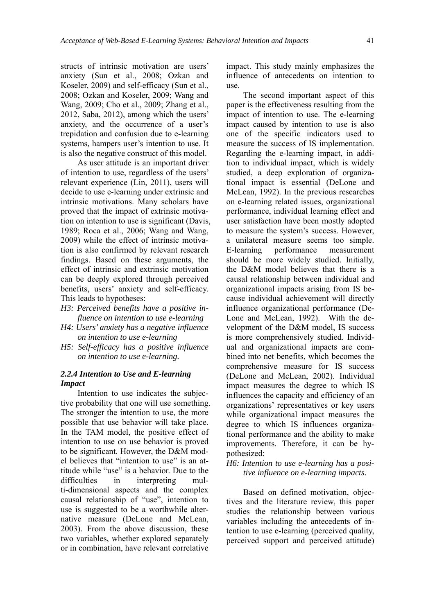structs of intrinsic motivation are users' anxiety (Sun et al., 2008; Ozkan and Koseler, 2009) and self-efficacy (Sun et al., 2008; Ozkan and Koseler, 2009; Wang and Wang, 2009; Cho et al., 2009; Zhang et al., 2012, Saba, 2012), among which the users' anxiety, and the occurrence of a user's trepidation and confusion due to e-learning systems, hampers user's intention to use. It is also the negative construct of this model.

As user attitude is an important driver of intention to use, regardless of the users' relevant experience (Lin, 2011), users will decide to use e-learning under extrinsic and intrinsic motivations. Many scholars have proved that the impact of extrinsic motivation on intention to use is significant (Davis, 1989; Roca et al., 2006; Wang and Wang, 2009) while the effect of intrinsic motivation is also confirmed by relevant research findings. Based on these arguments, the effect of intrinsic and extrinsic motivation can be deeply explored through perceived benefits, users' anxiety and self-efficacy. This leads to hypotheses:

- *H3: Perceived benefits have a positive influence on intention to use e-learning*
- *H4: Users' anxiety has a negative influence on intention to use e-learning*
- *H5: Self-efficacy has a positive influence on intention to use e-learning.*

#### *2.2.4 Intention to Use and E-learning Impact*

Intention to use indicates the subjective probability that one will use something. The stronger the intention to use, the more possible that use behavior will take place. In the TAM model, the positive effect of intention to use on use behavior is proved to be significant. However, the D&M model believes that "intention to use" is an attitude while "use" is a behavior. Due to the difficulties in interpreting multi-dimensional aspects and the complex causal relationship of "use", intention to use is suggested to be a worthwhile alternative measure (DeLone and McLean, 2003). From the above discussion, these two variables, whether explored separately or in combination, have relevant correlative

impact. This study mainly emphasizes the influence of antecedents on intention to use.

The second important aspect of this paper is the effectiveness resulting from the impact of intention to use. The e-learning impact caused by intention to use is also one of the specific indicators used to measure the success of IS implementation. Regarding the e-learning impact, in addition to individual impact, which is widely studied, a deep exploration of organizational impact is essential (DeLone and McLean, 1992). In the previous researches on e-learning related issues, organizational performance, individual learning effect and user satisfaction have been mostly adopted to measure the system's success. However, a unilateral measure seems too simple. E-learning performance measurement should be more widely studied. Initially, the D&M model believes that there is a causal relationship between individual and organizational impacts arising from IS because individual achievement will directly influence organizational performance (De-Lone and McLean, 1992). With the development of the D&M model, IS success is more comprehensively studied. Individual and organizational impacts are combined into net benefits, which becomes the comprehensive measure for IS success (DeLone and McLean, 2002). Individual impact measures the degree to which IS influences the capacity and efficiency of an organizations' representatives or key users while organizational impact measures the degree to which IS influences organizational performance and the ability to make improvements. Therefore, it can be hypothesized:

*H6: Intention to use e-learning has a positive influence on e-learning impacts.* 

Based on defined motivation, objectives and the literature review, this paper studies the relationship between various variables including the antecedents of intention to use e-learning (perceived quality, perceived support and perceived attitude)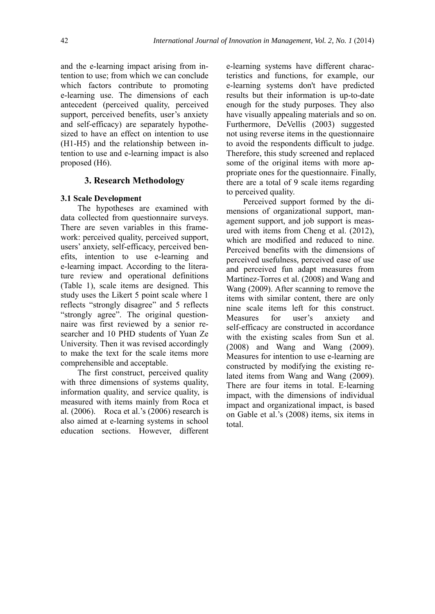and the e-learning impact arising from intention to use; from which we can conclude which factors contribute to promoting e-learning use. The dimensions of each antecedent (perceived quality, perceived support, perceived benefits, user's anxiety and self-efficacy) are separately hypothesized to have an effect on intention to use (H1-H5) and the relationship between intention to use and e-learning impact is also proposed (H6).

#### **3. Research Methodology**

#### **3.1 Scale Development**

The hypotheses are examined with data collected from questionnaire surveys. There are seven variables in this framework: perceived quality, perceived support, users' anxiety, self-efficacy, perceived benefits, intention to use e-learning and e-learning impact. According to the literature review and operational definitions (Table 1), scale items are designed. This study uses the Likert 5 point scale where 1 reflects "strongly disagree" and 5 reflects "strongly agree". The original questionnaire was first reviewed by a senior researcher and 10 PHD students of Yuan Ze University. Then it was revised accordingly to make the text for the scale items more comprehensible and acceptable.

The first construct, perceived quality with three dimensions of systems quality, information quality, and service quality, is measured with items mainly from Roca et al. (2006). Roca et al.'s (2006) research is also aimed at e-learning systems in school education sections. However, different e-learning systems have different characteristics and functions, for example, our e-learning systems don't have predicted results but their information is up-to-date enough for the study purposes. They also have visually appealing materials and so on. Furthermore, DeVellis (2003) suggested not using reverse items in the questionnaire to avoid the respondents difficult to judge. Therefore, this study screened and replaced some of the original items with more appropriate ones for the questionnaire. Finally, there are a total of 9 scale items regarding to perceived quality.

Perceived support formed by the dimensions of organizational support, management support, and job support is measured with items from Cheng et al. (2012), which are modified and reduced to nine. Perceived benefits with the dimensions of perceived usefulness, perceived ease of use and perceived fun adapt measures from Martínez-Torres et al. (2008) and Wang and Wang (2009). After scanning to remove the items with similar content, there are only nine scale items left for this construct. Measures for user's anxiety and self-efficacy are constructed in accordance with the existing scales from Sun et al. (2008) and Wang and Wang (2009). Measures for intention to use e-learning are constructed by modifying the existing related items from Wang and Wang (2009). There are four items in total. E-learning impact, with the dimensions of individual impact and organizational impact, is based on Gable et al.'s (2008) items, six items in total.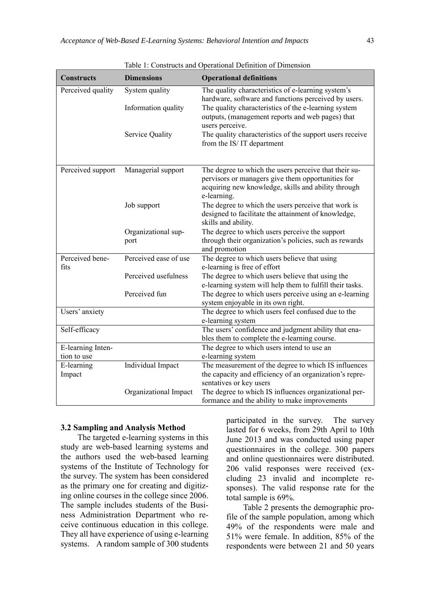| <b>Constructs</b> | <b>Dimensions</b>     | <b>Operational definitions</b>                                                                           |
|-------------------|-----------------------|----------------------------------------------------------------------------------------------------------|
| Perceived quality | System quality        | The quality characteristics of e-learning system's                                                       |
|                   |                       | hardware, software and functions perceived by users.                                                     |
|                   | Information quality   | The quality characteristics of the e-learning system                                                     |
|                   |                       | outputs, (management reports and web pages) that<br>users perceive.                                      |
|                   | Service Quality       | The quality characteristics of the support users receive                                                 |
|                   |                       | from the IS/IT department                                                                                |
|                   |                       |                                                                                                          |
|                   |                       |                                                                                                          |
| Perceived support | Managerial support    | The degree to which the users perceive that their su-                                                    |
|                   |                       | pervisors or managers give them opportunities for<br>acquiring new knowledge, skills and ability through |
|                   |                       | e-learning.                                                                                              |
|                   | Job support           | The degree to which the users perceive that work is                                                      |
|                   |                       | designed to facilitate the attainment of knowledge,                                                      |
|                   |                       | skills and ability.                                                                                      |
|                   | Organizational sup-   | The degree to which users perceive the support                                                           |
|                   | port                  | through their organization's policies, such as rewards                                                   |
| Perceived bene-   | Perceived ease of use | and promotion<br>The degree to which users believe that using                                            |
| fits              |                       | e-learning is free of effort                                                                             |
|                   | Perceived usefulness  | The degree to which users believe that using the                                                         |
|                   |                       | e-learning system will help them to fulfill their tasks.                                                 |
|                   | Perceived fun         | The degree to which users perceive using an e-learning                                                   |
|                   |                       | system enjoyable in its own right.                                                                       |
| Users' anxiety    |                       | The degree to which users feel confused due to the                                                       |
|                   |                       | e-learning system                                                                                        |
| Self-efficacy     |                       | The users' confidence and judgment ability that ena-<br>bles them to complete the e-learning course.     |
| E-learning Inten- |                       | The degree to which users intend to use an                                                               |
| tion to use       |                       | e-learning system                                                                                        |
| E-learning        | Individual Impact     | The measurement of the degree to which IS influences                                                     |
| Impact            |                       | the capacity and efficiency of an organization's repre-                                                  |
|                   |                       | sentatives or key users                                                                                  |
|                   | Organizational Impact | The degree to which IS influences organizational per-                                                    |
|                   |                       | formance and the ability to make improvements                                                            |

Table 1: Constructs and Operational Definition of Dimension

#### **3.2 Sampling and Analysis Method**

The targeted e-learning systems in this study are web-based learning systems and the authors used the web-based learning systems of the Institute of Technology for the survey. The system has been considered as the primary one for creating and digitizing online courses in the college since 2006. The sample includes students of the Business Administration Department who receive continuous education in this college. They all have experience of using e-learning systems. A random sample of 300 students

participated in the survey. The survey lasted for 6 weeks, from 29th April to 10th June 2013 and was conducted using paper questionnaires in the college. 300 papers and online questionnaires were distributed. 206 valid responses were received (excluding 23 invalid and incomplete responses). The valid response rate for the total sample is 69%.

Table 2 presents the demographic profile of the sample population, among which 49% of the respondents were male and 51% were female. In addition, 85% of the respondents were between 21 and 50 years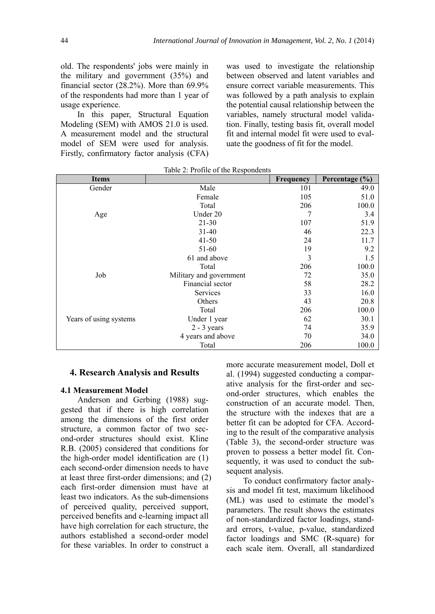old. The respondents' jobs were mainly in the military and government (35%) and financial sector (28.2%). More than 69.9% of the respondents had more than 1 year of usage experience.

In this paper, Structural Equation Modeling (SEM) with AMOS 21.0 is used. A measurement model and the structural model of SEM were used for analysis. Firstly, confirmatory factor analysis (CFA) was used to investigate the relationship between observed and latent variables and ensure correct variable measurements. This was followed by a path analysis to explain the potential causal relationship between the variables, namely structural model validation. Finally, testing basis fit, overall model fit and internal model fit were used to evaluate the goodness of fit for the model.

| <b>Items</b>           |                         | Frequency | Percentage (%) |
|------------------------|-------------------------|-----------|----------------|
| Gender                 | Male                    | 101       | 49.0           |
|                        | Female                  | 105       | 51.0           |
|                        | Total                   | 206       | 100.0          |
| Age                    | Under 20                | 7         | 3.4            |
|                        | $21 - 30$               | 107       | 51.9           |
|                        | $31 - 40$               | 46        | 22.3           |
|                        | $41 - 50$               | 24        | 11.7           |
|                        | 51-60                   | 19        | 9.2            |
|                        | 61 and above            | 3         | 1.5            |
|                        | Total                   | 206       | 100.0          |
| Job                    | Military and government | 72        | 35.0           |
|                        | Financial sector        | 58        | 28.2           |
|                        | Services                | 33        | 16.0           |
|                        | Others                  | 43        | 20.8           |
|                        | Total                   | 206       | 100.0          |
| Years of using systems | Under 1 year            | 62        | 30.1           |
|                        | $2 - 3$ years           | 74        | 35.9           |
|                        | 4 years and above       | 70        | 34.0           |
|                        | Total                   | 206       | 100.0          |

Table 2: Profile of the Respondents

#### **4. Research Analysis and Results**

#### **4.1 Measurement Model**

Anderson and Gerbing (1988) suggested that if there is high correlation among the dimensions of the first order structure, a common factor of two second-order structures should exist. Kline R.B. (2005) considered that conditions for the high-order model identification are (1) each second-order dimension needs to have at least three first-order dimensions; and (2) each first-order dimension must have at least two indicators. As the sub-dimensions of perceived quality, perceived support, perceived benefits and e-learning impact all have high correlation for each structure, the authors established a second-order model for these variables. In order to construct a

more accurate measurement model, Doll et al. (1994) suggested conducting a comparative analysis for the first-order and second-order structures, which enables the construction of an accurate model. Then, the structure with the indexes that are a better fit can be adopted for CFA. According to the result of the comparative analysis (Table 3), the second-order structure was proven to possess a better model fit. Consequently, it was used to conduct the subsequent analysis.

To conduct confirmatory factor analysis and model fit test, maximum likelihood (ML) was used to estimate the model's parameters. The result shows the estimates of non-standardized factor loadings, standard errors, t-value, p-value, standardized factor loadings and SMC (R-square) for each scale item. Overall, all standardized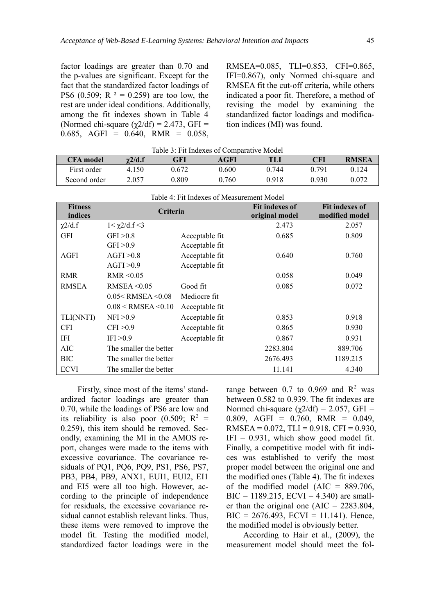factor loadings are greater than 0.70 and the p-values are significant. Except for the fact that the standardized factor loadings of PS6 (0.509; R  $^2$  = 0.259) are too low, the rest are under ideal conditions. Additionally, among the fit indexes shown in Table 4 (Normed chi-square  $(\gamma 2/df) = 2.473$ , GFI =  $0.685$ , AGFI =  $0.640$ , RMR =  $0.058$ ,

RMSEA=0.085, TLI=0.853, CFI=0.865, IFI=0.867), only Normed chi-square and RMSEA fit the cut-off criteria, while others indicated a poor fit. Therefore, a method of revising the model by examining the standardized factor loadings and modification indices (MI) was found.

| Table 3: Fit Indexes of Comparative Model |                |       |             |       |       |              |  |
|-------------------------------------------|----------------|-------|-------------|-------|-------|--------------|--|
| <b>CFA</b> model                          | $\gamma$ 2/d.f | GFI   | <b>AGFI</b> | TLI   | CFI   | <b>RMSEA</b> |  |
| First order                               | 4 1 5 0        | 0.672 | 0.600       | 0.744 | 0.791 | 0.124        |  |
| Second order                              | 2.057          | 0.809 | 0.760       | 0.918 | 0.930 | 0.072        |  |

| Table 4: Fit Indexes of Measurement Model |                            |                |                                         |                                         |  |  |
|-------------------------------------------|----------------------------|----------------|-----------------------------------------|-----------------------------------------|--|--|
| <b>Fitness</b><br>indices                 | Criteria                   |                | <b>Fit indexes of</b><br>original model | <b>Fit indexes of</b><br>modified model |  |  |
| $\chi$ 2/d.f                              | $1 < \gamma$ 2/d.f <3      |                | 2.473                                   | 2.057                                   |  |  |
| <b>GFI</b>                                | GFI > 0.8                  | Acceptable fit | 0.685                                   | 0.809                                   |  |  |
|                                           | GFI > 0.9                  | Acceptable fit |                                         |                                         |  |  |
| AGFI                                      | AGFI > 0.8                 | Acceptable fit | 0.640                                   | 0.760                                   |  |  |
|                                           | AGFI > 0.9                 | Acceptable fit |                                         |                                         |  |  |
| <b>RMR</b>                                | $RMR \leq 0.05$            |                | 0.058                                   | 0.049                                   |  |  |
| <b>RMSEA</b>                              | RMSEA $\leq 0.05$          | Good fit       | 0.085                                   | 0.072                                   |  |  |
|                                           | 0.05 < RMSEA < 0.08        | Mediocre fit   |                                         |                                         |  |  |
|                                           | $0.08 <$ RMSEA $\leq 0.10$ | Acceptable fit |                                         |                                         |  |  |
| TLI(NNFI)                                 | NFI > 0.9                  | Acceptable fit | 0.853                                   | 0.918                                   |  |  |
| <b>CFI</b>                                | CFI > 0.9                  | Acceptable fit | 0.865                                   | 0.930                                   |  |  |
| IFI                                       | IFI > 0.9                  | Acceptable fit | 0.867                                   | 0.931                                   |  |  |
| AIC                                       | The smaller the better     |                | 2283.804                                | 889.706                                 |  |  |
| BIC                                       | The smaller the better     |                | 2676.493                                | 1189.215                                |  |  |
| <b>ECVI</b>                               | The smaller the better     |                | 11.141                                  | 4.340                                   |  |  |

Firstly, since most of the items' standardized factor loadings are greater than 0.70, while the loadings of PS6 are low and its reliability is also poor (0.509;  $R^2 =$ 0.259), this item should be removed. Secondly, examining the MI in the AMOS report, changes were made to the items with excessive covariance. The covariance residuals of PQ1, PQ6, PQ9, PS1, PS6, PS7, PB3, PB4, PB9, ANX1, EUI1, EUI2, EI1 and EI5 were all too high. However, according to the principle of independence for residuals, the excessive covariance residual cannot establish relevant links. Thus, these items were removed to improve the model fit. Testing the modified model, standardized factor loadings were in the

range between 0.7 to 0.969 and  $R^2$  was between 0.582 to 0.939. The fit indexes are Normed chi-square  $(\gamma 2/df) = 2.057$ , GFI = 0.809, AGFI = 0.760, RMR = 0.049, RMSEA =  $0.072$ , TLI =  $0.918$ , CFI =  $0.930$ ,  $IFI = 0.931$ , which show good model fit. Finally, a competitive model with fit indices was established to verify the most proper model between the original one and the modified ones (Table 4). The fit indexes of the modified model  $(AIC = 889.706$ ,  $BIC = 1189.215$ ,  $ECVI = 4.340$ ) are smaller than the original one  $(AIC = 2283.804,$  $BIC = 2676.493$ ,  $ECVI = 11.141$ ). Hence, the modified model is obviously better.

According to Hair et al., (2009), the measurement model should meet the fol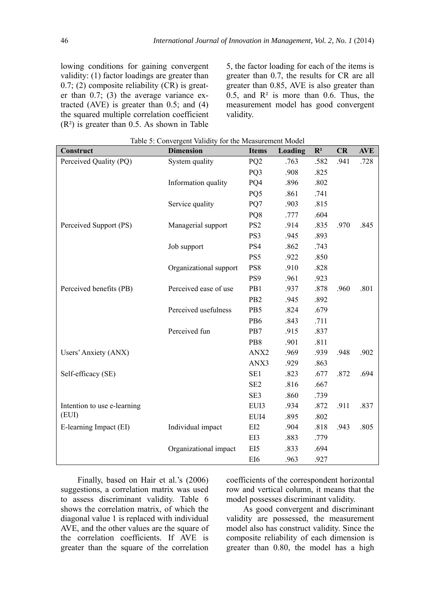lowing conditions for gaining convergent validity: (1) factor loadings are greater than  $0.7$ ; (2) composite reliability (CR) is greater than 0.7; (3) the average variance extracted  $(AVE)$  is greater than 0.5; and  $(4)$ the squared multiple correlation coefficient  $(R<sup>2</sup>)$  is greater than 0.5. As shown in Table

5, the factor loading for each of the items is greater than 0.7, the results for CR are all greater than 0.85, AVE is also greater than 0.5, and  $R^2$  is more than 0.6. Thus, the measurement model has good convergent validity.

| Construct                   | $\epsilon$<br><b>Dimension</b> | <b>Items</b>    | Loading | $\mathbf{R}^2$ | CR   | <b>AVE</b> |
|-----------------------------|--------------------------------|-----------------|---------|----------------|------|------------|
| Perceived Quality (PQ)      | System quality                 | PQ <sub>2</sub> | .763    | .582           | .941 | .728       |
|                             |                                | PQ3             | .908    | .825           |      |            |
|                             | Information quality            | PQ4             | .896    | .802           |      |            |
|                             |                                | PQ5             | .861    | .741           |      |            |
|                             | Service quality                | PQ7             | .903    | .815           |      |            |
|                             |                                | PQ8             | .777    | .604           |      |            |
| Perceived Support (PS)      | Managerial support             | PS <sub>2</sub> | .914    | .835           | .970 | .845       |
|                             |                                | PS3             | .945    | .893           |      |            |
|                             | Job support                    | PS4             | .862    | .743           |      |            |
|                             |                                | PS5             | .922    | .850           |      |            |
|                             | Organizational support         | PS8             | .910    | .828           |      |            |
|                             |                                | PS9             | .961    | .923           |      |            |
| Perceived benefits (PB)     | Perceived ease of use          | PB1             | .937    | .878           | .960 | .801       |
|                             |                                | PB <sub>2</sub> | .945    | .892           |      |            |
|                             | Perceived usefulness           | PB5             | .824    | .679           |      |            |
|                             |                                | PB6             | .843    | .711           |      |            |
|                             | Perceived fun                  | PB7             | .915    | .837           |      |            |
|                             |                                | P <sub>B8</sub> | .901    | .811           |      |            |
| Users' Anxiety (ANX)        |                                | ANX2            | .969    | .939           | .948 | .902       |
|                             |                                | ANX3            | .929    | .863           |      |            |
| Self-efficacy (SE)          |                                | SE1             | .823    | .677           | .872 | .694       |
|                             |                                | SE <sub>2</sub> | .816    | .667           |      |            |
|                             |                                | SE3             | .860    | .739           |      |            |
| Intention to use e-learning |                                | EUI3            | .934    | .872           | .911 | .837       |
| (EUI)                       |                                | EUI4            | .895    | .802           |      |            |
| E-learning Impact (EI)      | Individual impact              | EI2             | .904    | .818           | .943 | .805       |
|                             |                                | EI3             | .883    | .779           |      |            |
|                             | Organizational impact          | EI5             | .833    | .694           |      |            |
|                             |                                | EI6             | .963    | .927           |      |            |

|  |  | Table 5: Convergent Validity for the Measurement Model |  |
|--|--|--------------------------------------------------------|--|
|  |  |                                                        |  |

Finally, based on Hair et al.'s (2006) suggestions, a correlation matrix was used to assess discriminant validity. Table 6 shows the correlation matrix, of which the diagonal value 1 is replaced with individual AVE, and the other values are the square of the correlation coefficients. If AVE is greater than the square of the correlation

coefficients of the correspondent horizontal row and vertical column, it means that the model possesses discriminant validity.

As good convergent and discriminant validity are possessed, the measurement model also has construct validity. Since the composite reliability of each dimension is greater than 0.80, the model has a high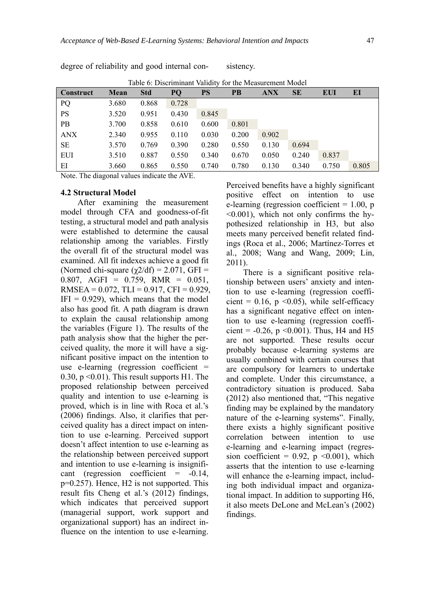degree of reliability and good internal con- sistency.

|            |       | Tuble 0. Discriminant vanuity for the bicasurement blouch |       |           |       |            |           |            |       |
|------------|-------|-----------------------------------------------------------|-------|-----------|-------|------------|-----------|------------|-------|
| Construct  | Mean  | <b>Std</b>                                                | PQ    | <b>PS</b> | PB    | <b>ANX</b> | <b>SE</b> | <b>EUI</b> | EI    |
| PQ         | 3.680 | 0.868                                                     | 0.728 |           |       |            |           |            |       |
| <b>PS</b>  | 3.520 | 0.951                                                     | 0.430 | 0.845     |       |            |           |            |       |
| <b>PB</b>  | 3.700 | 0.858                                                     | 0.610 | 0.600     | 0.801 |            |           |            |       |
| <b>ANX</b> | 2.340 | 0.955                                                     | 0.110 | 0.030     | 0.200 | 0.902      |           |            |       |
| SЕ         | 3.570 | 0.769                                                     | 0.390 | 0.280     | 0.550 | 0.130      | 0.694     |            |       |
| <b>EUI</b> | 3.510 | 0.887                                                     | 0.550 | 0.340     | 0.670 | 0.050      | 0.240     | 0.837      |       |
| ΕI         | 3.660 | 0.865                                                     | 0.550 | 0.740     | 0.780 | 0.130      | 0.340     | 0.750      | 0.805 |

Table 6: Discriminant Validity for the Measurement Model

Note. The diagonal values indicate the AVE.

#### **4.2 Structural Model**

After examining the measurement model through CFA and goodness-of-fit testing, a structural model and path analysis were established to determine the causal relationship among the variables. Firstly the overall fit of the structural model was examined. All fit indexes achieve a good fit (Normed chi-square  $(\chi/2df) = 2.071$ , GFI = 0.807, AGFI =  $0.759$ , RMR =  $0.051$ , RMSEA =  $0.072$ , TLI =  $0.917$ , CFI =  $0.929$ ,  $IFI = 0.929$ , which means that the model also has good fit. A path diagram is drawn to explain the causal relationship among the variables (Figure 1). The results of the path analysis show that the higher the perceived quality, the more it will have a significant positive impact on the intention to use e-learning (regression coefficient = 0.30,  $p \le 0.01$ ). This result supports H1. The proposed relationship between perceived quality and intention to use e-learning is proved, which is in line with Roca et al.'s (2006) findings. Also, it clarifies that perceived quality has a direct impact on intention to use e-learning. Perceived support doesn't affect intention to use e-learning as the relationship between perceived support and intention to use e-learning is insignificant (regression coefficient  $= -0.14$ , p=0.257). Hence, H2 is not supported. This result fits Cheng et al.'s (2012) findings, which indicates that perceived support (managerial support, work support and organizational support) has an indirect influence on the intention to use e-learning.

Perceived benefits have a highly significant positive effect on intention to use e-learning (regression coefficient  $= 1.00$ , p <0.001), which not only confirms the hypothesized relationship in H3, but also meets many perceived benefit related findings (Roca et al., 2006; Martínez-Torres et al., 2008; Wang and Wang, 2009; Lin, 2011).

There is a significant positive relationship between users' anxiety and intention to use e-learning (regression coefficient =  $0.16$ , p < 0.05), while self-efficacy has a significant negative effect on intention to use e-learning (regression coefficient =  $-0.26$ , p < 0.001). Thus, H4 and H5 are not supported. These results occur probably because e-learning systems are usually combined with certain courses that are compulsory for learners to undertake and complete. Under this circumstance, a contradictory situation is produced. Saba (2012) also mentioned that, "This negative finding may be explained by the mandatory nature of the e-learning systems". Finally, there exists a highly significant positive correlation between intention to use e-learning and e-learning impact (regression coefficient =  $0.92$ , p < 0.001), which asserts that the intention to use e-learning will enhance the e-learning impact, including both individual impact and organizational impact. In addition to supporting H6, it also meets DeLone and McLean's (2002) findings.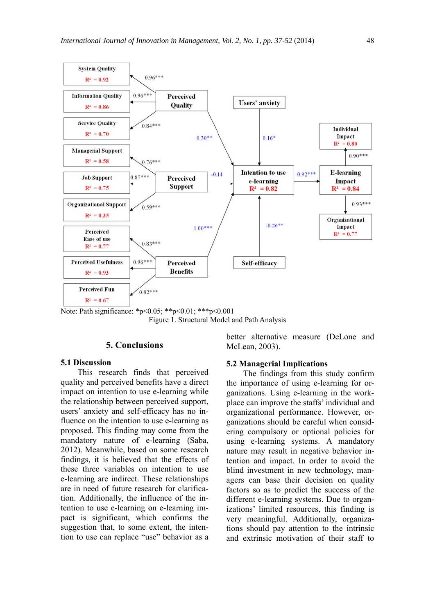

Note: Path significance: \*p<0.05; \*\*p<0.01; \*\*\*p<0.001 Figure 1. Structural Model and Path Analysis

#### **5. Conclusions**

#### **5.1 Discussion**

This research finds that perceived quality and perceived benefits have a direct impact on intention to use e-learning while the relationship between perceived support, users' anxiety and self-efficacy has no influence on the intention to use e-learning as proposed. This finding may come from the mandatory nature of e-learning (Saba, 2012). Meanwhile, based on some research findings, it is believed that the effects of these three variables on intention to use e-learning are indirect. These relationships are in need of future research for clarification. Additionally, the influence of the intention to use e-learning on e-learning impact is significant, which confirms the suggestion that, to some extent, the intention to use can replace "use" behavior as a

better alternative measure (DeLone and McLean, 2003).

#### **5.2 Managerial Implications**

The findings from this study confirm the importance of using e-learning for organizations. Using e-learning in the workplace can improve the staffs' individual and organizational performance. However, organizations should be careful when considering compulsory or optional policies for using e-learning systems. A mandatory nature may result in negative behavior intention and impact. In order to avoid the blind investment in new technology, managers can base their decision on quality factors so as to predict the success of the different e-learning systems. Due to organizations' limited resources, this finding is very meaningful. Additionally, organizations should pay attention to the intrinsic and extrinsic motivation of their staff to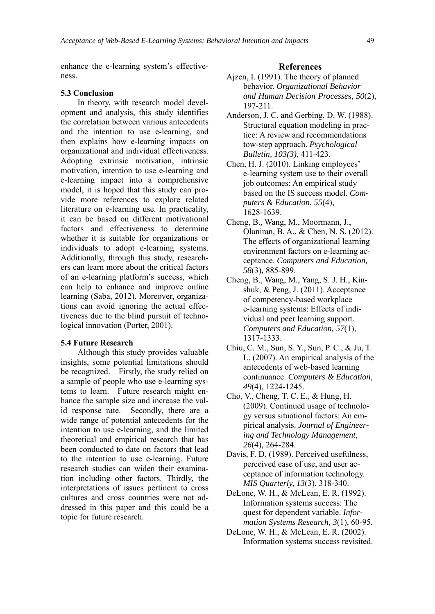enhance the e-learning system's effectiveness.

#### **5.3 Conclusion**

In theory, with research model development and analysis, this study identifies the correlation between various antecedents and the intention to use e-learning, and then explains how e-learning impacts on organizational and individual effectiveness. Adopting extrinsic motivation, intrinsic motivation, intention to use e-learning and e-learning impact into a comprehensive model, it is hoped that this study can provide more references to explore related literature on e-learning use. In practicality, it can be based on different motivational factors and effectiveness to determine whether it is suitable for organizations or individuals to adopt e-learning systems. Additionally, through this study, researchers can learn more about the critical factors of an e-learning platform's success, which can help to enhance and improve online learning (Saba, 2012). Moreover, organizations can avoid ignoring the actual effectiveness due to the blind pursuit of technological innovation (Porter, 2001).

#### **5.4 Future Research**

Although this study provides valuable insights, some potential limitations should be recognized. Firstly, the study relied on a sample of people who use e-learning systems to learn. Future research might enhance the sample size and increase the valid response rate. Secondly, there are a wide range of potential antecedents for the intention to use e-learning, and the limited theoretical and empirical research that has been conducted to date on factors that lead to the intention to use e-learning. Future research studies can widen their examination including other factors. Thirdly, the interpretations of issues pertinent to cross cultures and cross countries were not addressed in this paper and this could be a topic for future research.

#### **References**

- Ajzen, I. (1991). The theory of planned behavior. *Organizational Behavior and Human Decision Processe*s, *50*(2), 197-211.
- Anderson, J. C. and Gerbing, D. W. (1988). Structural equation modeling in practice: A review and recommendations tow-step approach. *Psychological Bulletin, 103(3)*, 411-423.
- Chen, H. J. (2010). Linking employees' e-learning system use to their overall job outcomes: An empirical study based on the IS success model. *Computers & Education*, *55*(4), 1628-1639.
- Cheng, B., Wang, M., Moormann, J., Olaniran, B. A., & Chen, N. S. (2012). The effects of organizational learning environment factors on e-learning acceptance. *Computers and Education, 58*(3)*,* 885-899.
- Cheng, B., Wang, M., Yang, S. J. H., Kinshuk, & Peng, J. (2011). Acceptance of competency-based workplace e-learning systems: Effects of individual and peer learning support. *Computers and Education, 57*(1), 1317-1333.
- Chiu, C. M., Sun, S. Y., Sun, P. C., & Ju, T. L. (2007). An empirical analysis of the antecedents of web-based learning continuance. *Computers & Education*, *49*(4), 1224-1245.
- Cho, V., Cheng, T. C. E., & Hung, H. (2009). Continued usage of technology versus situational factors: An empirical analysis. *Journal of Engineering and Technology Management, 26*(4)*,* 264-284.
- Davis, F. D. (1989). Perceived usefulness, perceived ease of use, and user acceptance of information technology. *MIS Quarterly, 13*(3), 318-340.
- DeLone, W. H., & McLean, E. R. (1992). Information systems success: The quest for dependent variable. *Information Systems Research, 3*(1)*,* 60-95*.*
- DeLone, W. H., & McLean, E. R. (2002). Information systems success revisited.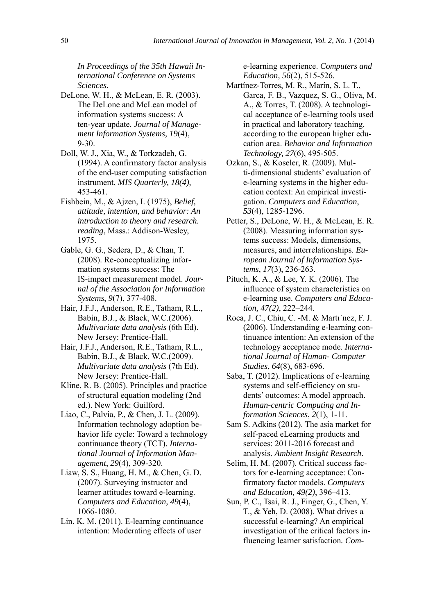*In Proceedings of the 35th Hawaii International Conference on Systems Sciences.*

- DeLone, W. H., & McLean, E. R. (2003). The DeLone and McLean model of information systems success: A ten-year update*. Journal of Management Information Systems, 19*(4), 9-30.
- Doll, W. J., Xia, W., & Torkzadeh, G. (1994). A confirmatory factor analysis of the end-user computing satisfaction instrument, *MIS Quarterly, 18(4)*, 453-461.
- Fishbein, M., & Ajzen, I. (1975), *Belief, attitude, intention, and behavior: An introduction to theory and research. reading*, Mass.: Addison-Wesley, 1975.
- Gable, G. G., Sedera, D., & Chan, T. (2008). Re-conceptualizing information systems success: The IS-impact measurement model. *Journal of the Association for Information Systems*, *9*(7), 377-408.
- Hair, J.F.J., Anderson, R.E., Tatham, R.L., Babin, B.J., & Black, W.C.(2006). *Multivariate data analysis* (6th Ed). New Jersey: Prentice-Hall.
- Hair, J.F.J., Anderson, R.E., Tatham, R.L., Babin, B.J., & Black, W.C.(2009). *Multivariate data analysis* (7th Ed). New Jersey: Prentice-Hall.
- Kline, R. B. (2005). Principles and practice of structural equation modeling (2nd ed.). New York: Guilford.
- Liao, C., Palvia, P., & Chen, J. L. (2009). Information technology adoption behavior life cycle: Toward a technology continuance theory (TCT). *International Journal of Information Management*, *29*(4), 309-320.
- Liaw, S. S., Huang, H. M., & Chen, G. D. (2007). Surveying instructor and learner attitudes toward e-learning*. Computers and Education, 49*(4), 1066-1080.
- Lin. K. M. (2011). E-learning continuance intention: Moderating effects of user

e-learning experience. *Computers and Education, 56*(2), 515-526.

- Martínez-Torres, M. R., Marín, S. L. T., Garca, F. B., Vazquez, S. G., Oliva, M. A., & Torres, T. (2008). A technological acceptance of e-learning tools used in practical and laboratory teaching, according to the european higher education area. *Behavior and Information Technology, 27*(6), 495-505.
- Ozkan, S., & Koseler, R. (2009). Multi-dimensional students' evaluation of e-learning systems in the higher education context: An empirical investigation. *Computers and Education*, *53*(4), 1285-1296.
- Petter, S., DeLone, W. H., & McLean, E. R. (2008). Measuring information systems success: Models, dimensions, measures, and interrelationships. *European Journal of Information Systems*, *17*(3), 236-263.
- Pituch, K. A., & Lee, Y. K. (2006). The influence of system characteristics on e-learning use. *Computers and Education, 47(2)*, 222–244.
- Roca, J. C., Chiu, C. -M. & Martı´nez, F. J. (2006). Understanding e-learning continuance intention: An extension of the technology acceptance mode*. International Journal of Human- Computer Studies*, *64*(8), 683-696.
- Saba, T. (2012). Implications of e-learning systems and self-efficiency on students' outcomes: A model approach. *Human-centric Computing and Information Sciences*, *2*(1), 1-11.
- Sam S. Adkins (2012). The asia market for self-paced eLearning products and services: 2011-2016 forecast and analysis. *Ambient Insight Research*.
- Selim, H. M. (2007). Critical success factors for e-learning acceptance: Confirmatory factor models. *Computers and Education, 49(2)*, 396–413.
- Sun, P. C., Tsai, R. J., Finger, G., Chen, Y. T., & Yeh, D. (2008). What drives a successful e-learning? An empirical investigation of the critical factors influencing learner satisfaction*. Com-*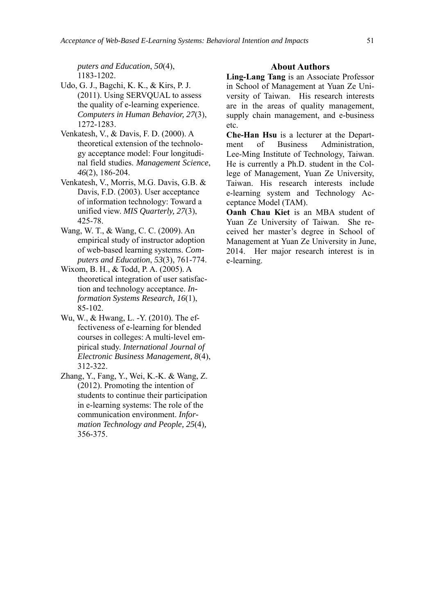*puters and Education*, *50*(4), 1183-1202.

- Udo, G. J., Bagchi, K. K., & Kirs, P. J. (2011). Using SERVQUAL to assess the quality of e-learning experience. *Computers in Human Behavior, 27*(3), 1272-1283.
- Venkatesh, V., & Davis, F. D. (2000). A theoretical extension of the technology acceptance model: Four longitudinal field studies. *Management Science*, *46*(2), 186-204.
- Venkatesh, V., Morris, M.G. Davis, G.B. & Davis, F.D. (2003). User acceptance of information technology: Toward a unified view. *MIS Quarterly, 27*(3), 425-78.
- Wang, W. T., & Wang, C. C. (2009). An empirical study of instructor adoption of web-based learning systems. *Computers and Education*, *53*(3), 761-774.
- Wixom, B. H., & Todd, P. A. (2005). A theoretical integration of user satisfaction and technology acceptance. *Information Systems Research, 16*(1), 85-102.
- Wu, W., & Hwang, L. -Y. (2010). The effectiveness of e-learning for blended courses in colleges: A multi-level empirical study. *International Journal of Electronic Business Management, 8*(4), 312-322.
- Zhang, Y., Fang, Y., Wei, K.-K. & Wang, Z. (2012). Promoting the intention of students to continue their participation in e-learning systems: The role of the communication environment. *Information Technology and People, 25*(4)*,* 356-375.

#### **About Authors**

**Ling-Lang Tang** is an Associate Professor in School of Management at Yuan Ze University of Taiwan. His research interests are in the areas of quality management, supply chain management, and e-business etc.

**Che-Han Hsu** is a lecturer at the Department of Business Administration, Lee-Ming Institute of Technology, Taiwan. He is currently a Ph.D. student in the College of Management, Yuan Ze University, Taiwan. His research interests include e-learning system and Technology Acceptance Model (TAM).

**Oanh Chau Kiet** is an MBA student of Yuan Ze University of Taiwan. She received her master's degree in School of Management at Yuan Ze University in June, 2014. Her major research interest is in e-learning.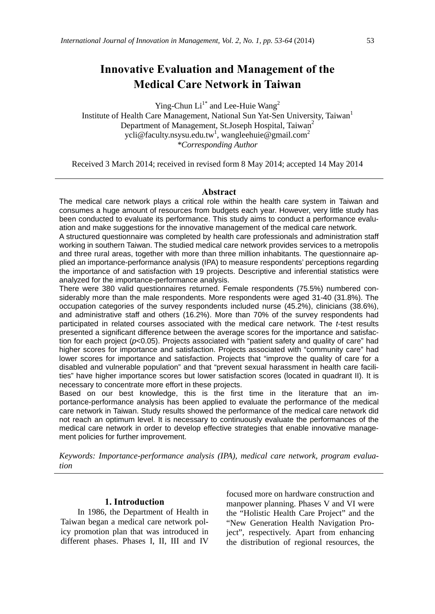# **Innovative Evaluation and Management of the Medical Care Network in Taiwan**

Ying-Chun  $Li<sup>1*</sup>$  and Lee-Huie Wang<sup>2</sup>

Institute of Health Care Management, National Sun Yat-Sen University, Taiwan<sup>1</sup> Department of Management, St.Joseph Hospital, Taiwan<sup>2</sup> ycli@faculty.nsysu.edu.tw<sup>1</sup>, wangleehuie@gmail.com<sup>2</sup> *\*Corresponding Author* 

Received 3 March 2014; received in revised form 8 May 2014; accepted 14 May 2014

#### **Abstract**

The medical care network plays a critical role within the health care system in Taiwan and consumes a huge amount of resources from budgets each year. However, very little study has been conducted to evaluate its performance. This study aims to conduct a performance evaluation and make suggestions for the innovative management of the medical care network.

A structured questionnaire was completed by health care professionals and administration staff working in southern Taiwan. The studied medical care network provides services to a metropolis and three rural areas, together with more than three million inhabitants. The questionnaire applied an importance-performance analysis (IPA) to measure respondents' perceptions regarding the importance of and satisfaction with 19 projects. Descriptive and inferential statistics were analyzed for the importance-performance analysis.

There were 380 valid questionnaires returned. Female respondents (75.5%) numbered considerably more than the male respondents. More respondents were aged 31-40 (31.8%). The occupation categories of the survey respondents included nurse (45.2%), clinicians (38.6%), and administrative staff and others (16.2%). More than 70% of the survey respondents had participated in related courses associated with the medical care network. The *t*-test results presented a significant difference between the average scores for the importance and satisfaction for each project (*p*<0.05). Projects associated with "patient safety and quality of care" had higher scores for importance and satisfaction. Projects associated with "community care" had lower scores for importance and satisfaction. Projects that "improve the quality of care for a disabled and vulnerable population" and that "prevent sexual harassment in health care facilities" have higher importance scores but lower satisfaction scores (located in quadrant II). It is necessary to concentrate more effort in these projects.

Based on our best knowledge, this is the first time in the literature that an importance-performance analysis has been applied to evaluate the performance of the medical care network in Taiwan. Study results showed the performance of the medical care network did not reach an optimum level. It is necessary to continuously evaluate the performances of the medical care network in order to develop effective strategies that enable innovative management policies for further improvement.

*Keywords: Importance-performance analysis (IPA), medical care network, program evaluation* 

#### **1. Introduction**

In 1986, the Department of Health in Taiwan began a medical care network policy promotion plan that was introduced in different phases. Phases I, II, III and IV

focused more on hardware construction and manpower planning. Phases V and VI were the "Holistic Health Care Project" and the "New Generation Health Navigation Project", respectively. Apart from enhancing the distribution of regional resources, the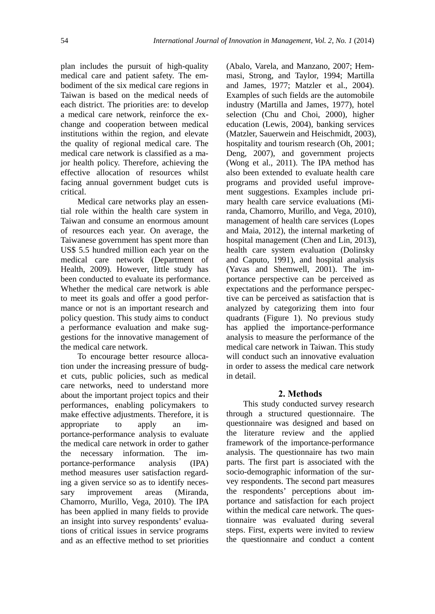plan includes the pursuit of high-quality medical care and patient safety. The embodiment of the six medical care regions in Taiwan is based on the medical needs of each district. The priorities are: to develop a medical care network, reinforce the exchange and cooperation between medical institutions within the region, and elevate the quality of regional medical care. The medical care network is classified as a major health policy. Therefore, achieving the effective allocation of resources whilst facing annual government budget cuts is critical.

Medical care networks play an essential role within the health care system in Taiwan and consume an enormous amount of resources each year. On average, the Taiwanese government has spent more than US\$ 5.5 hundred million each year on the medical care network (Department of Health, 2009). However, little study has been conducted to evaluate its performance. Whether the medical care network is able to meet its goals and offer a good performance or not is an important research and policy question. This study aims to conduct a performance evaluation and make suggestions for the innovative management of the medical care network.

To encourage better resource allocation under the increasing pressure of budget cuts, public policies, such as medical care networks, need to understand more about the important project topics and their performances, enabling policymakers to make effective adjustments. Therefore, it is appropriate to apply an importance-performance analysis to evaluate the medical care network in order to gather the necessary information. The importance-performance analysis (IPA) method measures user satisfaction regarding a given service so as to identify necessary improvement areas (Miranda, Chamorro, Murillo, Vega, 2010). The IPA has been applied in many fields to provide an insight into survey respondents' evaluations of critical issues in service programs and as an effective method to set priorities

(Abalo, Varela, and Manzano, 2007; Hemmasi, Strong, and Taylor, 1994; Martilla and James, 1977; Matzler et al., 2004). Examples of such fields are the automobile industry (Martilla and James, 1977), hotel selection (Chu and Choi, 2000), higher education (Lewis, 2004), banking services (Matzler, Sauerwein and Heischmidt, 2003), hospitality and tourism research (Oh, 2001; Deng, 2007), and government projects (Wong et al., 2011). The IPA method has also been extended to evaluate health care programs and provided useful improvement suggestions. Examples include primary health care service evaluations (Miranda, Chamorro, Murillo, and Vega, 2010), management of health care services (Lopes and Maia, 2012), the internal marketing of hospital management (Chen and Lin, 2013), health care system evaluation (Dolinsky and Caputo, 1991), and hospital analysis (Yavas and Shemwell, 2001). The importance perspective can be perceived as expectations and the performance perspective can be perceived as satisfaction that is analyzed by categorizing them into four quadrants (Figure 1). No previous study has applied the importance-performance analysis to measure the performance of the medical care network in Taiwan. This study will conduct such an innovative evaluation in order to assess the medical care network in detail.

#### **2. Methods**

This study conducted survey research through a structured questionnaire. The questionnaire was designed and based on the literature review and the applied framework of the importance-performance analysis. The questionnaire has two main parts. The first part is associated with the socio-demographic information of the survey respondents. The second part measures the respondents' perceptions about importance and satisfaction for each project within the medical care network. The questionnaire was evaluated during several steps. First, experts were invited to review the questionnaire and conduct a content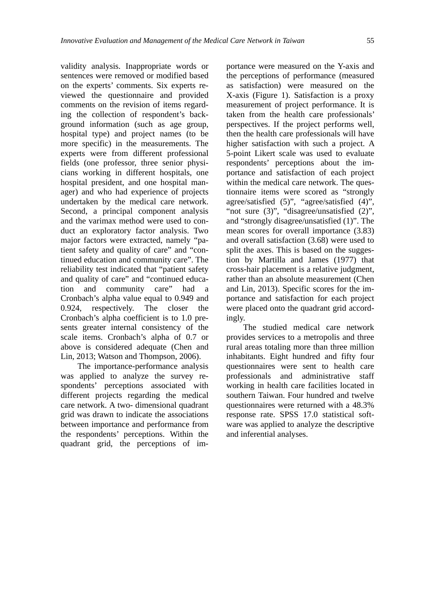validity analysis. Inappropriate words or sentences were removed or modified based on the experts' comments. Six experts reviewed the questionnaire and provided comments on the revision of items regarding the collection of respondent's background information (such as age group, hospital type) and project names (to be more specific) in the measurements. The experts were from different professional fields (one professor, three senior physicians working in different hospitals, one hospital president, and one hospital manager) and who had experience of projects undertaken by the medical care network. Second, a principal component analysis and the varimax method were used to conduct an exploratory factor analysis. Two major factors were extracted, namely "patient safety and quality of care" and "continued education and community care". The reliability test indicated that "patient safety and quality of care" and "continued education and community care" had a Cronbach's alpha value equal to 0.949 and 0.924, respectively. The closer the Cronbach's alpha coefficient is to 1.0 presents greater internal consistency of the scale items. Cronbach's alpha of 0.7 or above is considered adequate (Chen and Lin, 2013; Watson and Thompson, 2006).

The importance-performance analysis was applied to analyze the survey respondents' perceptions associated with different projects regarding the medical care network. A two- dimensional quadrant grid was drawn to indicate the associations between importance and performance from the respondents' perceptions. Within the quadrant grid, the perceptions of importance were measured on the Y-axis and the perceptions of performance (measured as satisfaction) were measured on the X-axis (Figure 1). Satisfaction is a proxy measurement of project performance. It is taken from the health care professionals' perspectives. If the project performs well, then the health care professionals will have higher satisfaction with such a project. A 5-point Likert scale was used to evaluate respondents' perceptions about the importance and satisfaction of each project within the medical care network. The questionnaire items were scored as "strongly agree/satisfied (5)", "agree/satisfied (4)", "not sure (3)", "disagree/unsatisfied (2)", and "strongly disagree/unsatisfied (1)". The mean scores for overall importance (3.83) and overall satisfaction (3.68) were used to split the axes. This is based on the suggestion by Martilla and James (1977) that cross-hair placement is a relative judgment, rather than an absolute measurement (Chen and Lin, 2013). Specific scores for the importance and satisfaction for each project were placed onto the quadrant grid accordingly.

The studied medical care network provides services to a metropolis and three rural areas totaling more than three million inhabitants. Eight hundred and fifty four questionnaires were sent to health care professionals and administrative staff working in health care facilities located in southern Taiwan. Four hundred and twelve questionnaires were returned with a 48.3% response rate. SPSS 17.0 statistical software was applied to analyze the descriptive and inferential analyses.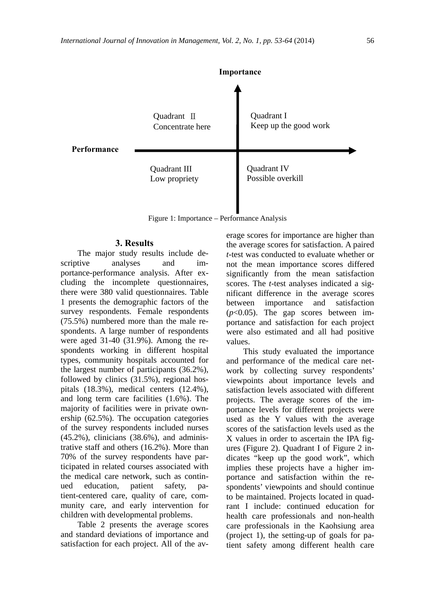

Figure 1: Importance – Performance Analysis

#### **3. Results**

The major study results include descriptive analyses and importance-performance analysis. After excluding the incomplete questionnaires, there were 380 valid questionnaires. Table 1 presents the demographic factors of the survey respondents. Female respondents (75.5%) numbered more than the male respondents. A large number of respondents were aged 31-40 (31.9%). Among the respondents working in different hospital types, community hospitals accounted for the largest number of participants (36.2%), followed by clinics (31.5%), regional hospitals (18.3%), medical centers (12.4%), and long term care facilities (1.6%). The majority of facilities were in private ownership (62.5%). The occupation categories of the survey respondents included nurses (45.2%), clinicians (38.6%), and administrative staff and others (16.2%). More than 70% of the survey respondents have participated in related courses associated with the medical care network, such as continued education, patient safety, patient-centered care, quality of care, community care, and early intervention for children with developmental problems.

Table 2 presents the average scores and standard deviations of importance and satisfaction for each project. All of the average scores for importance are higher than the average scores for satisfaction. A paired *t*-test was conducted to evaluate whether or not the mean importance scores differed significantly from the mean satisfaction scores. The *t*-test analyses indicated a significant difference in the average scores between importance and satisfaction (*p*<0.05). The gap scores between importance and satisfaction for each project were also estimated and all had positive values.

This study evaluated the importance and performance of the medical care network by collecting survey respondents' viewpoints about importance levels and satisfaction levels associated with different projects. The average scores of the importance levels for different projects were used as the Y values with the average scores of the satisfaction levels used as the X values in order to ascertain the IPA figures (Figure 2). Quadrant I of Figure 2 indicates "keep up the good work", which implies these projects have a higher importance and satisfaction within the respondents' viewpoints and should continue to be maintained. Projects located in quadrant I include: continued education for health care professionals and non-health care professionals in the Kaohsiung area (project 1), the setting-up of goals for patient safety among different health care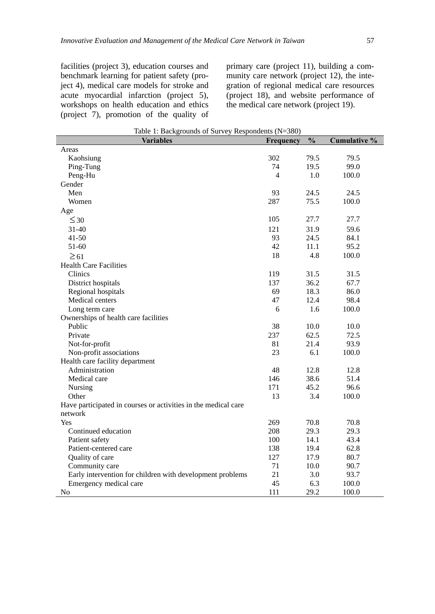facilities (project 3), education courses and benchmark learning for patient safety (project 4), medical care models for stroke and acute myocardial infarction (project 5), workshops on health education and ethics (project 7), promotion of the quality of primary care (project 11), building a community care network (project 12), the integration of regional medical care resources (project 18), and website performance of the medical care network (project 19).

| Variables                                                      | Frequency      | $\frac{0}{0}$ | Cumulative % |
|----------------------------------------------------------------|----------------|---------------|--------------|
| Areas                                                          |                |               |              |
| Kaohsiung                                                      | 302            | 79.5          | 79.5         |
| Ping-Tung                                                      | 74             | 19.5          | 99.0         |
| Peng-Hu                                                        | $\overline{4}$ | 1.0           | 100.0        |
| Gender                                                         |                |               |              |
| Men                                                            | 93             | 24.5          | 24.5         |
| Women                                                          | 287            | 75.5          | 100.0        |
| Age                                                            |                |               |              |
| $\leq 30$                                                      | 105            | 27.7          | 27.7         |
| $31 - 40$                                                      | 121            | 31.9          | 59.6         |
| $41 - 50$                                                      | 93             | 24.5          | 84.1         |
| 51-60                                                          | 42             | 11.1          | 95.2         |
| $\geq 61$                                                      | 18             | 4.8           | 100.0        |
| <b>Health Care Facilities</b>                                  |                |               |              |
| Clinics                                                        | 119            | 31.5          | 31.5         |
| District hospitals                                             | 137            | 36.2          | 67.7         |
| Regional hospitals                                             | 69             | 18.3          | 86.0         |
| Medical centers                                                | 47             | 12.4          | 98.4         |
| Long term care                                                 | 6              | 1.6           | 100.0        |
| Ownerships of health care facilities                           |                |               |              |
| Public                                                         | 38             | 10.0          | 10.0         |
| Private                                                        | 237            | 62.5          | 72.5         |
| Not-for-profit                                                 | 81             | 21.4          | 93.9         |
| Non-profit associations                                        | 23             | 6.1           | 100.0        |
| Health care facility department                                |                |               |              |
| Administration                                                 | 48             | 12.8          | 12.8         |
| Medical care                                                   | 146            | 38.6          | 51.4         |
| Nursing                                                        | 171            | 45.2          | 96.6         |
| Other                                                          | 13             | 3.4           | 100.0        |
| Have participated in courses or activities in the medical care |                |               |              |
| network                                                        |                |               |              |
| Yes                                                            | 269            | 70.8          | 70.8         |
| Continued education                                            | 208            | 29.3          | 29.3         |
| Patient safety                                                 | 100            | 14.1          | 43.4         |
| Patient-centered care                                          | 138            | 19.4          | 62.8         |
| Quality of care                                                | 127            | 17.9          | 80.7         |
| Community care                                                 | 71             | 10.0          | 90.7         |
| Early intervention for children with development problems      | 21             | 3.0           | 93.7         |
| Emergency medical care                                         | 45             | 6.3           | 100.0        |
| No                                                             | 111            | 29.2          | 100.0        |

| Table 1: Backgrounds of Survey Respondents (N=380) |  |
|----------------------------------------------------|--|
|                                                    |  |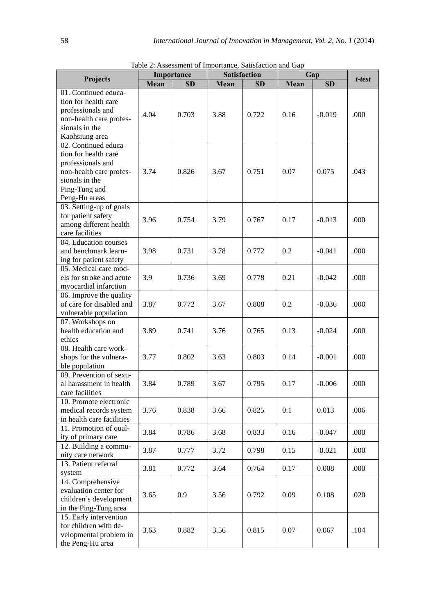|                                                                                                                                                  |      | Importance |      | <b>Satisfaction</b> |      | Gap       |        |
|--------------------------------------------------------------------------------------------------------------------------------------------------|------|------------|------|---------------------|------|-----------|--------|
| Projects                                                                                                                                         | Mean | SD         | Mean | <b>SD</b>           | Mean | <b>SD</b> | t-test |
| 01. Continued educa-<br>tion for health care<br>professionals and<br>non-health care profes-<br>sionals in the<br>Kaohsiung area                 | 4.04 | 0.703      | 3.88 | 0.722               | 0.16 | $-0.019$  | .000   |
| 02. Continued educa-<br>tion for health care<br>professionals and<br>non-health care profes-<br>sionals in the<br>Ping-Tung and<br>Peng-Hu areas | 3.74 | 0.826      | 3.67 | 0.751               | 0.07 | 0.075     | .043   |
| 03. Setting-up of goals<br>for patient safety<br>among different health<br>care facilities                                                       | 3.96 | 0.754      | 3.79 | 0.767               | 0.17 | $-0.013$  | .000   |
| 04. Education courses<br>and benchmark learn-<br>ing for patient safety                                                                          | 3.98 | 0.731      | 3.78 | 0.772               | 0.2  | $-0.041$  | .000   |
| 05. Medical care mod-<br>els for stroke and acute<br>myocardial infarction                                                                       | 3.9  | 0.736      | 3.69 | 0.778               | 0.21 | $-0.042$  | .000   |
| 06. Improve the quality<br>of care for disabled and<br>vulnerable population                                                                     | 3.87 | 0.772      | 3.67 | 0.808               | 0.2  | $-0.036$  | .000   |
| 07. Workshops on<br>health education and<br>ethics                                                                                               | 3.89 | 0.741      | 3.76 | 0.765               | 0.13 | $-0.024$  | .000   |
| 08. Health care work-<br>shops for the vulnera-<br>ble population                                                                                | 3.77 | 0.802      | 3.63 | 0.803               | 0.14 | $-0.001$  | .000   |
| 09. Prevention of sexu-<br>al harassment in health<br>care facilities                                                                            | 3.84 | 0.789      | 3.67 | 0.795               | 0.17 | $-0.006$  | .000   |
| 10. Promote electronic<br>medical records system<br>in health care facilities                                                                    | 3.76 | 0.838      | 3.66 | 0.825               | 0.1  | 0.013     | .006   |
| 11. Promotion of qual-<br>ity of primary care                                                                                                    | 3.84 | 0.786      | 3.68 | 0.833               | 0.16 | $-0.047$  | .000   |
| 12. Building a commu-<br>nity care network                                                                                                       | 3.87 | 0.777      | 3.72 | 0.798               | 0.15 | $-0.021$  | .000   |
| 13. Patient referral<br>system                                                                                                                   | 3.81 | 0.772      | 3.64 | 0.764               | 0.17 | 0.008     | .000   |
| 14. Comprehensive<br>evaluation center for<br>children's development<br>in the Ping-Tung area                                                    | 3.65 | 0.9        | 3.56 | 0.792               | 0.09 | 0.108     | .020   |
| 15. Early intervention<br>for children with de-<br>velopmental problem in<br>the Peng-Hu area                                                    | 3.63 | 0.882      | 3.56 | 0.815               | 0.07 | 0.067     | .104   |

Table 2: Assessment of Importance, Satisfaction and Gap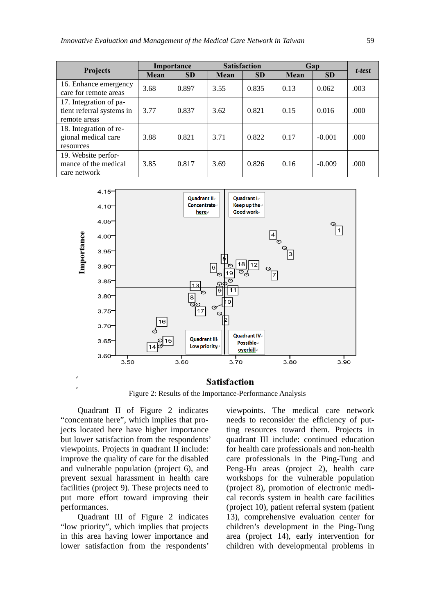|                                                                     | Importance |           | <b>Satisfaction</b> |           | Gap  |           |        |  |
|---------------------------------------------------------------------|------------|-----------|---------------------|-----------|------|-----------|--------|--|
| <b>Projects</b>                                                     | Mean       | <b>SD</b> | <b>Mean</b>         | <b>SD</b> | Mean | <b>SD</b> | t-test |  |
| 16. Enhance emergency<br>care for remote areas                      | 3.68       | 0.897     | 3.55                | 0.835     | 0.13 | 0.062     | .003   |  |
| 17. Integration of pa-<br>tient referral systems in<br>remote areas | 3.77       | 0.837     | 3.62                | 0.821     | 0.15 | 0.016     | .000   |  |
| 18. Integration of re-<br>gional medical care<br>resources          | 3.88       | 0.821     | 3.71                | 0.822     | 0.17 | $-0.001$  | .000   |  |
| 19. Website perfor-<br>mance of the medical<br>care network         | 3.85       | 0.817     | 3.69                | 0.826     | 0.16 | $-0.009$  | .000   |  |



#### **Satisfaction**

Figure 2: Results of the Importance-Performance Analysis

Quadrant II of Figure 2 indicates "concentrate here", which implies that projects located here have higher importance but lower satisfaction from the respondents' viewpoints. Projects in quadrant II include: improve the quality of care for the disabled and vulnerable population (project 6), and prevent sexual harassment in health care facilities (project 9). These projects need to put more effort toward improving their performances.

Quadrant III of Figure 2 indicates "low priority", which implies that projects in this area having lower importance and lower satisfaction from the respondents'

viewpoints. The medical care network needs to reconsider the efficiency of putting resources toward them. Projects in quadrant III include: continued education for health care professionals and non-health care professionals in the Ping-Tung and Peng-Hu areas (project 2), health care workshops for the vulnerable population (project 8), promotion of electronic medical records system in health care facilities (project 10), patient referral system (patient 13), comprehensive evaluation center for children's development in the Ping-Tung area (project 14), early intervention for children with developmental problems in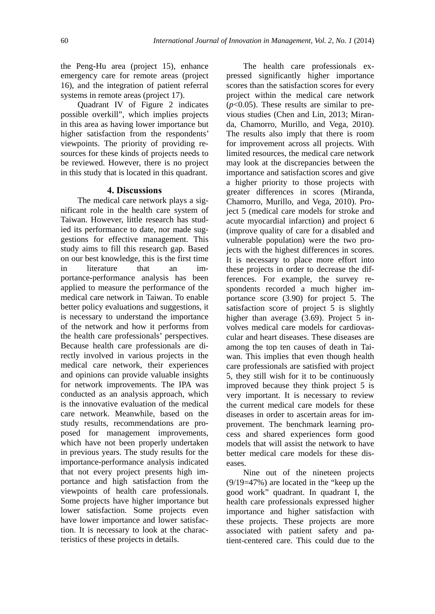the Peng-Hu area (project 15), enhance emergency care for remote areas (project 16), and the integration of patient referral systems in remote areas (project 17).

Quadrant IV of Figure 2 indicates possible overkill", which implies projects in this area as having lower importance but higher satisfaction from the respondents' viewpoints. The priority of providing resources for these kinds of projects needs to be reviewed. However, there is no project in this study that is located in this quadrant.

#### **4. Discussions**

The medical care network plays a significant role in the health care system of Taiwan. However, little research has studied its performance to date, nor made suggestions for effective management. This study aims to fill this research gap. Based on our best knowledge, this is the first time in literature that an importance-performance analysis has been applied to measure the performance of the medical care network in Taiwan. To enable better policy evaluations and suggestions, it is necessary to understand the importance of the network and how it performs from the health care professionals' perspectives. Because health care professionals are directly involved in various projects in the medical care network, their experiences and opinions can provide valuable insights for network improvements. The IPA was conducted as an analysis approach, which is the innovative evaluation of the medical care network. Meanwhile, based on the study results, recommendations are proposed for management improvements, which have not been properly undertaken in previous years. The study results for the importance-performance analysis indicated that not every project presents high importance and high satisfaction from the viewpoints of health care professionals. Some projects have higher importance but lower satisfaction. Some projects even have lower importance and lower satisfaction. It is necessary to look at the characteristics of these projects in details.

The health care professionals expressed significantly higher importance scores than the satisfaction scores for every project within the medical care network  $(p<0.05)$ . These results are similar to previous studies (Chen and Lin, 2013; Miranda, Chamorro, Murillo, and Vega, 2010). The results also imply that there is room for improvement across all projects. With limited resources, the medical care network may look at the discrepancies between the importance and satisfaction scores and give a higher priority to those projects with greater differences in scores (Miranda, Chamorro, Murillo, and Vega, 2010). Project 5 (medical care models for stroke and acute myocardial infarction) and project 6 (improve quality of care for a disabled and vulnerable population) were the two projects with the highest differences in scores. It is necessary to place more effort into these projects in order to decrease the differences. For example, the survey respondents recorded a much higher importance score (3.90) for project 5. The satisfaction score of project 5 is slightly higher than average (3.69). Project 5 involves medical care models for cardiovascular and heart diseases. These diseases are among the top ten causes of death in Taiwan. This implies that even though health care professionals are satisfied with project 5, they still wish for it to be continuously improved because they think project 5 is very important. It is necessary to review the current medical care models for these diseases in order to ascertain areas for improvement. The benchmark learning process and shared experiences form good models that will assist the network to have better medical care models for these diseases.

Nine out of the nineteen projects (9/19=47%) are located in the "keep up the good work" quadrant. In quadrant I, the health care professionals expressed higher importance and higher satisfaction with these projects. These projects are more associated with patient safety and patient-centered care. This could due to the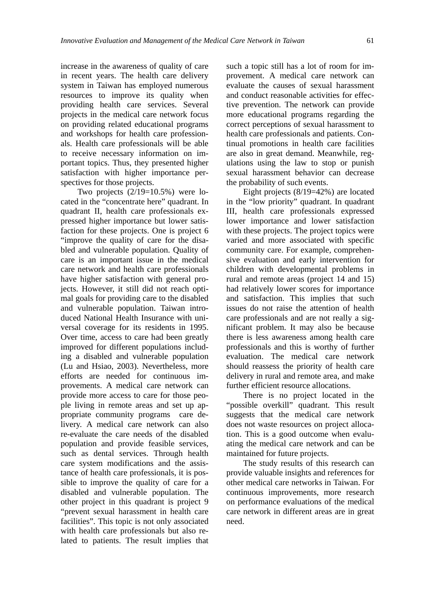increase in the awareness of quality of care in recent years. The health care delivery system in Taiwan has employed numerous resources to improve its quality when providing health care services. Several projects in the medical care network focus on providing related educational programs and workshops for health care professionals. Health care professionals will be able to receive necessary information on important topics. Thus, they presented higher satisfaction with higher importance perspectives for those projects.

Two projects  $(2/19=10.5%)$  were located in the "concentrate here" quadrant. In quadrant II, health care professionals expressed higher importance but lower satisfaction for these projects. One is project 6 "improve the quality of care for the disabled and vulnerable population. Quality of care is an important issue in the medical care network and health care professionals have higher satisfaction with general projects. However, it still did not reach optimal goals for providing care to the disabled and vulnerable population. Taiwan introduced National Health Insurance with universal coverage for its residents in 1995. Over time, access to care had been greatly improved for different populations including a disabled and vulnerable population (Lu and Hsiao, 2003). Nevertheless, more efforts are needed for continuous improvements. A medical care network can provide more access to care for those people living in remote areas and set up appropriate community programs care delivery. A medical care network can also re-evaluate the care needs of the disabled population and provide feasible services, such as dental services. Through health care system modifications and the assistance of health care professionals, it is possible to improve the quality of care for a disabled and vulnerable population. The other project in this quadrant is project 9 "prevent sexual harassment in health care facilities". This topic is not only associated with health care professionals but also related to patients. The result implies that such a topic still has a lot of room for improvement. A medical care network can evaluate the causes of sexual harassment and conduct reasonable activities for effective prevention. The network can provide more educational programs regarding the correct perceptions of sexual harassment to health care professionals and patients. Continual promotions in health care facilities are also in great demand. Meanwhile, regulations using the law to stop or punish sexual harassment behavior can decrease the probability of such events.

Eight projects (8/19=42%) are located in the "low priority" quadrant. In quadrant III, health care professionals expressed lower importance and lower satisfaction with these projects. The project topics were varied and more associated with specific community care. For example, comprehensive evaluation and early intervention for children with developmental problems in rural and remote areas (project 14 and 15) had relatively lower scores for importance and satisfaction. This implies that such issues do not raise the attention of health care professionals and are not really a significant problem. It may also be because there is less awareness among health care professionals and this is worthy of further evaluation. The medical care network should reassess the priority of health care delivery in rural and remote area, and make further efficient resource allocations.

There is no project located in the "possible overkill" quadrant. This result suggests that the medical care network does not waste resources on project allocation. This is a good outcome when evaluating the medical care network and can be maintained for future projects.

The study results of this research can provide valuable insights and references for other medical care networks in Taiwan. For continuous improvements, more research on performance evaluations of the medical care network in different areas are in great need.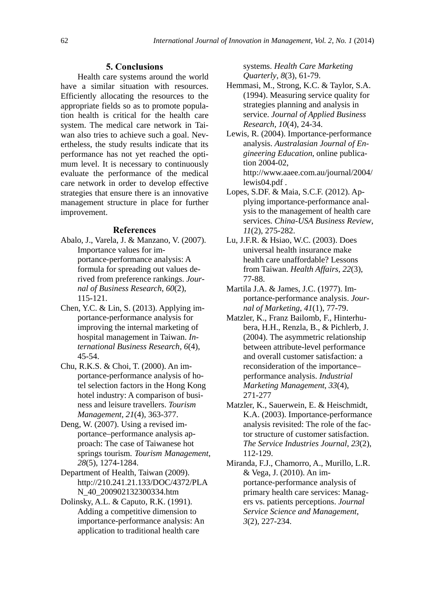#### **5. Conclusions**

Health care systems around the world have a similar situation with resources. Efficiently allocating the resources to the appropriate fields so as to promote population health is critical for the health care system. The medical care network in Taiwan also tries to achieve such a goal. Nevertheless, the study results indicate that its performance has not yet reached the optimum level. It is necessary to continuously evaluate the performance of the medical care network in order to develop effective strategies that ensure there is an innovative management structure in place for further improvement.

#### **References**

- Abalo, J., Varela, J. & Manzano, V. (2007). Importance values for importance-performance analysis: A formula for spreading out values derived from preference rankings. *Journal of Business Research*, *60*(2), 115-121.
- Chen, Y.C. & Lin, S. (2013). Applying importance-performance analysis for improving the internal marketing of hospital management in Taiwan. *International Business Research*, *6*(4), 45-54.
- Chu, R.K.S. & Choi, T. (2000). An importance-performance analysis of hotel selection factors in the Hong Kong hotel industry: A comparison of business and leisure travellers. *Tourism Management*, *21*(4), 363-377.
- Deng, W. (2007). Using a revised importance–performance analysis approach: The case of Taiwanese hot springs tourism. *Tourism Management*, *28*(5), 1274-1284.
- Department of Health, Taiwan (2009). http://210.241.21.133/DOC/4372/PLA N\_40\_200902132300334.htm
- Dolinsky, A.L. & Caputo, R.K. (1991). Adding a competitive dimension to importance-performance analysis: An application to traditional health care

systems. *Health Care Marketing Quarterly*, *8*(3), 61-79.

- Hemmasi, M., Strong, K.C. & Taylor, S.A. (1994). Measuring service quality for strategies planning and analysis in service. *Journal of Applied Business Research*, *10*(4), 24-34.
- Lewis, R. (2004). Importance-performance analysis. *Australasian Journal of Engineering Education*, online publication 2004-02, http://www.aaee.com.au/journal/2004/ lewis04.pdf .
- Lopes, S.DF. & Maia, S.C.F. (2012). Applying importance-performance analysis to the management of health care services. *China-USA Business Review*, *11*(2), 275-282.
- Lu, J.F.R. & Hsiao, W.C. (2003). Does universal health insurance make health care unaffordable? Lessons from Taiwan. *Health Affairs*, *22*(3), 77-88.
- Martila J.A. & James, J.C. (1977). Importance-performance analysis. *Journal of Marketing*, *41*(1), 77-79.
- Matzler, K., Franz Bailomb, F., Hinterhubera, H.H., Renzla, B., & Pichlerb, J. (2004). The asymmetric relationship between attribute-level performance and overall customer satisfaction: a reconsideration of the importance– performance analysis. *Industrial Marketing Management*, *33*(4), 271-277
- Matzler, K., Sauerwein, E. & Heischmidt, K.A. (2003). Importance-performance analysis revisited: The role of the factor structure of customer satisfaction. *The Service Industries Journal*, *23*(2), 112-129.
- Miranda, F.J., Chamorro, A., Murillo, L.R. & Vega, J. (2010). An importance-performance analysis of primary health care services: Managers vs. patients perceptions. *Journal Service Science and Management*, *3*(2)*,* 227-234.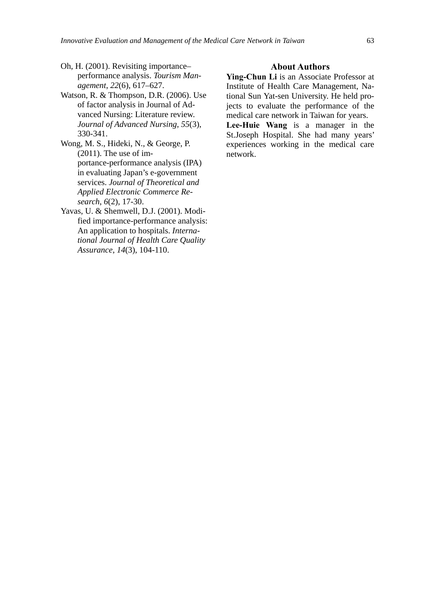- Oh, H. (2001). Revisiting importance– performance analysis. *Tourism Management*, *22*(6), 617–627.
- Watson, R. & Thompson, D.R. (2006). Use of factor analysis in Journal of Advanced Nursing: Literature review. *Journal of Advanced Nursing*, *55*(3), 330-341.
- Wong, M. S., Hideki, N., & George, P. (2011). The use of importance-performance analysis (IPA) in evaluating Japan's e-government services. *Journal of Theoretical and Applied Electronic Commerce Research*, *6*(2), 17-30.
- Yavas, U. & Shemwell, D.J. (2001). Modified importance-performance analysis: An application to hospitals. *International Journal of Health Care Quality Assurance*, *14*(3), 104-110.

#### **About Authors**

**Ying-Chun Li** is an Associate Professor at Institute of Health Care Management, National Sun Yat-sen University. He held projects to evaluate the performance of the medical care network in Taiwan for years.

**Lee-Huie Wang** is a manager in the St.Joseph Hospital. She had many years' experiences working in the medical care network.